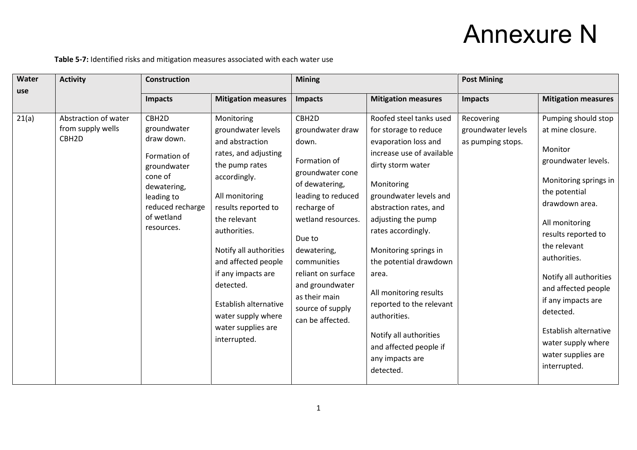## Annexure N

**Table 5-7:** Identified risks and mitigation measures associated with each water use

| Water<br>use | <b>Activity</b>                                                | <b>Construction</b>                                                                                                                                                   |                                                                                                                                                                                                                                                                                                                                                                 | <b>Mining</b>                                                                                                                                                                                                                                                                                             |                                                                                                                                                                                                                                                                                                                                                                                                                                                                | <b>Post Mining</b>                                    |                                                                                                                                                                                                                                                                                                                                                                                         |  |
|--------------|----------------------------------------------------------------|-----------------------------------------------------------------------------------------------------------------------------------------------------------------------|-----------------------------------------------------------------------------------------------------------------------------------------------------------------------------------------------------------------------------------------------------------------------------------------------------------------------------------------------------------------|-----------------------------------------------------------------------------------------------------------------------------------------------------------------------------------------------------------------------------------------------------------------------------------------------------------|----------------------------------------------------------------------------------------------------------------------------------------------------------------------------------------------------------------------------------------------------------------------------------------------------------------------------------------------------------------------------------------------------------------------------------------------------------------|-------------------------------------------------------|-----------------------------------------------------------------------------------------------------------------------------------------------------------------------------------------------------------------------------------------------------------------------------------------------------------------------------------------------------------------------------------------|--|
|              |                                                                | <b>Impacts</b>                                                                                                                                                        | <b>Mitigation measures</b>                                                                                                                                                                                                                                                                                                                                      | <b>Impacts</b>                                                                                                                                                                                                                                                                                            | <b>Mitigation measures</b>                                                                                                                                                                                                                                                                                                                                                                                                                                     | <b>Impacts</b>                                        | <b>Mitigation measures</b>                                                                                                                                                                                                                                                                                                                                                              |  |
| 21(a)        | Abstraction of water<br>from supply wells<br>CBH <sub>2D</sub> | CBH <sub>2D</sub><br>groundwater<br>draw down.<br>Formation of<br>groundwater<br>cone of<br>dewatering,<br>leading to<br>reduced recharge<br>of wetland<br>resources. | Monitoring<br>groundwater levels<br>and abstraction<br>rates, and adjusting<br>the pump rates<br>accordingly.<br>All monitoring<br>results reported to<br>the relevant<br>authorities.<br>Notify all authorities<br>and affected people<br>if any impacts are<br>detected.<br>Establish alternative<br>water supply where<br>water supplies are<br>interrupted. | CBH <sub>2D</sub><br>groundwater draw<br>down.<br>Formation of<br>groundwater cone<br>of dewatering,<br>leading to reduced<br>recharge of<br>wetland resources.<br>Due to<br>dewatering,<br>communities<br>reliant on surface<br>and groundwater<br>as their main<br>source of supply<br>can be affected. | Roofed steel tanks used<br>for storage to reduce<br>evaporation loss and<br>increase use of available<br>dirty storm water<br>Monitoring<br>groundwater levels and<br>abstraction rates, and<br>adjusting the pump<br>rates accordingly.<br>Monitoring springs in<br>the potential drawdown<br>area.<br>All monitoring results<br>reported to the relevant<br>authorities.<br>Notify all authorities<br>and affected people if<br>any impacts are<br>detected. | Recovering<br>groundwater levels<br>as pumping stops. | Pumping should stop<br>at mine closure.<br>Monitor<br>groundwater levels.<br>Monitoring springs in<br>the potential<br>drawdown area.<br>All monitoring<br>results reported to<br>the relevant<br>authorities.<br>Notify all authorities<br>and affected people<br>if any impacts are<br>detected.<br>Establish alternative<br>water supply where<br>water supplies are<br>interrupted. |  |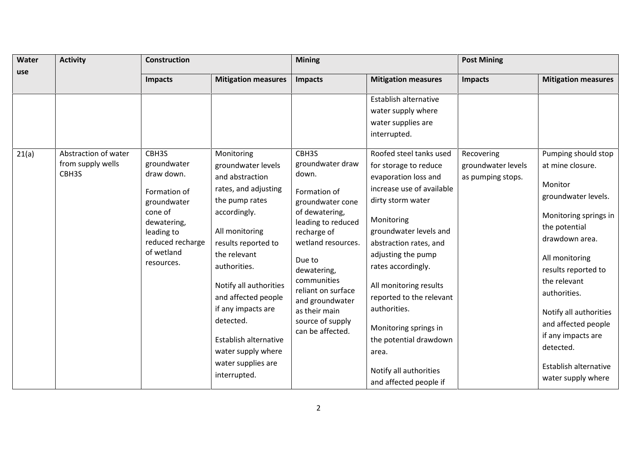| Water<br>use | <b>Activity</b>                                    | <b>Construction</b>                                                                                                                                       |                                                                                                                                                                                                                                                                                                                           | <b>Mining</b>                                                                                                                                                                                                                                                                                 |                                                                                                                                                                                                                                                                                                                                                                            | <b>Post Mining</b>                                    |                                                                                                                                                                                                                                                                                                    |  |
|--------------|----------------------------------------------------|-----------------------------------------------------------------------------------------------------------------------------------------------------------|---------------------------------------------------------------------------------------------------------------------------------------------------------------------------------------------------------------------------------------------------------------------------------------------------------------------------|-----------------------------------------------------------------------------------------------------------------------------------------------------------------------------------------------------------------------------------------------------------------------------------------------|----------------------------------------------------------------------------------------------------------------------------------------------------------------------------------------------------------------------------------------------------------------------------------------------------------------------------------------------------------------------------|-------------------------------------------------------|----------------------------------------------------------------------------------------------------------------------------------------------------------------------------------------------------------------------------------------------------------------------------------------------------|--|
|              |                                                    | <b>Impacts</b>                                                                                                                                            | <b>Mitigation measures</b>                                                                                                                                                                                                                                                                                                | <b>Impacts</b>                                                                                                                                                                                                                                                                                | <b>Mitigation measures</b>                                                                                                                                                                                                                                                                                                                                                 | <b>Impacts</b>                                        | <b>Mitigation measures</b>                                                                                                                                                                                                                                                                         |  |
|              |                                                    |                                                                                                                                                           |                                                                                                                                                                                                                                                                                                                           |                                                                                                                                                                                                                                                                                               | Establish alternative<br>water supply where<br>water supplies are<br>interrupted.                                                                                                                                                                                                                                                                                          |                                                       |                                                                                                                                                                                                                                                                                                    |  |
| 21(a)        | Abstraction of water<br>from supply wells<br>CBH3S | CBH3S<br>groundwater<br>draw down.<br>Formation of<br>groundwater<br>cone of<br>dewatering,<br>leading to<br>reduced recharge<br>of wetland<br>resources. | Monitoring<br>groundwater levels<br>and abstraction<br>rates, and adjusting<br>the pump rates<br>accordingly.<br>All monitoring<br>results reported to<br>the relevant<br>authorities.<br>Notify all authorities<br>and affected people<br>if any impacts are<br>detected.<br>Establish alternative<br>water supply where | CBH3S<br>groundwater draw<br>down.<br>Formation of<br>groundwater cone<br>of dewatering,<br>leading to reduced<br>recharge of<br>wetland resources.<br>Due to<br>dewatering,<br>communities<br>reliant on surface<br>and groundwater<br>as their main<br>source of supply<br>can be affected. | Roofed steel tanks used<br>for storage to reduce<br>evaporation loss and<br>increase use of available<br>dirty storm water<br>Monitoring<br>groundwater levels and<br>abstraction rates, and<br>adjusting the pump<br>rates accordingly.<br>All monitoring results<br>reported to the relevant<br>authorities.<br>Monitoring springs in<br>the potential drawdown<br>area. | Recovering<br>groundwater levels<br>as pumping stops. | Pumping should stop<br>at mine closure.<br>Monitor<br>groundwater levels.<br>Monitoring springs in<br>the potential<br>drawdown area.<br>All monitoring<br>results reported to<br>the relevant<br>authorities.<br>Notify all authorities<br>and affected people<br>if any impacts are<br>detected. |  |
|              |                                                    |                                                                                                                                                           | water supplies are<br>interrupted.                                                                                                                                                                                                                                                                                        |                                                                                                                                                                                                                                                                                               | Notify all authorities<br>and affected people if                                                                                                                                                                                                                                                                                                                           |                                                       | Establish alternative<br>water supply where                                                                                                                                                                                                                                                        |  |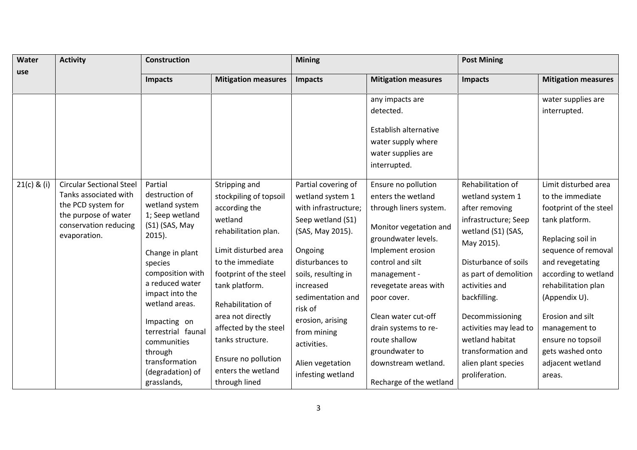| Water<br><b>Activity</b> |                                                                                                                                                 | <b>Construction</b>                                                                                                                                                                                                                                                                                                          |                                                                                                                                                                                                                                                                                                                                          | <b>Mining</b>                                                                                                                                                                                                                                                                                         |                                                                                                                                                                                                                                                                                                                                                           | <b>Post Mining</b>                                                                                                                                                                                                                                                                                                                    |                                                                                                                                                                                                                                                                                                                                  |  |
|--------------------------|-------------------------------------------------------------------------------------------------------------------------------------------------|------------------------------------------------------------------------------------------------------------------------------------------------------------------------------------------------------------------------------------------------------------------------------------------------------------------------------|------------------------------------------------------------------------------------------------------------------------------------------------------------------------------------------------------------------------------------------------------------------------------------------------------------------------------------------|-------------------------------------------------------------------------------------------------------------------------------------------------------------------------------------------------------------------------------------------------------------------------------------------------------|-----------------------------------------------------------------------------------------------------------------------------------------------------------------------------------------------------------------------------------------------------------------------------------------------------------------------------------------------------------|---------------------------------------------------------------------------------------------------------------------------------------------------------------------------------------------------------------------------------------------------------------------------------------------------------------------------------------|----------------------------------------------------------------------------------------------------------------------------------------------------------------------------------------------------------------------------------------------------------------------------------------------------------------------------------|--|
| use                      |                                                                                                                                                 | <b>Impacts</b>                                                                                                                                                                                                                                                                                                               | <b>Mitigation measures</b>                                                                                                                                                                                                                                                                                                               | <b>Impacts</b>                                                                                                                                                                                                                                                                                        | <b>Mitigation measures</b>                                                                                                                                                                                                                                                                                                                                | <b>Impacts</b>                                                                                                                                                                                                                                                                                                                        | <b>Mitigation measures</b>                                                                                                                                                                                                                                                                                                       |  |
|                          |                                                                                                                                                 |                                                                                                                                                                                                                                                                                                                              |                                                                                                                                                                                                                                                                                                                                          |                                                                                                                                                                                                                                                                                                       | any impacts are                                                                                                                                                                                                                                                                                                                                           |                                                                                                                                                                                                                                                                                                                                       | water supplies are                                                                                                                                                                                                                                                                                                               |  |
|                          |                                                                                                                                                 |                                                                                                                                                                                                                                                                                                                              |                                                                                                                                                                                                                                                                                                                                          |                                                                                                                                                                                                                                                                                                       | detected.<br>Establish alternative<br>water supply where<br>water supplies are<br>interrupted.                                                                                                                                                                                                                                                            |                                                                                                                                                                                                                                                                                                                                       | interrupted.                                                                                                                                                                                                                                                                                                                     |  |
| $21(c)$ & (i)            | <b>Circular Sectional Steel</b><br>Tanks associated with<br>the PCD system for<br>the purpose of water<br>conservation reducing<br>evaporation. | Partial<br>destruction of<br>wetland system<br>1; Seep wetland<br>(S1) (SAS, May<br>$2015$ ).<br>Change in plant<br>species<br>composition with<br>a reduced water<br>impact into the<br>wetland areas.<br>Impacting on<br>terrestrial faunal<br>communities<br>through<br>transformation<br>(degradation) of<br>grasslands, | Stripping and<br>stockpiling of topsoil<br>according the<br>wetland<br>rehabilitation plan.<br>Limit disturbed area<br>to the immediate<br>footprint of the steel<br>tank platform.<br>Rehabilitation of<br>area not directly<br>affected by the steel<br>tanks structure.<br>Ensure no pollution<br>enters the wetland<br>through lined | Partial covering of<br>wetland system 1<br>with infrastructure;<br>Seep wetland (S1)<br>(SAS, May 2015).<br>Ongoing<br>disturbances to<br>soils, resulting in<br>increased<br>sedimentation and<br>risk of<br>erosion, arising<br>from mining<br>activities.<br>Alien vegetation<br>infesting wetland | Ensure no pollution<br>enters the wetland<br>through liners system.<br>Monitor vegetation and<br>groundwater levels.<br>Implement erosion<br>control and silt<br>management -<br>revegetate areas with<br>poor cover.<br>Clean water cut-off<br>drain systems to re-<br>route shallow<br>groundwater to<br>downstream wetland.<br>Recharge of the wetland | Rehabilitation of<br>wetland system 1<br>after removing<br>infrastructure; Seep<br>wetland (S1) (SAS,<br>May 2015).<br>Disturbance of soils<br>as part of demolition<br>activities and<br>backfilling.<br>Decommissioning<br>activities may lead to<br>wetland habitat<br>transformation and<br>alien plant species<br>proliferation. | Limit disturbed area<br>to the immediate<br>footprint of the steel<br>tank platform.<br>Replacing soil in<br>sequence of removal<br>and revegetating<br>according to wetland<br>rehabilitation plan<br>(Appendix U).<br>Erosion and silt<br>management to<br>ensure no topsoil<br>gets washed onto<br>adjacent wetland<br>areas. |  |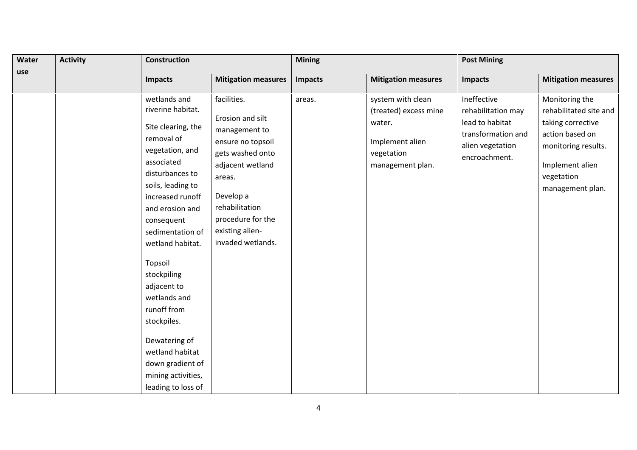| Water | <b>Activity</b> | <b>Construction</b>                                                                                                                                                                                                                                                                                                                                                                                                                    |                                                                                                                                                                                                                     | <b>Mining</b>  |                                                                                                           | <b>Post Mining</b>                                                                                              |                                                                                                                                                              |  |
|-------|-----------------|----------------------------------------------------------------------------------------------------------------------------------------------------------------------------------------------------------------------------------------------------------------------------------------------------------------------------------------------------------------------------------------------------------------------------------------|---------------------------------------------------------------------------------------------------------------------------------------------------------------------------------------------------------------------|----------------|-----------------------------------------------------------------------------------------------------------|-----------------------------------------------------------------------------------------------------------------|--------------------------------------------------------------------------------------------------------------------------------------------------------------|--|
| use   |                 | <b>Impacts</b>                                                                                                                                                                                                                                                                                                                                                                                                                         | <b>Mitigation measures</b>                                                                                                                                                                                          | <b>Impacts</b> | <b>Mitigation measures</b>                                                                                | Impacts                                                                                                         | <b>Mitigation measures</b>                                                                                                                                   |  |
|       |                 | wetlands and<br>riverine habitat.<br>Site clearing, the<br>removal of<br>vegetation, and<br>associated<br>disturbances to<br>soils, leading to<br>increased runoff<br>and erosion and<br>consequent<br>sedimentation of<br>wetland habitat.<br>Topsoil<br>stockpiling<br>adjacent to<br>wetlands and<br>runoff from<br>stockpiles.<br>Dewatering of<br>wetland habitat<br>down gradient of<br>mining activities,<br>leading to loss of | facilities.<br>Erosion and silt<br>management to<br>ensure no topsoil<br>gets washed onto<br>adjacent wetland<br>areas.<br>Develop a<br>rehabilitation<br>procedure for the<br>existing alien-<br>invaded wetlands. | areas.         | system with clean<br>(treated) excess mine<br>water.<br>Implement alien<br>vegetation<br>management plan. | Ineffective<br>rehabilitation may<br>lead to habitat<br>transformation and<br>alien vegetation<br>encroachment. | Monitoring the<br>rehabilitated site and<br>taking corrective<br>action based on<br>monitoring results.<br>Implement alien<br>vegetation<br>management plan. |  |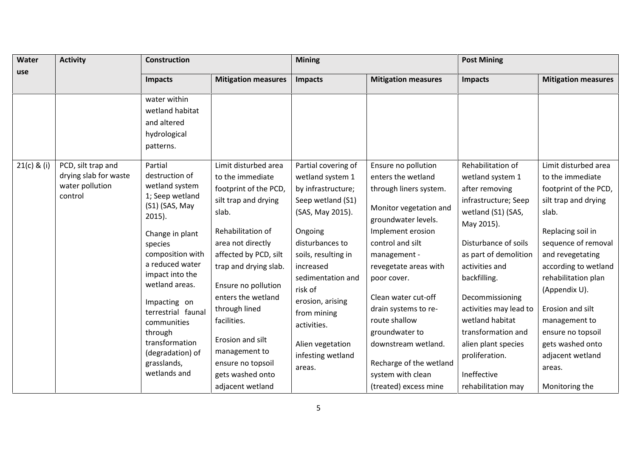| <b>Mitigation measures</b><br><b>Mitigation measures</b><br><b>Impacts</b><br><b>Impacts</b><br><b>Impacts</b><br>water within<br>wetland habitat<br>and altered<br>hydrological<br>patterns.<br>Limit disturbed area<br>Rehabilitation of<br>PCD, silt trap and<br>Partial<br>Partial covering of<br>Ensure no pollution<br>drying slab for waste<br>destruction of<br>enters the wetland<br>to the immediate<br>wetland system 1<br>wetland system 1<br>water pollution<br>wetland system<br>footprint of the PCD,<br>by infrastructure;<br>through liners system.<br>after removing<br>1; Seep wetland<br>control<br>infrastructure; Seep<br>silt trap and drying<br>Seep wetland (S1)<br>(S1) (SAS, May<br>Monitor vegetation and<br>wetland (S1) (SAS,<br>(SAS, May 2015).<br>slab.<br>slab.<br>$2015$ ).<br>groundwater levels.<br>May 2015).<br>Rehabilitation of<br>Ongoing<br>Implement erosion<br>Change in plant<br>control and silt<br>area not directly<br>disturbances to<br>Disturbance of soils<br>species<br>composition with<br>affected by PCD, silt<br>as part of demolition<br>soils, resulting in<br>management -<br>a reduced water<br>activities and<br>trap and drying slab.<br>increased<br>revegetate areas with<br>impact into the<br>sedimentation and<br>backfilling.<br>poor cover.<br>wetland areas.<br>Ensure no pollution<br>risk of<br>(Appendix U).<br>enters the wetland<br>Clean water cut-off<br>Decommissioning<br>erosion, arising<br>Impacting on<br>through lined<br>drain systems to re-<br>activities may lead to<br>Erosion and silt<br>terrestrial faunal<br>from mining<br>route shallow<br>wetland habitat<br>facilities.<br>communities<br>activities.<br>transformation and<br>groundwater to | Water       | <b>Activity</b> | <b>Construction</b> |                  | <b>Mining</b> | <b>Post Mining</b> |                                                                                                                                                                                                                                                                                        |
|--------------------------------------------------------------------------------------------------------------------------------------------------------------------------------------------------------------------------------------------------------------------------------------------------------------------------------------------------------------------------------------------------------------------------------------------------------------------------------------------------------------------------------------------------------------------------------------------------------------------------------------------------------------------------------------------------------------------------------------------------------------------------------------------------------------------------------------------------------------------------------------------------------------------------------------------------------------------------------------------------------------------------------------------------------------------------------------------------------------------------------------------------------------------------------------------------------------------------------------------------------------------------------------------------------------------------------------------------------------------------------------------------------------------------------------------------------------------------------------------------------------------------------------------------------------------------------------------------------------------------------------------------------------------------------------------------------------------------------------------------|-------------|-----------------|---------------------|------------------|---------------|--------------------|----------------------------------------------------------------------------------------------------------------------------------------------------------------------------------------------------------------------------------------------------------------------------------------|
|                                                                                                                                                                                                                                                                                                                                                                                                                                                                                                                                                                                                                                                                                                                                                                                                                                                                                                                                                                                                                                                                                                                                                                                                                                                                                                                                                                                                                                                                                                                                                                                                                                                                                                                                                  | use         |                 |                     |                  |               |                    | <b>Mitigation measures</b>                                                                                                                                                                                                                                                             |
|                                                                                                                                                                                                                                                                                                                                                                                                                                                                                                                                                                                                                                                                                                                                                                                                                                                                                                                                                                                                                                                                                                                                                                                                                                                                                                                                                                                                                                                                                                                                                                                                                                                                                                                                                  |             |                 |                     |                  |               |                    |                                                                                                                                                                                                                                                                                        |
| transformation<br>Alien vegetation<br>alien plant species<br>downstream wetland.<br>management to<br>(degradation) of<br>infesting wetland<br>proliferation.<br>Recharge of the wetland<br>grasslands,<br>ensure no topsoil<br>areas.<br>areas.<br>wetlands and<br>Ineffective<br>system with clean<br>gets washed onto<br>(treated) excess mine<br>rehabilitation may<br>adjacent wetland<br>Monitoring the                                                                                                                                                                                                                                                                                                                                                                                                                                                                                                                                                                                                                                                                                                                                                                                                                                                                                                                                                                                                                                                                                                                                                                                                                                                                                                                                     | 21(c) & (i) |                 | through             | Erosion and silt |               |                    | Limit disturbed area<br>to the immediate<br>footprint of the PCD,<br>silt trap and drying<br>Replacing soil in<br>sequence of removal<br>and revegetating<br>according to wetland<br>rehabilitation plan<br>management to<br>ensure no topsoil<br>gets washed onto<br>adjacent wetland |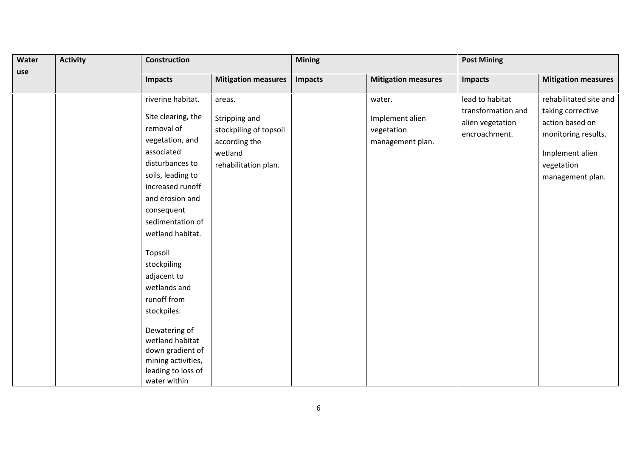| Water | <b>Activity</b> | <b>Construction</b>                                                                                                                                                                                                                                                                                                                 |                                                                                                       | <b>Mining</b>  |                                                             | <b>Post Mining</b>                                                         |                                                                                                                                            |  |
|-------|-----------------|-------------------------------------------------------------------------------------------------------------------------------------------------------------------------------------------------------------------------------------------------------------------------------------------------------------------------------------|-------------------------------------------------------------------------------------------------------|----------------|-------------------------------------------------------------|----------------------------------------------------------------------------|--------------------------------------------------------------------------------------------------------------------------------------------|--|
| use   |                 | <b>Impacts</b>                                                                                                                                                                                                                                                                                                                      | <b>Mitigation measures</b>                                                                            | <b>Impacts</b> | <b>Mitigation measures</b>                                  | <b>Impacts</b>                                                             | <b>Mitigation measures</b>                                                                                                                 |  |
|       |                 | riverine habitat.<br>Site clearing, the<br>removal of<br>vegetation, and<br>associated<br>disturbances to<br>soils, leading to<br>increased runoff<br>and erosion and<br>consequent<br>sedimentation of<br>wetland habitat.<br>Topsoil<br>stockpiling<br>adjacent to<br>wetlands and<br>runoff from<br>stockpiles.<br>Dewatering of | areas.<br>Stripping and<br>stockpiling of topsoil<br>according the<br>wetland<br>rehabilitation plan. |                | water.<br>Implement alien<br>vegetation<br>management plan. | lead to habitat<br>transformation and<br>alien vegetation<br>encroachment. | rehabilitated site and<br>taking corrective<br>action based on<br>monitoring results.<br>Implement alien<br>vegetation<br>management plan. |  |
|       |                 | wetland habitat<br>down gradient of<br>mining activities,<br>leading to loss of<br>water within                                                                                                                                                                                                                                     |                                                                                                       |                |                                                             |                                                                            |                                                                                                                                            |  |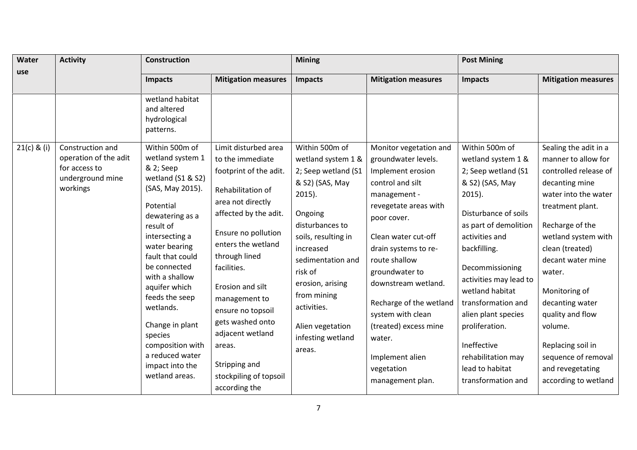| Water         | <b>Activity</b>                               | <b>Construction</b>                                                                                                                                                                                                                                                                                                                                |                                                                                                                                                                                                                                                                                                                                                | <b>Mining</b>                                                                                                                                                                                                                                              |                                                                                                                                                                                                                                                                                                                                                | <b>Post Mining</b>                                                                                                                                                                                                                                                                                                                                  |                                                                                                                                                                                                                                                                                                                                            |
|---------------|-----------------------------------------------|----------------------------------------------------------------------------------------------------------------------------------------------------------------------------------------------------------------------------------------------------------------------------------------------------------------------------------------------------|------------------------------------------------------------------------------------------------------------------------------------------------------------------------------------------------------------------------------------------------------------------------------------------------------------------------------------------------|------------------------------------------------------------------------------------------------------------------------------------------------------------------------------------------------------------------------------------------------------------|------------------------------------------------------------------------------------------------------------------------------------------------------------------------------------------------------------------------------------------------------------------------------------------------------------------------------------------------|-----------------------------------------------------------------------------------------------------------------------------------------------------------------------------------------------------------------------------------------------------------------------------------------------------------------------------------------------------|--------------------------------------------------------------------------------------------------------------------------------------------------------------------------------------------------------------------------------------------------------------------------------------------------------------------------------------------|
| use           |                                               | <b>Impacts</b>                                                                                                                                                                                                                                                                                                                                     | <b>Mitigation measures</b>                                                                                                                                                                                                                                                                                                                     | <b>Impacts</b>                                                                                                                                                                                                                                             | <b>Mitigation measures</b>                                                                                                                                                                                                                                                                                                                     | <b>Impacts</b>                                                                                                                                                                                                                                                                                                                                      | <b>Mitigation measures</b>                                                                                                                                                                                                                                                                                                                 |
| $21(c)$ & (i) | Construction and<br>operation of the adit     | wetland habitat<br>and altered<br>hydrological<br>patterns.<br>Within 500m of<br>wetland system 1                                                                                                                                                                                                                                                  | Limit disturbed area<br>to the immediate                                                                                                                                                                                                                                                                                                       | Within 500m of<br>wetland system 1 &                                                                                                                                                                                                                       | Monitor vegetation and<br>groundwater levels.                                                                                                                                                                                                                                                                                                  | Within 500m of<br>wetland system 1 &                                                                                                                                                                                                                                                                                                                | Sealing the adit in a<br>manner to allow for                                                                                                                                                                                                                                                                                               |
|               | for access to<br>underground mine<br>workings | & 2; Seep<br>wetland (S1 & S2)<br>(SAS, May 2015).<br>Potential<br>dewatering as a<br>result of<br>intersecting a<br>water bearing<br>fault that could<br>be connected<br>with a shallow<br>aquifer which<br>feeds the seep<br>wetlands.<br>Change in plant<br>species<br>composition with<br>a reduced water<br>impact into the<br>wetland areas. | footprint of the adit.<br>Rehabilitation of<br>area not directly<br>affected by the adit.<br>Ensure no pollution<br>enters the wetland<br>through lined<br>facilities.<br>Erosion and silt<br>management to<br>ensure no topsoil<br>gets washed onto<br>adjacent wetland<br>areas.<br>Stripping and<br>stockpiling of topsoil<br>according the | 2; Seep wetland (S1<br>& S2) (SAS, May<br>$2015$ ).<br>Ongoing<br>disturbances to<br>soils, resulting in<br>increased<br>sedimentation and<br>risk of<br>erosion, arising<br>from mining<br>activities.<br>Alien vegetation<br>infesting wetland<br>areas. | Implement erosion<br>control and silt<br>management -<br>revegetate areas with<br>poor cover.<br>Clean water cut-off<br>drain systems to re-<br>route shallow<br>groundwater to<br>downstream wetland.<br>Recharge of the wetland<br>system with clean<br>(treated) excess mine<br>water.<br>Implement alien<br>vegetation<br>management plan. | 2; Seep wetland (S1<br>& S2) (SAS, May<br>$2015$ ).<br>Disturbance of soils<br>as part of demolition<br>activities and<br>backfilling.<br>Decommissioning<br>activities may lead to<br>wetland habitat<br>transformation and<br>alien plant species<br>proliferation.<br>Ineffective<br>rehabilitation may<br>lead to habitat<br>transformation and | controlled release of<br>decanting mine<br>water into the water<br>treatment plant.<br>Recharge of the<br>wetland system with<br>clean (treated)<br>decant water mine<br>water.<br>Monitoring of<br>decanting water<br>quality and flow<br>volume.<br>Replacing soil in<br>sequence of removal<br>and revegetating<br>according to wetland |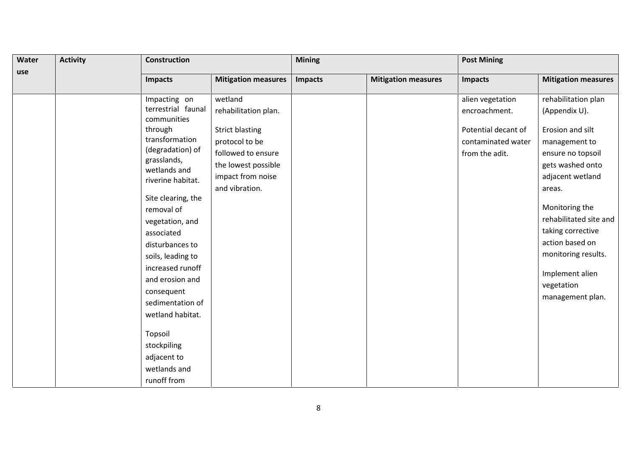| <b>Water</b> | <b>Activity</b> | <b>Construction</b>               |                            | <b>Mining</b> |                            | <b>Post Mining</b>  |                            |  |
|--------------|-----------------|-----------------------------------|----------------------------|---------------|----------------------------|---------------------|----------------------------|--|
| use          |                 | <b>Impacts</b>                    | <b>Mitigation measures</b> | Impacts       | <b>Mitigation measures</b> | <b>Impacts</b>      | <b>Mitigation measures</b> |  |
|              |                 | Impacting on                      | wetland                    |               |                            | alien vegetation    | rehabilitation plan        |  |
|              |                 | terrestrial faunal<br>communities | rehabilitation plan.       |               |                            | encroachment.       | (Appendix U).              |  |
|              |                 | through                           | <b>Strict blasting</b>     |               |                            | Potential decant of | Erosion and silt           |  |
|              |                 | transformation                    | protocol to be             |               |                            | contaminated water  | management to              |  |
|              |                 | (degradation) of                  | followed to ensure         |               |                            | from the adit.      | ensure no topsoil          |  |
|              |                 | grasslands,<br>wetlands and       | the lowest possible        |               |                            |                     | gets washed onto           |  |
|              |                 | riverine habitat.                 | impact from noise          |               |                            |                     | adjacent wetland           |  |
|              |                 |                                   | and vibration.             |               |                            |                     | areas.                     |  |
|              |                 | Site clearing, the                |                            |               |                            |                     |                            |  |
|              |                 | removal of                        |                            |               |                            |                     | Monitoring the             |  |
|              |                 | vegetation, and                   |                            |               |                            |                     | rehabilitated site and     |  |
|              |                 | associated                        |                            |               |                            |                     | taking corrective          |  |
|              |                 | disturbances to                   |                            |               |                            |                     | action based on            |  |
|              |                 | soils, leading to                 |                            |               |                            |                     | monitoring results.        |  |
|              |                 | increased runoff                  |                            |               |                            |                     | Implement alien            |  |
|              |                 | and erosion and                   |                            |               |                            |                     | vegetation                 |  |
|              |                 | consequent                        |                            |               |                            |                     |                            |  |
|              |                 | sedimentation of                  |                            |               |                            |                     | management plan.           |  |
|              |                 | wetland habitat.                  |                            |               |                            |                     |                            |  |
|              |                 | Topsoil                           |                            |               |                            |                     |                            |  |
|              |                 | stockpiling                       |                            |               |                            |                     |                            |  |
|              |                 | adjacent to                       |                            |               |                            |                     |                            |  |
|              |                 | wetlands and                      |                            |               |                            |                     |                            |  |
|              |                 | runoff from                       |                            |               |                            |                     |                            |  |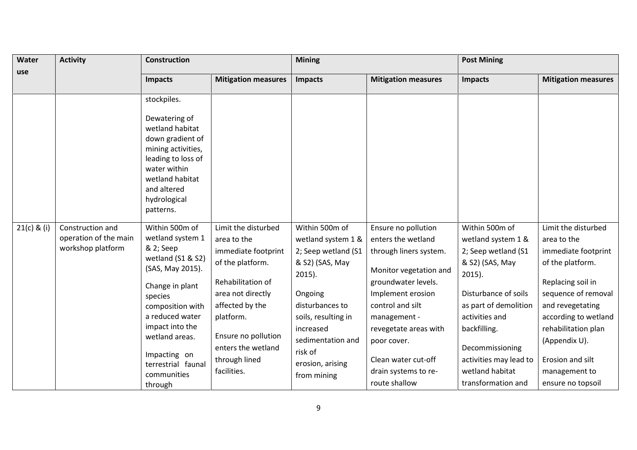| Water         | <b>Activity</b>                                                | <b>Construction</b>                                                                                                                                                                                                                                                |                                                                                                                                                                                                                                      | <b>Mining</b>                                                                                                                                                                                                                    |                                                                                                                                                                                                                                                                                       | <b>Post Mining</b>                                                                                                                                                                                                                                                   |                                                                                                                                                                                                                                                                         |
|---------------|----------------------------------------------------------------|--------------------------------------------------------------------------------------------------------------------------------------------------------------------------------------------------------------------------------------------------------------------|--------------------------------------------------------------------------------------------------------------------------------------------------------------------------------------------------------------------------------------|----------------------------------------------------------------------------------------------------------------------------------------------------------------------------------------------------------------------------------|---------------------------------------------------------------------------------------------------------------------------------------------------------------------------------------------------------------------------------------------------------------------------------------|----------------------------------------------------------------------------------------------------------------------------------------------------------------------------------------------------------------------------------------------------------------------|-------------------------------------------------------------------------------------------------------------------------------------------------------------------------------------------------------------------------------------------------------------------------|
| use           |                                                                | <b>Impacts</b>                                                                                                                                                                                                                                                     | <b>Mitigation measures</b>                                                                                                                                                                                                           | <b>Impacts</b>                                                                                                                                                                                                                   | <b>Mitigation measures</b>                                                                                                                                                                                                                                                            | <b>Impacts</b>                                                                                                                                                                                                                                                       | <b>Mitigation measures</b>                                                                                                                                                                                                                                              |
|               |                                                                | stockpiles.<br>Dewatering of<br>wetland habitat<br>down gradient of<br>mining activities,<br>leading to loss of<br>water within<br>wetland habitat<br>and altered<br>hydrological<br>patterns.                                                                     |                                                                                                                                                                                                                                      |                                                                                                                                                                                                                                  |                                                                                                                                                                                                                                                                                       |                                                                                                                                                                                                                                                                      |                                                                                                                                                                                                                                                                         |
| $21(c)$ & (i) | Construction and<br>operation of the main<br>workshop platform | Within 500m of<br>wetland system 1<br>& 2; Seep<br>wetland (S1 & S2)<br>(SAS, May 2015).<br>Change in plant<br>species<br>composition with<br>a reduced water<br>impact into the<br>wetland areas.<br>Impacting on<br>terrestrial faunal<br>communities<br>through | Limit the disturbed<br>area to the<br>immediate footprint<br>of the platform.<br>Rehabilitation of<br>area not directly<br>affected by the<br>platform.<br>Ensure no pollution<br>enters the wetland<br>through lined<br>facilities. | Within 500m of<br>wetland system 1 &<br>2; Seep wetland (S1<br>& S2) (SAS, May<br>$2015$ ).<br>Ongoing<br>disturbances to<br>soils, resulting in<br>increased<br>sedimentation and<br>risk of<br>erosion, arising<br>from mining | Ensure no pollution<br>enters the wetland<br>through liners system.<br>Monitor vegetation and<br>groundwater levels.<br>Implement erosion<br>control and silt<br>management -<br>revegetate areas with<br>poor cover.<br>Clean water cut-off<br>drain systems to re-<br>route shallow | Within 500m of<br>wetland system 1 &<br>2; Seep wetland (S1<br>& S2) (SAS, May<br>$2015$ ).<br>Disturbance of soils<br>as part of demolition<br>activities and<br>backfilling.<br>Decommissioning<br>activities may lead to<br>wetland habitat<br>transformation and | Limit the disturbed<br>area to the<br>immediate footprint<br>of the platform.<br>Replacing soil in<br>sequence of removal<br>and revegetating<br>according to wetland<br>rehabilitation plan<br>(Appendix U).<br>Erosion and silt<br>management to<br>ensure no topsoil |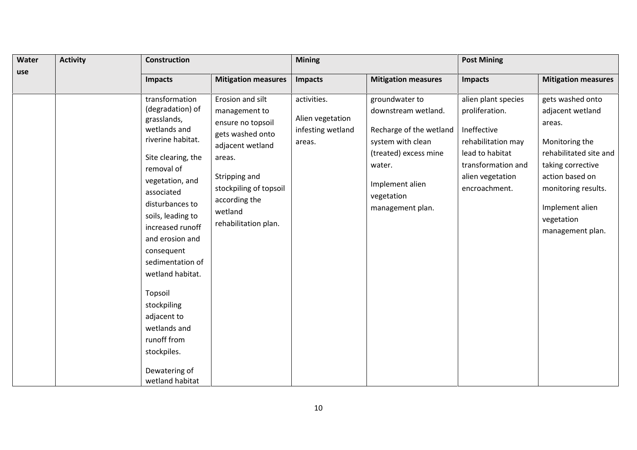| Water | <b>Activity</b> | <b>Construction</b>                                                                                                                                                                                                                                                                                                                                                                                      |                                                                                                                                                                                                         |                                                                | <b>Mining</b>                                                                                                                                                                 |                                                                                                                                                          | <b>Post Mining</b>                                                                                                                                                                                             |  |  |
|-------|-----------------|----------------------------------------------------------------------------------------------------------------------------------------------------------------------------------------------------------------------------------------------------------------------------------------------------------------------------------------------------------------------------------------------------------|---------------------------------------------------------------------------------------------------------------------------------------------------------------------------------------------------------|----------------------------------------------------------------|-------------------------------------------------------------------------------------------------------------------------------------------------------------------------------|----------------------------------------------------------------------------------------------------------------------------------------------------------|----------------------------------------------------------------------------------------------------------------------------------------------------------------------------------------------------------------|--|--|
| use   |                 | Impacts                                                                                                                                                                                                                                                                                                                                                                                                  | <b>Mitigation measures</b>                                                                                                                                                                              | Impacts                                                        | <b>Mitigation measures</b>                                                                                                                                                    | Impacts                                                                                                                                                  | <b>Mitigation measures</b>                                                                                                                                                                                     |  |  |
|       |                 | transformation<br>(degradation) of<br>grasslands,<br>wetlands and<br>riverine habitat.<br>Site clearing, the<br>removal of<br>vegetation, and<br>associated<br>disturbances to<br>soils, leading to<br>increased runoff<br>and erosion and<br>consequent<br>sedimentation of<br>wetland habitat.<br>Topsoil<br>stockpiling<br>adjacent to<br>wetlands and<br>runoff from<br>stockpiles.<br>Dewatering of | Erosion and silt<br>management to<br>ensure no topsoil<br>gets washed onto<br>adjacent wetland<br>areas.<br>Stripping and<br>stockpiling of topsoil<br>according the<br>wetland<br>rehabilitation plan. | activities.<br>Alien vegetation<br>infesting wetland<br>areas. | groundwater to<br>downstream wetland.<br>Recharge of the wetland<br>system with clean<br>(treated) excess mine<br>water.<br>Implement alien<br>vegetation<br>management plan. | alien plant species<br>proliferation.<br>Ineffective<br>rehabilitation may<br>lead to habitat<br>transformation and<br>alien vegetation<br>encroachment. | gets washed onto<br>adjacent wetland<br>areas.<br>Monitoring the<br>rehabilitated site and<br>taking corrective<br>action based on<br>monitoring results.<br>Implement alien<br>vegetation<br>management plan. |  |  |
|       |                 | wetland habitat                                                                                                                                                                                                                                                                                                                                                                                          |                                                                                                                                                                                                         |                                                                |                                                                                                                                                                               |                                                                                                                                                          |                                                                                                                                                                                                                |  |  |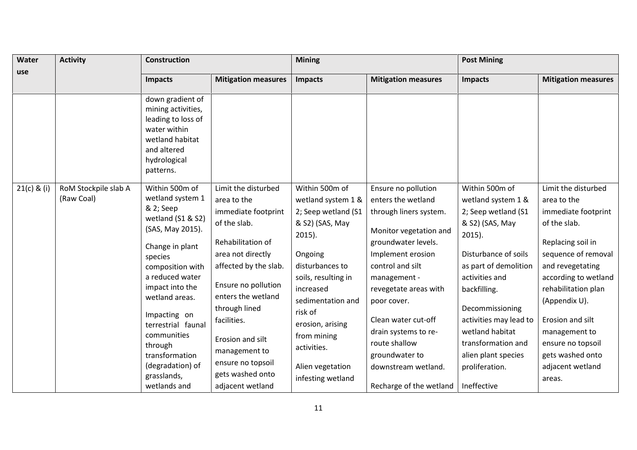| Water         | <b>Activity</b>                    | <b>Construction</b>                                                                                                                                                                                                                                                                                                     |                                                                                                                                                                                                                                                                                                         | <b>Mining</b>                                                                                                                                                                                                                                                                            |                                                                                                                                                                                                                                                                                                                                | <b>Post Mining</b>                                                                                                                                                                                                                                                                                            |                                                                                                                                                                                                                                                                                                                       |
|---------------|------------------------------------|-------------------------------------------------------------------------------------------------------------------------------------------------------------------------------------------------------------------------------------------------------------------------------------------------------------------------|---------------------------------------------------------------------------------------------------------------------------------------------------------------------------------------------------------------------------------------------------------------------------------------------------------|------------------------------------------------------------------------------------------------------------------------------------------------------------------------------------------------------------------------------------------------------------------------------------------|--------------------------------------------------------------------------------------------------------------------------------------------------------------------------------------------------------------------------------------------------------------------------------------------------------------------------------|---------------------------------------------------------------------------------------------------------------------------------------------------------------------------------------------------------------------------------------------------------------------------------------------------------------|-----------------------------------------------------------------------------------------------------------------------------------------------------------------------------------------------------------------------------------------------------------------------------------------------------------------------|
| use           |                                    | <b>Impacts</b>                                                                                                                                                                                                                                                                                                          | <b>Mitigation measures</b>                                                                                                                                                                                                                                                                              | <b>Impacts</b>                                                                                                                                                                                                                                                                           | <b>Mitigation measures</b>                                                                                                                                                                                                                                                                                                     | <b>Impacts</b>                                                                                                                                                                                                                                                                                                | <b>Mitigation measures</b>                                                                                                                                                                                                                                                                                            |
|               |                                    | down gradient of<br>mining activities,<br>leading to loss of<br>water within<br>wetland habitat<br>and altered<br>hydrological<br>patterns.                                                                                                                                                                             |                                                                                                                                                                                                                                                                                                         |                                                                                                                                                                                                                                                                                          |                                                                                                                                                                                                                                                                                                                                |                                                                                                                                                                                                                                                                                                               |                                                                                                                                                                                                                                                                                                                       |
| $21(c)$ & (i) | RoM Stockpile slab A<br>(Raw Coal) | Within 500m of<br>wetland system 1<br>& 2; Seep<br>wetland (S1 & S2)<br>(SAS, May 2015).<br>Change in plant<br>species<br>composition with<br>a reduced water<br>impact into the<br>wetland areas.<br>Impacting on<br>terrestrial faunal<br>communities<br>through<br>transformation<br>(degradation) of<br>grasslands, | Limit the disturbed<br>area to the<br>immediate footprint<br>of the slab.<br>Rehabilitation of<br>area not directly<br>affected by the slab.<br>Ensure no pollution<br>enters the wetland<br>through lined<br>facilities.<br>Erosion and silt<br>management to<br>ensure no topsoil<br>gets washed onto | Within 500m of<br>wetland system 1 &<br>2; Seep wetland (S1<br>& S2) (SAS, May<br>$2015$ ).<br>Ongoing<br>disturbances to<br>soils, resulting in<br>increased<br>sedimentation and<br>risk of<br>erosion, arising<br>from mining<br>activities.<br>Alien vegetation<br>infesting wetland | Ensure no pollution<br>enters the wetland<br>through liners system.<br>Monitor vegetation and<br>groundwater levels.<br>Implement erosion<br>control and silt<br>management -<br>revegetate areas with<br>poor cover.<br>Clean water cut-off<br>drain systems to re-<br>route shallow<br>groundwater to<br>downstream wetland. | Within 500m of<br>wetland system 1 &<br>2; Seep wetland (S1<br>& S2) (SAS, May<br>$2015$ ).<br>Disturbance of soils<br>as part of demolition<br>activities and<br>backfilling.<br>Decommissioning<br>activities may lead to<br>wetland habitat<br>transformation and<br>alien plant species<br>proliferation. | Limit the disturbed<br>area to the<br>immediate footprint<br>of the slab.<br>Replacing soil in<br>sequence of removal<br>and revegetating<br>according to wetland<br>rehabilitation plan<br>(Appendix U).<br>Erosion and silt<br>management to<br>ensure no topsoil<br>gets washed onto<br>adjacent wetland<br>areas. |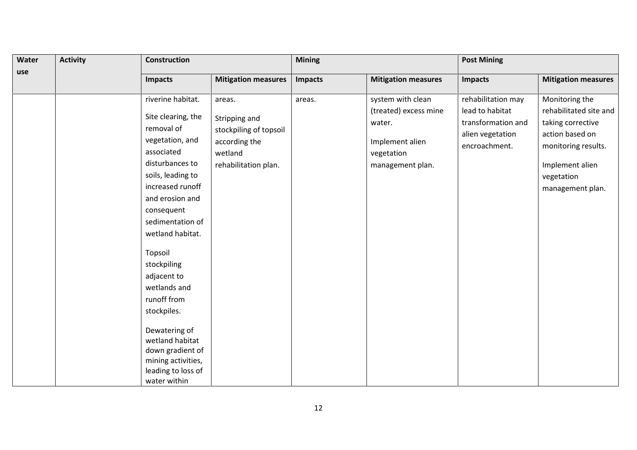| Water | <b>Activity</b> | <b>Construction</b>                                                                                                                                                                                                                                                                                                                                    |                                                                                                       |                | <b>Mining</b>                                                                                             |                                                                                                  | <b>Post Mining</b>                                                                                                                                           |  |  |
|-------|-----------------|--------------------------------------------------------------------------------------------------------------------------------------------------------------------------------------------------------------------------------------------------------------------------------------------------------------------------------------------------------|-------------------------------------------------------------------------------------------------------|----------------|-----------------------------------------------------------------------------------------------------------|--------------------------------------------------------------------------------------------------|--------------------------------------------------------------------------------------------------------------------------------------------------------------|--|--|
| use   |                 | <b>Impacts</b>                                                                                                                                                                                                                                                                                                                                         | <b>Mitigation measures</b>                                                                            | <b>Impacts</b> | <b>Mitigation measures</b>                                                                                | <b>Impacts</b>                                                                                   | <b>Mitigation measures</b>                                                                                                                                   |  |  |
|       |                 | riverine habitat.<br>Site clearing, the<br>removal of<br>vegetation, and<br>associated<br>disturbances to<br>soils, leading to<br>increased runoff<br>and erosion and<br>consequent<br>sedimentation of<br>wetland habitat.<br>Topsoil<br>stockpiling<br>adjacent to<br>wetlands and<br>runoff from<br>stockpiles.<br>Dewatering of<br>wetland habitat | areas.<br>Stripping and<br>stockpiling of topsoil<br>according the<br>wetland<br>rehabilitation plan. | areas.         | system with clean<br>(treated) excess mine<br>water.<br>Implement alien<br>vegetation<br>management plan. | rehabilitation may<br>lead to habitat<br>transformation and<br>alien vegetation<br>encroachment. | Monitoring the<br>rehabilitated site and<br>taking corrective<br>action based on<br>monitoring results.<br>Implement alien<br>vegetation<br>management plan. |  |  |
|       |                 | down gradient of<br>mining activities,<br>leading to loss of<br>water within                                                                                                                                                                                                                                                                           |                                                                                                       |                |                                                                                                           |                                                                                                  |                                                                                                                                                              |  |  |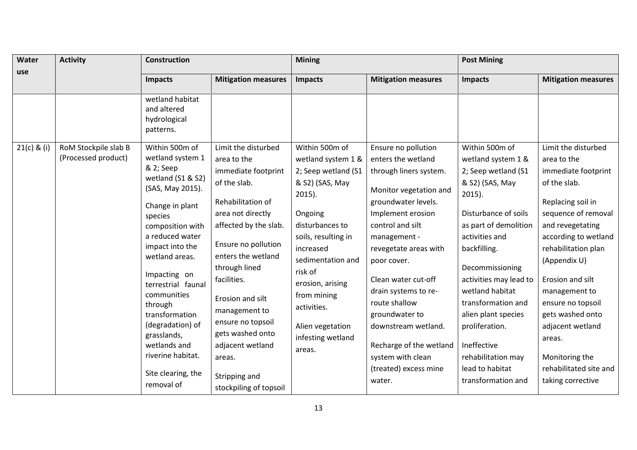| Water         | <b>Activity</b>                             | <b>Construction</b>                                                                                                                                                                                                                                                                                                                                        |                                                                                                                                                                                                                                                                                                                                            | <b>Mining</b>                                                                                                                                                                                                                                              |                                                                                                                                                                                                                                                                                                                                                                      | <b>Post Mining</b>                                                                                                                                                                                                                                                                                                                                  |                                                                                                                                                                                                                                                                                                                                                 |
|---------------|---------------------------------------------|------------------------------------------------------------------------------------------------------------------------------------------------------------------------------------------------------------------------------------------------------------------------------------------------------------------------------------------------------------|--------------------------------------------------------------------------------------------------------------------------------------------------------------------------------------------------------------------------------------------------------------------------------------------------------------------------------------------|------------------------------------------------------------------------------------------------------------------------------------------------------------------------------------------------------------------------------------------------------------|----------------------------------------------------------------------------------------------------------------------------------------------------------------------------------------------------------------------------------------------------------------------------------------------------------------------------------------------------------------------|-----------------------------------------------------------------------------------------------------------------------------------------------------------------------------------------------------------------------------------------------------------------------------------------------------------------------------------------------------|-------------------------------------------------------------------------------------------------------------------------------------------------------------------------------------------------------------------------------------------------------------------------------------------------------------------------------------------------|
| use           |                                             | Impacts                                                                                                                                                                                                                                                                                                                                                    | <b>Mitigation measures</b>                                                                                                                                                                                                                                                                                                                 | Impacts                                                                                                                                                                                                                                                    | <b>Mitigation measures</b>                                                                                                                                                                                                                                                                                                                                           | <b>Impacts</b>                                                                                                                                                                                                                                                                                                                                      | <b>Mitigation measures</b>                                                                                                                                                                                                                                                                                                                      |
| $21(c)$ & (i) | RoM Stockpile slab B<br>(Processed product) | wetland habitat<br>and altered<br>hydrological<br>patterns.<br>Within 500m of<br>wetland system 1                                                                                                                                                                                                                                                          | Limit the disturbed<br>area to the                                                                                                                                                                                                                                                                                                         | Within 500m of<br>wetland system 1 &                                                                                                                                                                                                                       | Ensure no pollution<br>enters the wetland                                                                                                                                                                                                                                                                                                                            | Within 500m of<br>wetland system 1 &                                                                                                                                                                                                                                                                                                                | Limit the disturbed<br>area to the                                                                                                                                                                                                                                                                                                              |
|               |                                             | & 2; Seep<br>wetland (S1 & S2)<br>(SAS, May 2015).<br>Change in plant<br>species<br>composition with<br>a reduced water<br>impact into the<br>wetland areas.<br>Impacting on<br>terrestrial faunal<br>communities<br>through<br>transformation<br>(degradation) of<br>grasslands,<br>wetlands and<br>riverine habitat.<br>Site clearing, the<br>removal of | immediate footprint<br>of the slab.<br>Rehabilitation of<br>area not directly<br>affected by the slab.<br>Ensure no pollution<br>enters the wetland<br>through lined<br>facilities.<br>Erosion and silt<br>management to<br>ensure no topsoil<br>gets washed onto<br>adjacent wetland<br>areas.<br>Stripping and<br>stockpiling of topsoil | 2; Seep wetland (S1<br>& S2) (SAS, May<br>$2015$ ).<br>Ongoing<br>disturbances to<br>soils, resulting in<br>increased<br>sedimentation and<br>risk of<br>erosion, arising<br>from mining<br>activities.<br>Alien vegetation<br>infesting wetland<br>areas. | through liners system.<br>Monitor vegetation and<br>groundwater levels.<br>Implement erosion<br>control and silt<br>management -<br>revegetate areas with<br>poor cover.<br>Clean water cut-off<br>drain systems to re-<br>route shallow<br>groundwater to<br>downstream wetland.<br>Recharge of the wetland<br>system with clean<br>(treated) excess mine<br>water. | 2; Seep wetland (S1<br>& S2) (SAS, May<br>$2015$ ).<br>Disturbance of soils<br>as part of demolition<br>activities and<br>backfilling.<br>Decommissioning<br>activities may lead to<br>wetland habitat<br>transformation and<br>alien plant species<br>proliferation.<br>Ineffective<br>rehabilitation may<br>lead to habitat<br>transformation and | immediate footprint<br>of the slab.<br>Replacing soil in<br>sequence of removal<br>and revegetating<br>according to wetland<br>rehabilitation plan<br>(Appendix U)<br>Erosion and silt<br>management to<br>ensure no topsoil<br>gets washed onto<br>adjacent wetland<br>areas.<br>Monitoring the<br>rehabilitated site and<br>taking corrective |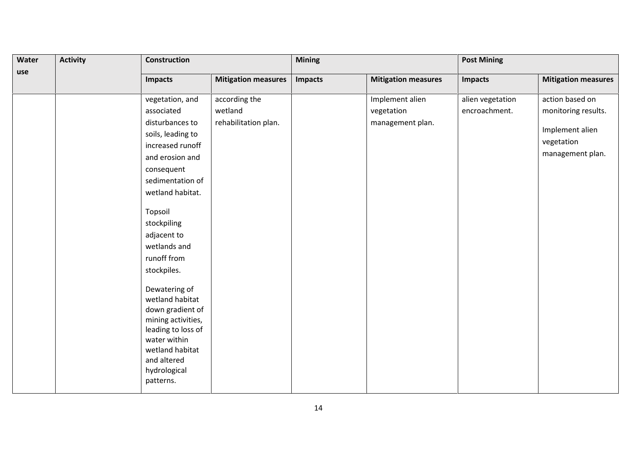| Water | <b>Activity</b> | <b>Construction</b>                                                                                                                                                             |                            | <b>Mining</b> |                            | <b>Post Mining</b> |                            |
|-------|-----------------|---------------------------------------------------------------------------------------------------------------------------------------------------------------------------------|----------------------------|---------------|----------------------------|--------------------|----------------------------|
| use   |                 | <b>Impacts</b>                                                                                                                                                                  | <b>Mitigation measures</b> | Impacts       | <b>Mitigation measures</b> | <b>Impacts</b>     | <b>Mitigation measures</b> |
|       |                 | vegetation, and                                                                                                                                                                 | according the              |               | Implement alien            | alien vegetation   | action based on            |
|       |                 | associated                                                                                                                                                                      | wetland                    |               | vegetation                 | encroachment.      | monitoring results.        |
|       |                 | disturbances to                                                                                                                                                                 | rehabilitation plan.       |               | management plan.           |                    |                            |
|       |                 | soils, leading to                                                                                                                                                               |                            |               |                            |                    | Implement alien            |
|       |                 | increased runoff                                                                                                                                                                |                            |               |                            |                    | vegetation                 |
|       |                 | and erosion and                                                                                                                                                                 |                            |               |                            |                    | management plan.           |
|       |                 | consequent                                                                                                                                                                      |                            |               |                            |                    |                            |
|       |                 | sedimentation of                                                                                                                                                                |                            |               |                            |                    |                            |
|       |                 | wetland habitat.                                                                                                                                                                |                            |               |                            |                    |                            |
|       |                 | Topsoil<br>stockpiling                                                                                                                                                          |                            |               |                            |                    |                            |
|       |                 | adjacent to                                                                                                                                                                     |                            |               |                            |                    |                            |
|       |                 | wetlands and                                                                                                                                                                    |                            |               |                            |                    |                            |
|       |                 | runoff from                                                                                                                                                                     |                            |               |                            |                    |                            |
|       |                 | stockpiles.                                                                                                                                                                     |                            |               |                            |                    |                            |
|       |                 | Dewatering of<br>wetland habitat<br>down gradient of<br>mining activities,<br>leading to loss of<br>water within<br>wetland habitat<br>and altered<br>hydrological<br>patterns. |                            |               |                            |                    |                            |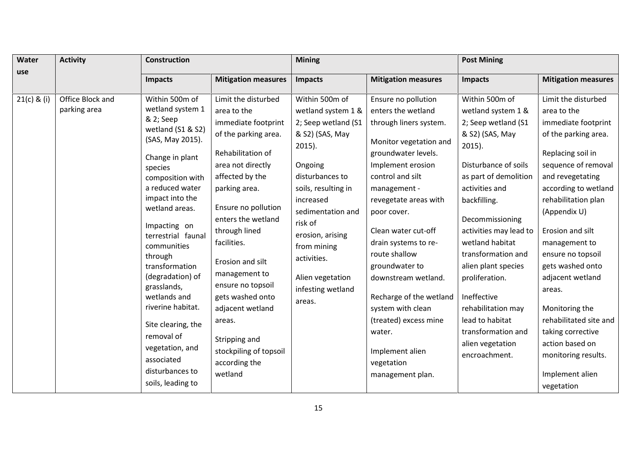| Water<br>use  | <b>Activity</b>                  | <b>Construction</b>                                                                                                                                                                                                                                                                                                                                                                                                                                                       |                                                                                                                                                                                                                                                                                                                                                                                                                                 | <b>Mining</b>                                                                                                                                                                                                                                                                                      |                                                                                                                                                                                                                                                                                                                                                                                                                                                                        | <b>Post Mining</b>                                                                                                                                                                                                                                                                                                                                                                                                               |                                                                                                                                                                                                                                                                                                                                                                                                                                                                          |
|---------------|----------------------------------|---------------------------------------------------------------------------------------------------------------------------------------------------------------------------------------------------------------------------------------------------------------------------------------------------------------------------------------------------------------------------------------------------------------------------------------------------------------------------|---------------------------------------------------------------------------------------------------------------------------------------------------------------------------------------------------------------------------------------------------------------------------------------------------------------------------------------------------------------------------------------------------------------------------------|----------------------------------------------------------------------------------------------------------------------------------------------------------------------------------------------------------------------------------------------------------------------------------------------------|------------------------------------------------------------------------------------------------------------------------------------------------------------------------------------------------------------------------------------------------------------------------------------------------------------------------------------------------------------------------------------------------------------------------------------------------------------------------|----------------------------------------------------------------------------------------------------------------------------------------------------------------------------------------------------------------------------------------------------------------------------------------------------------------------------------------------------------------------------------------------------------------------------------|--------------------------------------------------------------------------------------------------------------------------------------------------------------------------------------------------------------------------------------------------------------------------------------------------------------------------------------------------------------------------------------------------------------------------------------------------------------------------|
|               |                                  | <b>Impacts</b>                                                                                                                                                                                                                                                                                                                                                                                                                                                            | <b>Mitigation measures</b>                                                                                                                                                                                                                                                                                                                                                                                                      | <b>Impacts</b>                                                                                                                                                                                                                                                                                     | <b>Mitigation measures</b>                                                                                                                                                                                                                                                                                                                                                                                                                                             | Impacts                                                                                                                                                                                                                                                                                                                                                                                                                          | <b>Mitigation measures</b>                                                                                                                                                                                                                                                                                                                                                                                                                                               |
| $21(c)$ & (i) | Office Block and<br>parking area | Within 500m of<br>wetland system 1<br>& 2; Seep<br>wetland (S1 & S2)<br>(SAS, May 2015).<br>Change in plant<br>species<br>composition with<br>a reduced water<br>impact into the<br>wetland areas.<br>Impacting on<br>terrestrial faunal<br>communities<br>through<br>transformation<br>(degradation) of<br>grasslands,<br>wetlands and<br>riverine habitat.<br>Site clearing, the<br>removal of<br>vegetation, and<br>associated<br>disturbances to<br>soils, leading to | Limit the disturbed<br>area to the<br>immediate footprint<br>of the parking area.<br>Rehabilitation of<br>area not directly<br>affected by the<br>parking area.<br>Ensure no pollution<br>enters the wetland<br>through lined<br>facilities.<br>Erosion and silt<br>management to<br>ensure no topsoil<br>gets washed onto<br>adjacent wetland<br>areas.<br>Stripping and<br>stockpiling of topsoil<br>according the<br>wetland | Within 500m of<br>wetland system 1 &<br>2; Seep wetland (S1<br>& S2) (SAS, May<br>$2015$ ).<br>Ongoing<br>disturbances to<br>soils, resulting in<br>increased<br>sedimentation and<br>risk of<br>erosion, arising<br>from mining<br>activities.<br>Alien vegetation<br>infesting wetland<br>areas. | Ensure no pollution<br>enters the wetland<br>through liners system.<br>Monitor vegetation and<br>groundwater levels.<br>Implement erosion<br>control and silt<br>management -<br>revegetate areas with<br>poor cover.<br>Clean water cut-off<br>drain systems to re-<br>route shallow<br>groundwater to<br>downstream wetland.<br>Recharge of the wetland<br>system with clean<br>(treated) excess mine<br>water.<br>Implement alien<br>vegetation<br>management plan. | Within 500m of<br>wetland system 1 &<br>2; Seep wetland (S1<br>& S2) (SAS, May<br>$2015$ ).<br>Disturbance of soils<br>as part of demolition<br>activities and<br>backfilling.<br>Decommissioning<br>activities may lead to<br>wetland habitat<br>transformation and<br>alien plant species<br>proliferation.<br>Ineffective<br>rehabilitation may<br>lead to habitat<br>transformation and<br>alien vegetation<br>encroachment. | Limit the disturbed<br>area to the<br>immediate footprint<br>of the parking area.<br>Replacing soil in<br>sequence of removal<br>and revegetating<br>according to wetland<br>rehabilitation plan<br>(Appendix U)<br>Erosion and silt<br>management to<br>ensure no topsoil<br>gets washed onto<br>adjacent wetland<br>areas.<br>Monitoring the<br>rehabilitated site and<br>taking corrective<br>action based on<br>monitoring results.<br>Implement alien<br>vegetation |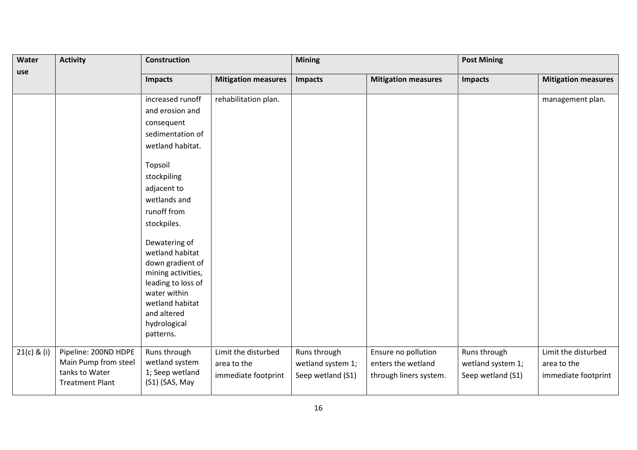| Water       | <b>Activity</b>                                                                          | Construction                                                                                                                                                                    |                                                           | <b>Mining</b>                                          |                                                                     | <b>Post Mining</b>                                     |                                                           |
|-------------|------------------------------------------------------------------------------------------|---------------------------------------------------------------------------------------------------------------------------------------------------------------------------------|-----------------------------------------------------------|--------------------------------------------------------|---------------------------------------------------------------------|--------------------------------------------------------|-----------------------------------------------------------|
| use         |                                                                                          | <b>Impacts</b>                                                                                                                                                                  | <b>Mitigation measures</b>                                | <b>Impacts</b>                                         | <b>Mitigation measures</b>                                          | <b>Impacts</b>                                         | <b>Mitigation measures</b>                                |
|             |                                                                                          | increased runoff                                                                                                                                                                | rehabilitation plan.                                      |                                                        |                                                                     |                                                        | management plan.                                          |
|             |                                                                                          | and erosion and                                                                                                                                                                 |                                                           |                                                        |                                                                     |                                                        |                                                           |
|             |                                                                                          | consequent                                                                                                                                                                      |                                                           |                                                        |                                                                     |                                                        |                                                           |
|             |                                                                                          | sedimentation of                                                                                                                                                                |                                                           |                                                        |                                                                     |                                                        |                                                           |
|             |                                                                                          | wetland habitat.                                                                                                                                                                |                                                           |                                                        |                                                                     |                                                        |                                                           |
|             |                                                                                          | Topsoil                                                                                                                                                                         |                                                           |                                                        |                                                                     |                                                        |                                                           |
|             |                                                                                          | stockpiling                                                                                                                                                                     |                                                           |                                                        |                                                                     |                                                        |                                                           |
|             |                                                                                          | adjacent to                                                                                                                                                                     |                                                           |                                                        |                                                                     |                                                        |                                                           |
|             |                                                                                          | wetlands and                                                                                                                                                                    |                                                           |                                                        |                                                                     |                                                        |                                                           |
|             |                                                                                          | runoff from                                                                                                                                                                     |                                                           |                                                        |                                                                     |                                                        |                                                           |
|             |                                                                                          | stockpiles.                                                                                                                                                                     |                                                           |                                                        |                                                                     |                                                        |                                                           |
|             |                                                                                          | Dewatering of<br>wetland habitat<br>down gradient of<br>mining activities,<br>leading to loss of<br>water within<br>wetland habitat<br>and altered<br>hydrological<br>patterns. |                                                           |                                                        |                                                                     |                                                        |                                                           |
| 21(c) & (i) | Pipeline: 200ND HDPE<br>Main Pump from steel<br>tanks to Water<br><b>Treatment Plant</b> | Runs through<br>wetland system<br>1; Seep wetland<br>(S1) (SAS, May                                                                                                             | Limit the disturbed<br>area to the<br>immediate footprint | Runs through<br>wetland system 1;<br>Seep wetland (S1) | Ensure no pollution<br>enters the wetland<br>through liners system. | Runs through<br>wetland system 1;<br>Seep wetland (S1) | Limit the disturbed<br>area to the<br>immediate footprint |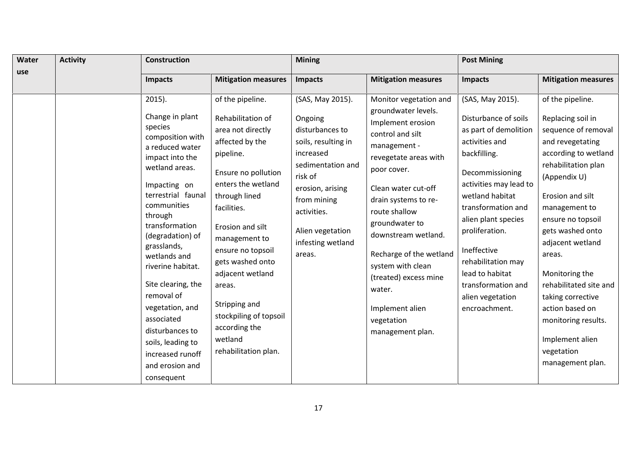| Water | <b>Activity</b> | <b>Construction</b>                                                                                                                                                                                                                                                                                                                                                                                                                             |                                                                                                                                                                                                                                                                                                                                                                                    | <b>Mining</b>                                                                                                                                                                                                           |                                                                                                                                                                                                                                                                                                                                                                                                 | <b>Post Mining</b>                                                                                                                                                                                                                                                                                                                                    |                                                                                                                                                                                                                                                                                                                                                                                                                             |
|-------|-----------------|-------------------------------------------------------------------------------------------------------------------------------------------------------------------------------------------------------------------------------------------------------------------------------------------------------------------------------------------------------------------------------------------------------------------------------------------------|------------------------------------------------------------------------------------------------------------------------------------------------------------------------------------------------------------------------------------------------------------------------------------------------------------------------------------------------------------------------------------|-------------------------------------------------------------------------------------------------------------------------------------------------------------------------------------------------------------------------|-------------------------------------------------------------------------------------------------------------------------------------------------------------------------------------------------------------------------------------------------------------------------------------------------------------------------------------------------------------------------------------------------|-------------------------------------------------------------------------------------------------------------------------------------------------------------------------------------------------------------------------------------------------------------------------------------------------------------------------------------------------------|-----------------------------------------------------------------------------------------------------------------------------------------------------------------------------------------------------------------------------------------------------------------------------------------------------------------------------------------------------------------------------------------------------------------------------|
| use   |                 | <b>Impacts</b>                                                                                                                                                                                                                                                                                                                                                                                                                                  | <b>Mitigation measures</b>                                                                                                                                                                                                                                                                                                                                                         | <b>Impacts</b>                                                                                                                                                                                                          | <b>Mitigation measures</b>                                                                                                                                                                                                                                                                                                                                                                      | <b>Impacts</b>                                                                                                                                                                                                                                                                                                                                        | <b>Mitigation measures</b>                                                                                                                                                                                                                                                                                                                                                                                                  |
|       |                 | $2015$ ).<br>Change in plant<br>species<br>composition with<br>a reduced water<br>impact into the<br>wetland areas.<br>Impacting on<br>terrestrial faunal<br>communities<br>through<br>transformation<br>(degradation) of<br>grasslands,<br>wetlands and<br>riverine habitat.<br>Site clearing, the<br>removal of<br>vegetation, and<br>associated<br>disturbances to<br>soils, leading to<br>increased runoff<br>and erosion and<br>consequent | of the pipeline.<br>Rehabilitation of<br>area not directly<br>affected by the<br>pipeline.<br>Ensure no pollution<br>enters the wetland<br>through lined<br>facilities.<br>Erosion and silt<br>management to<br>ensure no topsoil<br>gets washed onto<br>adjacent wetland<br>areas.<br>Stripping and<br>stockpiling of topsoil<br>according the<br>wetland<br>rehabilitation plan. | (SAS, May 2015).<br>Ongoing<br>disturbances to<br>soils, resulting in<br>increased<br>sedimentation and<br>risk of<br>erosion, arising<br>from mining<br>activities.<br>Alien vegetation<br>infesting wetland<br>areas. | Monitor vegetation and<br>groundwater levels.<br>Implement erosion<br>control and silt<br>management -<br>revegetate areas with<br>poor cover.<br>Clean water cut-off<br>drain systems to re-<br>route shallow<br>groundwater to<br>downstream wetland.<br>Recharge of the wetland<br>system with clean<br>(treated) excess mine<br>water.<br>Implement alien<br>vegetation<br>management plan. | (SAS, May 2015).<br>Disturbance of soils<br>as part of demolition<br>activities and<br>backfilling.<br>Decommissioning<br>activities may lead to<br>wetland habitat<br>transformation and<br>alien plant species<br>proliferation.<br>Ineffective<br>rehabilitation may<br>lead to habitat<br>transformation and<br>alien vegetation<br>encroachment. | of the pipeline.<br>Replacing soil in<br>sequence of removal<br>and revegetating<br>according to wetland<br>rehabilitation plan<br>(Appendix U)<br>Erosion and silt<br>management to<br>ensure no topsoil<br>gets washed onto<br>adjacent wetland<br>areas.<br>Monitoring the<br>rehabilitated site and<br>taking corrective<br>action based on<br>monitoring results.<br>Implement alien<br>vegetation<br>management plan. |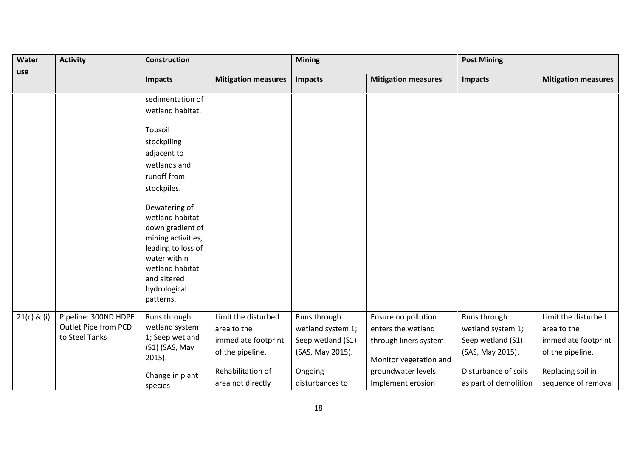| Water       | <b>Activity</b>                                                | <b>Construction</b>                                                                                                                                                                                                                                                                                            |                                                                                                                         | <b>Mining</b>                                                                                            |                                                                                                                                           | <b>Post Mining</b>                                                                                                          |                                                                                                                           |
|-------------|----------------------------------------------------------------|----------------------------------------------------------------------------------------------------------------------------------------------------------------------------------------------------------------------------------------------------------------------------------------------------------------|-------------------------------------------------------------------------------------------------------------------------|----------------------------------------------------------------------------------------------------------|-------------------------------------------------------------------------------------------------------------------------------------------|-----------------------------------------------------------------------------------------------------------------------------|---------------------------------------------------------------------------------------------------------------------------|
| use         |                                                                | <b>Impacts</b>                                                                                                                                                                                                                                                                                                 | <b>Mitigation measures</b>                                                                                              | <b>Impacts</b>                                                                                           | <b>Mitigation measures</b>                                                                                                                | <b>Impacts</b>                                                                                                              | <b>Mitigation measures</b>                                                                                                |
|             |                                                                | sedimentation of<br>wetland habitat.<br>Topsoil<br>stockpiling<br>adjacent to<br>wetlands and<br>runoff from<br>stockpiles.<br>Dewatering of<br>wetland habitat<br>down gradient of<br>mining activities,<br>leading to loss of<br>water within<br>wetland habitat<br>and altered<br>hydrological<br>patterns. |                                                                                                                         |                                                                                                          |                                                                                                                                           |                                                                                                                             |                                                                                                                           |
| 21(c) & (i) | Pipeline: 300ND HDPE<br>Outlet Pipe from PCD<br>to Steel Tanks | Runs through<br>wetland system<br>1; Seep wetland<br>(S1) (SAS, May<br>$2015$ ).<br>Change in plant<br>species                                                                                                                                                                                                 | Limit the disturbed<br>area to the<br>immediate footprint<br>of the pipeline.<br>Rehabilitation of<br>area not directly | Runs through<br>wetland system 1;<br>Seep wetland (S1)<br>(SAS, May 2015).<br>Ongoing<br>disturbances to | Ensure no pollution<br>enters the wetland<br>through liners system.<br>Monitor vegetation and<br>groundwater levels.<br>Implement erosion | Runs through<br>wetland system 1;<br>Seep wetland (S1)<br>(SAS, May 2015).<br>Disturbance of soils<br>as part of demolition | Limit the disturbed<br>area to the<br>immediate footprint<br>of the pipeline.<br>Replacing soil in<br>sequence of removal |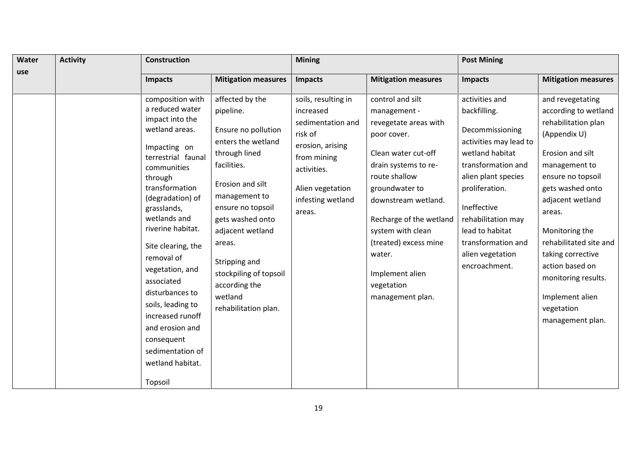| use<br><b>Mitigation measures</b><br><b>Mitigation measures</b><br><b>Impacts</b><br><b>Impacts</b><br>affected by the<br>control and silt<br>composition with<br>soils, resulting in                                                                                                                                                                                                                                                                                                                                                                                                                                                                                                                                                                                                                                                                                                                                                                                                                                                                                                                                                                                                               | <b>Impacts</b><br>activities and<br>backfilling.                                                                                                                                                                                               | <b>Mitigation measures</b><br>and revegetating<br>according to wetland                                                                                                                                                                                                                                          |
|-----------------------------------------------------------------------------------------------------------------------------------------------------------------------------------------------------------------------------------------------------------------------------------------------------------------------------------------------------------------------------------------------------------------------------------------------------------------------------------------------------------------------------------------------------------------------------------------------------------------------------------------------------------------------------------------------------------------------------------------------------------------------------------------------------------------------------------------------------------------------------------------------------------------------------------------------------------------------------------------------------------------------------------------------------------------------------------------------------------------------------------------------------------------------------------------------------|------------------------------------------------------------------------------------------------------------------------------------------------------------------------------------------------------------------------------------------------|-----------------------------------------------------------------------------------------------------------------------------------------------------------------------------------------------------------------------------------------------------------------------------------------------------------------|
|                                                                                                                                                                                                                                                                                                                                                                                                                                                                                                                                                                                                                                                                                                                                                                                                                                                                                                                                                                                                                                                                                                                                                                                                     |                                                                                                                                                                                                                                                |                                                                                                                                                                                                                                                                                                                 |
| a reduced water<br>increased<br>pipeline.<br>management -<br>impact into the<br>sedimentation and<br>revegetate areas with<br>wetland areas.<br>Ensure no pollution<br>risk of<br>poor cover.<br>enters the wetland<br>erosion, arising<br>Impacting on<br>through lined<br>Clean water cut-off<br>terrestrial faunal<br>from mining<br>facilities.<br>drain systems to re-<br>communities<br>activities.<br>route shallow<br>through<br>Erosion and silt<br>transformation<br>Alien vegetation<br>groundwater to<br>management to<br>(degradation) of<br>infesting wetland<br>downstream wetland.<br>ensure no topsoil<br>grasslands,<br>areas.<br>wetlands and<br>gets washed onto<br>Recharge of the wetland<br>riverine habitat.<br>adjacent wetland<br>system with clean<br>(treated) excess mine<br>areas.<br>Site clearing, the<br>water.<br>removal of<br>Stripping and<br>vegetation, and<br>stockpiling of topsoil<br>Implement alien<br>associated<br>according the<br>vegetation<br>disturbances to<br>wetland<br>management plan.<br>soils, leading to<br>rehabilitation plan.<br>increased runoff<br>and erosion and<br>consequent<br>sedimentation of<br>wetland habitat.<br>Topsoil | Decommissioning<br>activities may lead to<br>wetland habitat<br>transformation and<br>alien plant species<br>proliferation.<br>Ineffective<br>rehabilitation may<br>lead to habitat<br>transformation and<br>alien vegetation<br>encroachment. | rehabilitation plan<br>(Appendix U)<br>Erosion and silt<br>management to<br>ensure no topsoil<br>gets washed onto<br>adjacent wetland<br>areas.<br>Monitoring the<br>rehabilitated site and<br>taking corrective<br>action based on<br>monitoring results.<br>Implement alien<br>vegetation<br>management plan. |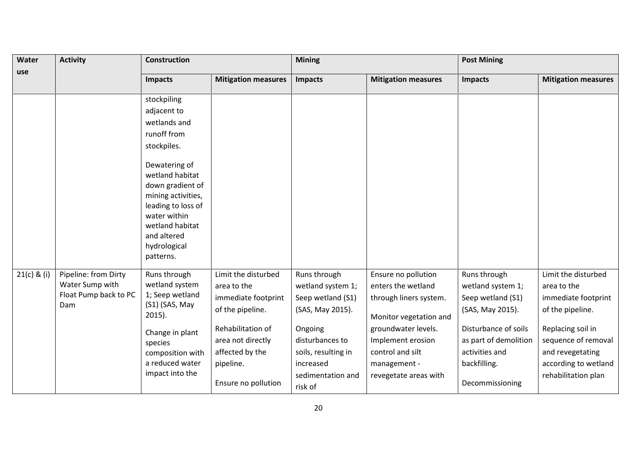| Water<br>use  | <b>Activity</b>                                                         | <b>Construction</b>                                                                                                                                                             |                                                                                               | <b>Mining</b>                                                                                  |                                                                                                       | <b>Post Mining</b>                                                                                 |                                                                                                             |
|---------------|-------------------------------------------------------------------------|---------------------------------------------------------------------------------------------------------------------------------------------------------------------------------|-----------------------------------------------------------------------------------------------|------------------------------------------------------------------------------------------------|-------------------------------------------------------------------------------------------------------|----------------------------------------------------------------------------------------------------|-------------------------------------------------------------------------------------------------------------|
|               |                                                                         | <b>Impacts</b>                                                                                                                                                                  | <b>Mitigation measures</b>                                                                    | <b>Impacts</b>                                                                                 | <b>Mitigation measures</b>                                                                            | <b>Impacts</b>                                                                                     | <b>Mitigation measures</b>                                                                                  |
|               |                                                                         | stockpiling                                                                                                                                                                     |                                                                                               |                                                                                                |                                                                                                       |                                                                                                    |                                                                                                             |
|               |                                                                         | adjacent to                                                                                                                                                                     |                                                                                               |                                                                                                |                                                                                                       |                                                                                                    |                                                                                                             |
|               |                                                                         | wetlands and                                                                                                                                                                    |                                                                                               |                                                                                                |                                                                                                       |                                                                                                    |                                                                                                             |
|               |                                                                         | runoff from                                                                                                                                                                     |                                                                                               |                                                                                                |                                                                                                       |                                                                                                    |                                                                                                             |
|               |                                                                         | stockpiles.                                                                                                                                                                     |                                                                                               |                                                                                                |                                                                                                       |                                                                                                    |                                                                                                             |
|               |                                                                         | Dewatering of<br>wetland habitat<br>down gradient of<br>mining activities,<br>leading to loss of<br>water within<br>wetland habitat<br>and altered<br>hydrological<br>patterns. |                                                                                               |                                                                                                |                                                                                                       |                                                                                                    |                                                                                                             |
| $21(c)$ & (i) | Pipeline: from Dirty<br>Water Sump with<br>Float Pump back to PC<br>Dam | Runs through<br>wetland system<br>1; Seep wetland<br>(S1) (SAS, May<br>$2015$ ).                                                                                                | Limit the disturbed<br>area to the<br>immediate footprint<br>of the pipeline.                 | Runs through<br>wetland system 1;<br>Seep wetland (S1)<br>(SAS, May 2015).                     | Ensure no pollution<br>enters the wetland<br>through liners system.<br>Monitor vegetation and         | Runs through<br>wetland system 1;<br>Seep wetland (S1)<br>(SAS, May 2015).                         | Limit the disturbed<br>area to the<br>immediate footprint<br>of the pipeline.                               |
|               |                                                                         | Change in plant<br>species<br>composition with<br>a reduced water<br>impact into the                                                                                            | Rehabilitation of<br>area not directly<br>affected by the<br>pipeline.<br>Ensure no pollution | Ongoing<br>disturbances to<br>soils, resulting in<br>increased<br>sedimentation and<br>risk of | groundwater levels.<br>Implement erosion<br>control and silt<br>management -<br>revegetate areas with | Disturbance of soils<br>as part of demolition<br>activities and<br>backfilling.<br>Decommissioning | Replacing soil in<br>sequence of removal<br>and revegetating<br>according to wetland<br>rehabilitation plan |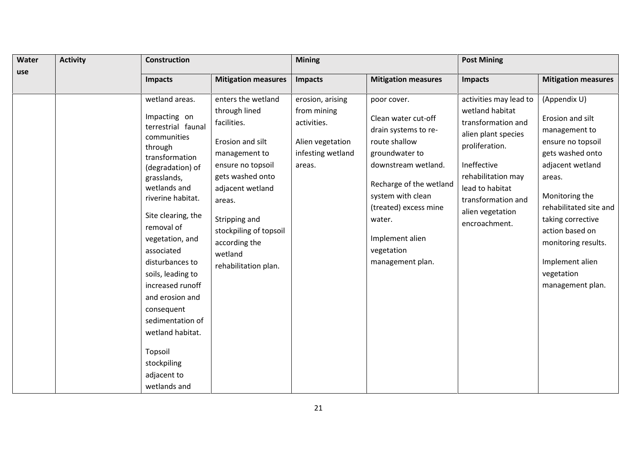| Water | <b>Activity</b> | <b>Construction</b>                                                                                                                                                                                                                                                                                                                                                                                                                         |                                                                                                                                                                                                                                                               | <b>Mining</b>                                                                                     |                                                                                                                                                                                                                                                              | <b>Post Mining</b>                                                                                                                                                                                                          |                                                                                                                                                                                                                                                                                          |
|-------|-----------------|---------------------------------------------------------------------------------------------------------------------------------------------------------------------------------------------------------------------------------------------------------------------------------------------------------------------------------------------------------------------------------------------------------------------------------------------|---------------------------------------------------------------------------------------------------------------------------------------------------------------------------------------------------------------------------------------------------------------|---------------------------------------------------------------------------------------------------|--------------------------------------------------------------------------------------------------------------------------------------------------------------------------------------------------------------------------------------------------------------|-----------------------------------------------------------------------------------------------------------------------------------------------------------------------------------------------------------------------------|------------------------------------------------------------------------------------------------------------------------------------------------------------------------------------------------------------------------------------------------------------------------------------------|
| use   |                 | <b>Impacts</b>                                                                                                                                                                                                                                                                                                                                                                                                                              | <b>Mitigation measures</b>                                                                                                                                                                                                                                    | <b>Impacts</b>                                                                                    | <b>Mitigation measures</b>                                                                                                                                                                                                                                   | <b>Impacts</b>                                                                                                                                                                                                              | <b>Mitigation measures</b>                                                                                                                                                                                                                                                               |
|       |                 | wetland areas.<br>Impacting on<br>terrestrial faunal<br>communities<br>through<br>transformation<br>(degradation) of<br>grasslands,<br>wetlands and<br>riverine habitat.<br>Site clearing, the<br>removal of<br>vegetation, and<br>associated<br>disturbances to<br>soils, leading to<br>increased runoff<br>and erosion and<br>consequent<br>sedimentation of<br>wetland habitat.<br>Topsoil<br>stockpiling<br>adjacent to<br>wetlands and | enters the wetland<br>through lined<br>facilities.<br>Erosion and silt<br>management to<br>ensure no topsoil<br>gets washed onto<br>adjacent wetland<br>areas.<br>Stripping and<br>stockpiling of topsoil<br>according the<br>wetland<br>rehabilitation plan. | erosion, arising<br>from mining<br>activities.<br>Alien vegetation<br>infesting wetland<br>areas. | poor cover.<br>Clean water cut-off<br>drain systems to re-<br>route shallow<br>groundwater to<br>downstream wetland.<br>Recharge of the wetland<br>system with clean<br>(treated) excess mine<br>water.<br>Implement alien<br>vegetation<br>management plan. | activities may lead to<br>wetland habitat<br>transformation and<br>alien plant species<br>proliferation.<br>Ineffective<br>rehabilitation may<br>lead to habitat<br>transformation and<br>alien vegetation<br>encroachment. | (Appendix U)<br>Erosion and silt<br>management to<br>ensure no topsoil<br>gets washed onto<br>adjacent wetland<br>areas.<br>Monitoring the<br>rehabilitated site and<br>taking corrective<br>action based on<br>monitoring results.<br>Implement alien<br>vegetation<br>management plan. |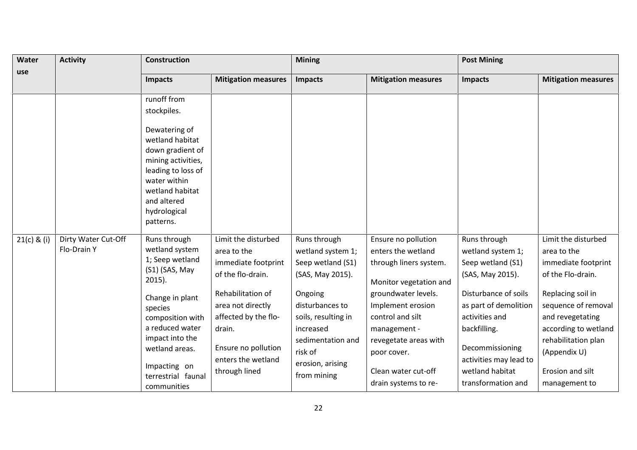| Water         | <b>Activity</b>                    | <b>Construction</b>                                                                                                                                         |                                                                                                                                        | <b>Mining</b>                                                                                                                     |                                                                                                                                                                     | <b>Post Mining</b>                                                                                                                                                    |                                                                                                                                                                  |
|---------------|------------------------------------|-------------------------------------------------------------------------------------------------------------------------------------------------------------|----------------------------------------------------------------------------------------------------------------------------------------|-----------------------------------------------------------------------------------------------------------------------------------|---------------------------------------------------------------------------------------------------------------------------------------------------------------------|-----------------------------------------------------------------------------------------------------------------------------------------------------------------------|------------------------------------------------------------------------------------------------------------------------------------------------------------------|
| use           |                                    | Impacts                                                                                                                                                     | <b>Mitigation measures</b>                                                                                                             | <b>Impacts</b>                                                                                                                    | <b>Mitigation measures</b>                                                                                                                                          | <b>Impacts</b>                                                                                                                                                        | <b>Mitigation measures</b>                                                                                                                                       |
|               |                                    | runoff from<br>stockpiles.<br>Dewatering of<br>wetland habitat<br>down gradient of<br>mining activities,                                                    |                                                                                                                                        |                                                                                                                                   |                                                                                                                                                                     |                                                                                                                                                                       |                                                                                                                                                                  |
|               |                                    | leading to loss of<br>water within<br>wetland habitat<br>and altered<br>hydrological<br>patterns.                                                           |                                                                                                                                        |                                                                                                                                   |                                                                                                                                                                     |                                                                                                                                                                       |                                                                                                                                                                  |
| $21(c)$ & (i) | Dirty Water Cut-Off<br>Flo-Drain Y | Runs through<br>wetland system<br>1; Seep wetland<br>(S1) (SAS, May<br>$2015$ ).                                                                            | Limit the disturbed<br>area to the<br>immediate footprint<br>of the flo-drain.                                                         | Runs through<br>wetland system 1;<br>Seep wetland (S1)<br>(SAS, May 2015).                                                        | Ensure no pollution<br>enters the wetland<br>through liners system.<br>Monitor vegetation and                                                                       | Runs through<br>wetland system 1;<br>Seep wetland (S1)<br>(SAS, May 2015).                                                                                            | Limit the disturbed<br>area to the<br>immediate footprint<br>of the Flo-drain.                                                                                   |
|               |                                    | Change in plant<br>species<br>composition with<br>a reduced water<br>impact into the<br>wetland areas.<br>Impacting on<br>terrestrial faunal<br>communities | Rehabilitation of<br>area not directly<br>affected by the flo-<br>drain.<br>Ensure no pollution<br>enters the wetland<br>through lined | Ongoing<br>disturbances to<br>soils, resulting in<br>increased<br>sedimentation and<br>risk of<br>erosion, arising<br>from mining | groundwater levels.<br>Implement erosion<br>control and silt<br>management -<br>revegetate areas with<br>poor cover.<br>Clean water cut-off<br>drain systems to re- | Disturbance of soils<br>as part of demolition<br>activities and<br>backfilling.<br>Decommissioning<br>activities may lead to<br>wetland habitat<br>transformation and | Replacing soil in<br>sequence of removal<br>and revegetating<br>according to wetland<br>rehabilitation plan<br>(Appendix U)<br>Erosion and silt<br>management to |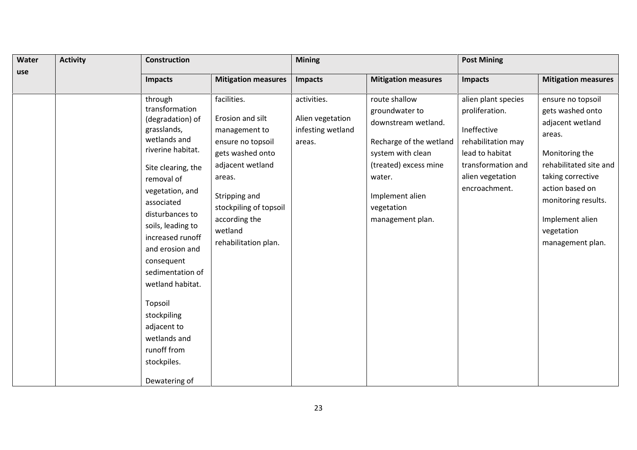| Water | <b>Activity</b> | <b>Construction</b>                                                                                                                                                                                                                                                                                                                                                                                |                                                                                                                                                                                                                        | <b>Mining</b>                                                  |                                                                                                                                                                                                | <b>Post Mining</b>                                                                                                                                       |                                                                                                                                                                                                                                     |  |
|-------|-----------------|----------------------------------------------------------------------------------------------------------------------------------------------------------------------------------------------------------------------------------------------------------------------------------------------------------------------------------------------------------------------------------------------------|------------------------------------------------------------------------------------------------------------------------------------------------------------------------------------------------------------------------|----------------------------------------------------------------|------------------------------------------------------------------------------------------------------------------------------------------------------------------------------------------------|----------------------------------------------------------------------------------------------------------------------------------------------------------|-------------------------------------------------------------------------------------------------------------------------------------------------------------------------------------------------------------------------------------|--|
| use   |                 | Impacts                                                                                                                                                                                                                                                                                                                                                                                            | <b>Mitigation measures</b>                                                                                                                                                                                             | Impacts                                                        | <b>Mitigation measures</b>                                                                                                                                                                     | Impacts                                                                                                                                                  | <b>Mitigation measures</b>                                                                                                                                                                                                          |  |
|       |                 | through<br>transformation<br>(degradation) of<br>grasslands,<br>wetlands and<br>riverine habitat.<br>Site clearing, the<br>removal of<br>vegetation, and<br>associated<br>disturbances to<br>soils, leading to<br>increased runoff<br>and erosion and<br>consequent<br>sedimentation of<br>wetland habitat.<br>Topsoil<br>stockpiling<br>adjacent to<br>wetlands and<br>runoff from<br>stockpiles. | facilities.<br>Erosion and silt<br>management to<br>ensure no topsoil<br>gets washed onto<br>adjacent wetland<br>areas.<br>Stripping and<br>stockpiling of topsoil<br>according the<br>wetland<br>rehabilitation plan. | activities.<br>Alien vegetation<br>infesting wetland<br>areas. | route shallow<br>groundwater to<br>downstream wetland.<br>Recharge of the wetland<br>system with clean<br>(treated) excess mine<br>water.<br>Implement alien<br>vegetation<br>management plan. | alien plant species<br>proliferation.<br>Ineffective<br>rehabilitation may<br>lead to habitat<br>transformation and<br>alien vegetation<br>encroachment. | ensure no topsoil<br>gets washed onto<br>adjacent wetland<br>areas.<br>Monitoring the<br>rehabilitated site and<br>taking corrective<br>action based on<br>monitoring results.<br>Implement alien<br>vegetation<br>management plan. |  |
|       |                 | Dewatering of                                                                                                                                                                                                                                                                                                                                                                                      |                                                                                                                                                                                                                        |                                                                |                                                                                                                                                                                                |                                                                                                                                                          |                                                                                                                                                                                                                                     |  |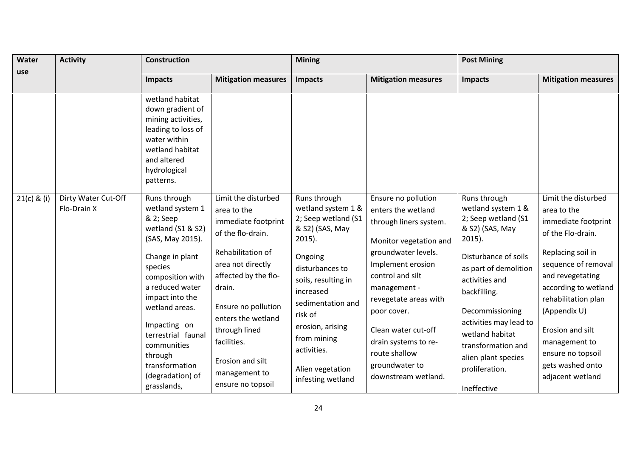| Water         | <b>Activity</b>                    | <b>Construction</b>                                                                                                                                                                                                         |                                                                                                                                                                                                                 | <b>Mining</b>                                                                                                                                                                             |                                                                                                                                                                                                                               | <b>Post Mining</b>                                                                                                                                                                                                            |                                                                                                                                                                                                                               |
|---------------|------------------------------------|-----------------------------------------------------------------------------------------------------------------------------------------------------------------------------------------------------------------------------|-----------------------------------------------------------------------------------------------------------------------------------------------------------------------------------------------------------------|-------------------------------------------------------------------------------------------------------------------------------------------------------------------------------------------|-------------------------------------------------------------------------------------------------------------------------------------------------------------------------------------------------------------------------------|-------------------------------------------------------------------------------------------------------------------------------------------------------------------------------------------------------------------------------|-------------------------------------------------------------------------------------------------------------------------------------------------------------------------------------------------------------------------------|
| use           |                                    | <b>Impacts</b>                                                                                                                                                                                                              | <b>Mitigation measures</b>                                                                                                                                                                                      | <b>Impacts</b>                                                                                                                                                                            | <b>Mitigation measures</b>                                                                                                                                                                                                    | <b>Impacts</b>                                                                                                                                                                                                                | <b>Mitigation measures</b>                                                                                                                                                                                                    |
|               |                                    | wetland habitat<br>down gradient of<br>mining activities,<br>leading to loss of<br>water within<br>wetland habitat<br>and altered<br>hydrological<br>patterns.                                                              |                                                                                                                                                                                                                 |                                                                                                                                                                                           |                                                                                                                                                                                                                               |                                                                                                                                                                                                                               |                                                                                                                                                                                                                               |
| $21(c)$ & (i) | Dirty Water Cut-Off<br>Flo-Drain X | Runs through<br>wetland system 1<br>& 2; Seep<br>wetland (S1 & S2)<br>(SAS, May 2015).                                                                                                                                      | Limit the disturbed<br>area to the<br>immediate footprint<br>of the flo-drain.                                                                                                                                  | Runs through<br>wetland system 1 &<br>2; Seep wetland (S1<br>& S2) (SAS, May<br>$2015$ ).                                                                                                 | Ensure no pollution<br>enters the wetland<br>through liners system.<br>Monitor vegetation and                                                                                                                                 | Runs through<br>wetland system 1 &<br>2; Seep wetland (S1<br>& S2) (SAS, May<br>$2015$ ).                                                                                                                                     | Limit the disturbed<br>area to the<br>immediate footprint<br>of the Flo-drain.                                                                                                                                                |
|               |                                    | Change in plant<br>species<br>composition with<br>a reduced water<br>impact into the<br>wetland areas.<br>Impacting on<br>terrestrial faunal<br>communities<br>through<br>transformation<br>(degradation) of<br>grasslands, | Rehabilitation of<br>area not directly<br>affected by the flo-<br>drain.<br>Ensure no pollution<br>enters the wetland<br>through lined<br>facilities.<br>Erosion and silt<br>management to<br>ensure no topsoil | Ongoing<br>disturbances to<br>soils, resulting in<br>increased<br>sedimentation and<br>risk of<br>erosion, arising<br>from mining<br>activities.<br>Alien vegetation<br>infesting wetland | groundwater levels.<br>Implement erosion<br>control and silt<br>management -<br>revegetate areas with<br>poor cover.<br>Clean water cut-off<br>drain systems to re-<br>route shallow<br>groundwater to<br>downstream wetland. | Disturbance of soils<br>as part of demolition<br>activities and<br>backfilling.<br>Decommissioning<br>activities may lead to<br>wetland habitat<br>transformation and<br>alien plant species<br>proliferation.<br>Ineffective | Replacing soil in<br>sequence of removal<br>and revegetating<br>according to wetland<br>rehabilitation plan<br>(Appendix U)<br>Erosion and silt<br>management to<br>ensure no topsoil<br>gets washed onto<br>adjacent wetland |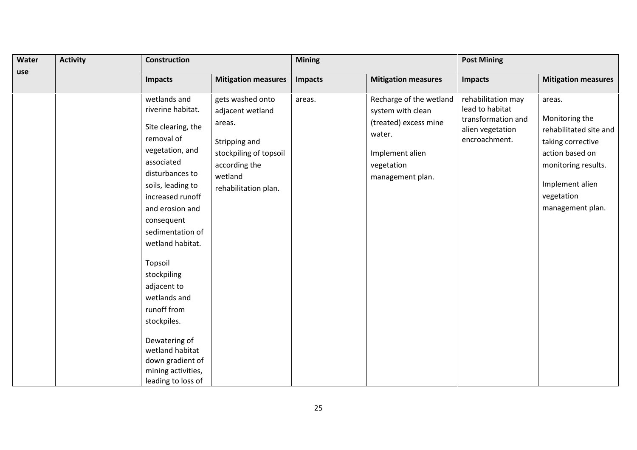| Water | <b>Activity</b> | <b>Construction</b>                                                                                                                                                                                                                                                                                                                                                                                              |                                                                                                                                               | <b>Mining</b> |                                                                                                                                      | <b>Post Mining</b>                                                                               |                                                                                                                                                                        |  |
|-------|-----------------|------------------------------------------------------------------------------------------------------------------------------------------------------------------------------------------------------------------------------------------------------------------------------------------------------------------------------------------------------------------------------------------------------------------|-----------------------------------------------------------------------------------------------------------------------------------------------|---------------|--------------------------------------------------------------------------------------------------------------------------------------|--------------------------------------------------------------------------------------------------|------------------------------------------------------------------------------------------------------------------------------------------------------------------------|--|
| use   |                 | <b>Impacts</b>                                                                                                                                                                                                                                                                                                                                                                                                   | <b>Mitigation measures</b>                                                                                                                    | Impacts       | <b>Mitigation measures</b>                                                                                                           | <b>Impacts</b>                                                                                   | <b>Mitigation measures</b>                                                                                                                                             |  |
|       |                 | wetlands and<br>riverine habitat.<br>Site clearing, the<br>removal of<br>vegetation, and<br>associated<br>disturbances to<br>soils, leading to<br>increased runoff<br>and erosion and<br>consequent<br>sedimentation of<br>wetland habitat.<br>Topsoil<br>stockpiling<br>adjacent to<br>wetlands and<br>runoff from<br>stockpiles.<br>Dewatering of<br>wetland habitat<br>down gradient of<br>mining activities, | gets washed onto<br>adjacent wetland<br>areas.<br>Stripping and<br>stockpiling of topsoil<br>according the<br>wetland<br>rehabilitation plan. | areas.        | Recharge of the wetland<br>system with clean<br>(treated) excess mine<br>water.<br>Implement alien<br>vegetation<br>management plan. | rehabilitation may<br>lead to habitat<br>transformation and<br>alien vegetation<br>encroachment. | areas.<br>Monitoring the<br>rehabilitated site and<br>taking corrective<br>action based on<br>monitoring results.<br>Implement alien<br>vegetation<br>management plan. |  |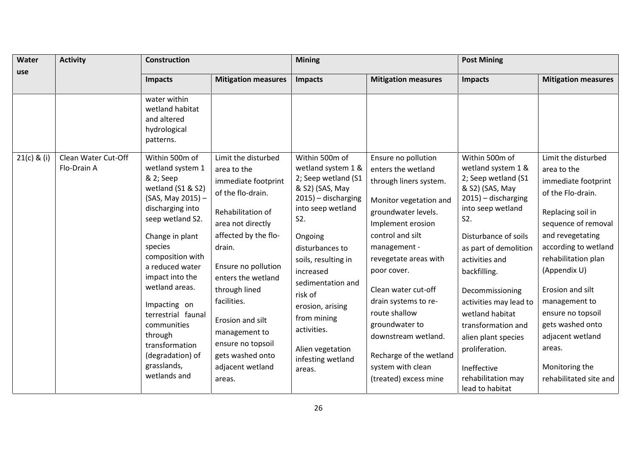| Water         | <b>Activity</b>                    | <b>Construction</b>                                                                                                                                                                                                                                                                                                                                                              |                                                                                                                                                                                                                                                                                                                                                     | <b>Mining</b>                                                                                                                                                                                                                                                                                                                                         |                                                                                                                                                                                                                                                                                                                                                                                                         | <b>Post Mining</b>                                                                                                                                                                                                                                                                                                                                                                                          |                                                                                                                                                                                                                                                                                                                                                                       |
|---------------|------------------------------------|----------------------------------------------------------------------------------------------------------------------------------------------------------------------------------------------------------------------------------------------------------------------------------------------------------------------------------------------------------------------------------|-----------------------------------------------------------------------------------------------------------------------------------------------------------------------------------------------------------------------------------------------------------------------------------------------------------------------------------------------------|-------------------------------------------------------------------------------------------------------------------------------------------------------------------------------------------------------------------------------------------------------------------------------------------------------------------------------------------------------|---------------------------------------------------------------------------------------------------------------------------------------------------------------------------------------------------------------------------------------------------------------------------------------------------------------------------------------------------------------------------------------------------------|-------------------------------------------------------------------------------------------------------------------------------------------------------------------------------------------------------------------------------------------------------------------------------------------------------------------------------------------------------------------------------------------------------------|-----------------------------------------------------------------------------------------------------------------------------------------------------------------------------------------------------------------------------------------------------------------------------------------------------------------------------------------------------------------------|
| use           |                                    | Impacts                                                                                                                                                                                                                                                                                                                                                                          | <b>Mitigation measures</b>                                                                                                                                                                                                                                                                                                                          | <b>Impacts</b>                                                                                                                                                                                                                                                                                                                                        | <b>Mitigation measures</b>                                                                                                                                                                                                                                                                                                                                                                              | <b>Impacts</b>                                                                                                                                                                                                                                                                                                                                                                                              | <b>Mitigation measures</b>                                                                                                                                                                                                                                                                                                                                            |
|               |                                    | water within<br>wetland habitat<br>and altered<br>hydrological<br>patterns.                                                                                                                                                                                                                                                                                                      |                                                                                                                                                                                                                                                                                                                                                     |                                                                                                                                                                                                                                                                                                                                                       |                                                                                                                                                                                                                                                                                                                                                                                                         |                                                                                                                                                                                                                                                                                                                                                                                                             |                                                                                                                                                                                                                                                                                                                                                                       |
| $21(c)$ & (i) | Clean Water Cut-Off<br>Flo-Drain A | Within 500m of<br>wetland system 1<br>& 2; Seep<br>wetland (S1 & S2)<br>(SAS, May 2015) -<br>discharging into<br>seep wetland S2.<br>Change in plant<br>species<br>composition with<br>a reduced water<br>impact into the<br>wetland areas.<br>Impacting on<br>terrestrial faunal<br>communities<br>through<br>transformation<br>(degradation) of<br>grasslands,<br>wetlands and | Limit the disturbed<br>area to the<br>immediate footprint<br>of the flo-drain.<br>Rehabilitation of<br>area not directly<br>affected by the flo-<br>drain.<br>Ensure no pollution<br>enters the wetland<br>through lined<br>facilities.<br>Erosion and silt<br>management to<br>ensure no topsoil<br>gets washed onto<br>adjacent wetland<br>areas. | Within 500m of<br>wetland system 1 &<br>2; Seep wetland (S1<br>& S2) (SAS, May<br>2015) - discharging<br>into seep wetland<br>S <sub>2</sub> .<br>Ongoing<br>disturbances to<br>soils, resulting in<br>increased<br>sedimentation and<br>risk of<br>erosion, arising<br>from mining<br>activities.<br>Alien vegetation<br>infesting wetland<br>areas. | Ensure no pollution<br>enters the wetland<br>through liners system.<br>Monitor vegetation and<br>groundwater levels.<br>Implement erosion<br>control and silt<br>management -<br>revegetate areas with<br>poor cover.<br>Clean water cut-off<br>drain systems to re-<br>route shallow<br>groundwater to<br>downstream wetland.<br>Recharge of the wetland<br>system with clean<br>(treated) excess mine | Within 500m of<br>wetland system 1 &<br>2; Seep wetland (S1<br>& S2) (SAS, May<br>2015) - discharging<br>into seep wetland<br>S2.<br>Disturbance of soils<br>as part of demolition<br>activities and<br>backfilling.<br>Decommissioning<br>activities may lead to<br>wetland habitat<br>transformation and<br>alien plant species<br>proliferation.<br>Ineffective<br>rehabilitation may<br>lead to habitat | Limit the disturbed<br>area to the<br>immediate footprint<br>of the Flo-drain.<br>Replacing soil in<br>sequence of removal<br>and revegetating<br>according to wetland<br>rehabilitation plan<br>(Appendix U)<br>Erosion and silt<br>management to<br>ensure no topsoil<br>gets washed onto<br>adjacent wetland<br>areas.<br>Monitoring the<br>rehabilitated site and |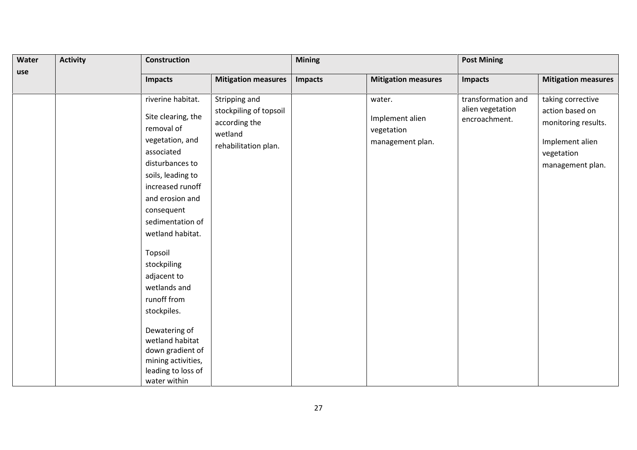| Water | <b>Activity</b> | Construction                                                                                                                                                                                                                                                                                                                                                                                                                           |                                                                                             | <b>Mining</b>  |                                                             | <b>Post Mining</b>                                      |                                                                                                                  |  |
|-------|-----------------|----------------------------------------------------------------------------------------------------------------------------------------------------------------------------------------------------------------------------------------------------------------------------------------------------------------------------------------------------------------------------------------------------------------------------------------|---------------------------------------------------------------------------------------------|----------------|-------------------------------------------------------------|---------------------------------------------------------|------------------------------------------------------------------------------------------------------------------|--|
| use   |                 | <b>Impacts</b>                                                                                                                                                                                                                                                                                                                                                                                                                         | <b>Mitigation measures</b>                                                                  | <b>Impacts</b> | <b>Mitigation measures</b>                                  | <b>Impacts</b>                                          | <b>Mitigation measures</b>                                                                                       |  |
|       |                 | riverine habitat.<br>Site clearing, the<br>removal of<br>vegetation, and<br>associated<br>disturbances to<br>soils, leading to<br>increased runoff<br>and erosion and<br>consequent<br>sedimentation of<br>wetland habitat.<br>Topsoil<br>stockpiling<br>adjacent to<br>wetlands and<br>runoff from<br>stockpiles.<br>Dewatering of<br>wetland habitat<br>down gradient of<br>mining activities,<br>leading to loss of<br>water within | Stripping and<br>stockpiling of topsoil<br>according the<br>wetland<br>rehabilitation plan. |                | water.<br>Implement alien<br>vegetation<br>management plan. | transformation and<br>alien vegetation<br>encroachment. | taking corrective<br>action based on<br>monitoring results.<br>Implement alien<br>vegetation<br>management plan. |  |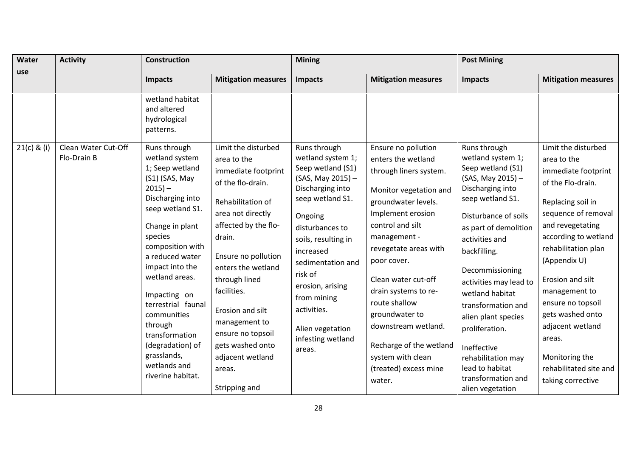| Water         | <b>Activity</b>                    | <b>Construction</b>                                                                                                                                                                                                                                                                                                                    |                                                                                                                                                                                                                                                                                                         | <b>Mining</b>                                                                                                                                                                                                                                                    |                                                                                                                                                                                                                                                                                                                                            | <b>Post Mining</b>                                                                                                                                                                                                                                                                                                                                                            |                                                                                                                                                                                                                                                                                                                               |
|---------------|------------------------------------|----------------------------------------------------------------------------------------------------------------------------------------------------------------------------------------------------------------------------------------------------------------------------------------------------------------------------------------|---------------------------------------------------------------------------------------------------------------------------------------------------------------------------------------------------------------------------------------------------------------------------------------------------------|------------------------------------------------------------------------------------------------------------------------------------------------------------------------------------------------------------------------------------------------------------------|--------------------------------------------------------------------------------------------------------------------------------------------------------------------------------------------------------------------------------------------------------------------------------------------------------------------------------------------|-------------------------------------------------------------------------------------------------------------------------------------------------------------------------------------------------------------------------------------------------------------------------------------------------------------------------------------------------------------------------------|-------------------------------------------------------------------------------------------------------------------------------------------------------------------------------------------------------------------------------------------------------------------------------------------------------------------------------|
| use           |                                    | Impacts                                                                                                                                                                                                                                                                                                                                | <b>Mitigation measures</b>                                                                                                                                                                                                                                                                              | Impacts                                                                                                                                                                                                                                                          | <b>Mitigation measures</b>                                                                                                                                                                                                                                                                                                                 | Impacts                                                                                                                                                                                                                                                                                                                                                                       | <b>Mitigation measures</b>                                                                                                                                                                                                                                                                                                    |
| $21(c)$ & (i) | Clean Water Cut-Off<br>Flo-Drain B | wetland habitat<br>and altered<br>hydrological<br>patterns.<br>Runs through<br>wetland system<br>1; Seep wetland                                                                                                                                                                                                                       | Limit the disturbed<br>area to the<br>immediate footprint                                                                                                                                                                                                                                               | Runs through<br>wetland system 1;<br>Seep wetland (S1)                                                                                                                                                                                                           | Ensure no pollution<br>enters the wetland<br>through liners system.                                                                                                                                                                                                                                                                        | Runs through<br>wetland system 1;<br>Seep wetland (S1)                                                                                                                                                                                                                                                                                                                        | Limit the disturbed<br>area to the<br>immediate footprint                                                                                                                                                                                                                                                                     |
|               |                                    | (S1) (SAS, May<br>$2015 -$<br>Discharging into<br>seep wetland S1.<br>Change in plant<br>species<br>composition with<br>a reduced water<br>impact into the<br>wetland areas.<br>Impacting on<br>terrestrial faunal<br>communities<br>through<br>transformation<br>(degradation) of<br>grasslands,<br>wetlands and<br>riverine habitat. | of the flo-drain.<br>Rehabilitation of<br>area not directly<br>affected by the flo-<br>drain.<br>Ensure no pollution<br>enters the wetland<br>through lined<br>facilities.<br>Erosion and silt<br>management to<br>ensure no topsoil<br>gets washed onto<br>adjacent wetland<br>areas.<br>Stripping and | (SAS, May 2015) -<br>Discharging into<br>seep wetland S1.<br>Ongoing<br>disturbances to<br>soils, resulting in<br>increased<br>sedimentation and<br>risk of<br>erosion, arising<br>from mining<br>activities.<br>Alien vegetation<br>infesting wetland<br>areas. | Monitor vegetation and<br>groundwater levels.<br>Implement erosion<br>control and silt<br>management -<br>revegetate areas with<br>poor cover.<br>Clean water cut-off<br>drain systems to re-<br>route shallow<br>groundwater to<br>downstream wetland.<br>Recharge of the wetland<br>system with clean<br>(treated) excess mine<br>water. | (SAS, May 2015) -<br>Discharging into<br>seep wetland S1.<br>Disturbance of soils<br>as part of demolition<br>activities and<br>backfilling.<br>Decommissioning<br>activities may lead to<br>wetland habitat<br>transformation and<br>alien plant species<br>proliferation.<br>Ineffective<br>rehabilitation may<br>lead to habitat<br>transformation and<br>alien vegetation | of the Flo-drain.<br>Replacing soil in<br>sequence of removal<br>and revegetating<br>according to wetland<br>rehabilitation plan<br>(Appendix U)<br>Erosion and silt<br>management to<br>ensure no topsoil<br>gets washed onto<br>adjacent wetland<br>areas.<br>Monitoring the<br>rehabilitated site and<br>taking corrective |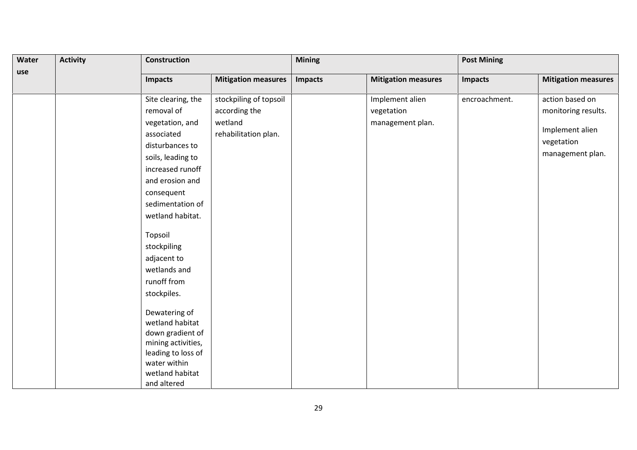| Water | <b>Activity</b> | <b>Construction</b>                |                            |                | <b>Mining</b>              |               | <b>Post Mining</b>         |  |  |
|-------|-----------------|------------------------------------|----------------------------|----------------|----------------------------|---------------|----------------------------|--|--|
| use   |                 | <b>Impacts</b>                     | <b>Mitigation measures</b> | <b>Impacts</b> | <b>Mitigation measures</b> | Impacts       | <b>Mitigation measures</b> |  |  |
|       |                 | Site clearing, the                 | stockpiling of topsoil     |                | Implement alien            | encroachment. | action based on            |  |  |
|       |                 | removal of                         | according the              |                | vegetation                 |               | monitoring results.        |  |  |
|       |                 | vegetation, and                    | wetland                    |                | management plan.           |               |                            |  |  |
|       |                 | associated                         | rehabilitation plan.       |                |                            |               | Implement alien            |  |  |
|       |                 | disturbances to                    |                            |                |                            |               | vegetation                 |  |  |
|       |                 | soils, leading to                  |                            |                |                            |               | management plan.           |  |  |
|       |                 | increased runoff                   |                            |                |                            |               |                            |  |  |
|       |                 | and erosion and                    |                            |                |                            |               |                            |  |  |
|       |                 | consequent                         |                            |                |                            |               |                            |  |  |
|       |                 | sedimentation of                   |                            |                |                            |               |                            |  |  |
|       |                 | wetland habitat.                   |                            |                |                            |               |                            |  |  |
|       |                 | Topsoil                            |                            |                |                            |               |                            |  |  |
|       |                 | stockpiling                        |                            |                |                            |               |                            |  |  |
|       |                 | adjacent to                        |                            |                |                            |               |                            |  |  |
|       |                 | wetlands and                       |                            |                |                            |               |                            |  |  |
|       |                 | runoff from                        |                            |                |                            |               |                            |  |  |
|       |                 | stockpiles.                        |                            |                |                            |               |                            |  |  |
|       |                 | Dewatering of                      |                            |                |                            |               |                            |  |  |
|       |                 | wetland habitat                    |                            |                |                            |               |                            |  |  |
|       |                 | down gradient of                   |                            |                |                            |               |                            |  |  |
|       |                 | mining activities,                 |                            |                |                            |               |                            |  |  |
|       |                 | leading to loss of<br>water within |                            |                |                            |               |                            |  |  |
|       |                 | wetland habitat                    |                            |                |                            |               |                            |  |  |
|       |                 | and altered                        |                            |                |                            |               |                            |  |  |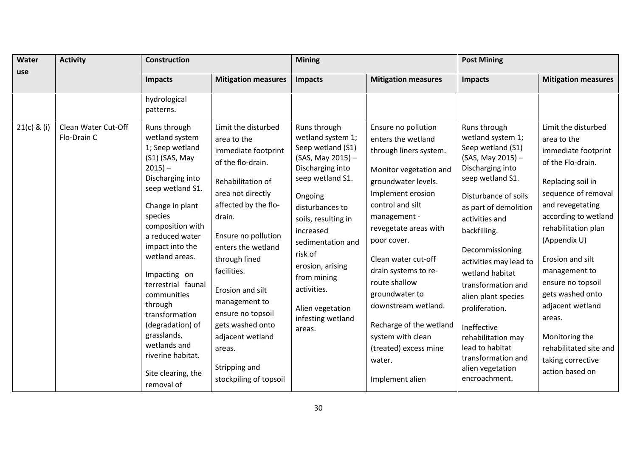| Water<br>use  | <b>Activity</b>                    | <b>Construction</b>                                                                                                                                                                                                                                                                                                                                                    |                                                                                                                                                                                                                                                                                                                                           | <b>Mining</b>                                                                                                                                                                                                                                                                                                              |                                                                                                                                                                                                                                                                                                                                                                                | <b>Post Mining</b>                                                                                                                                                                                                                                                                                                                                                         |                                                                                                                                                                                                                                                                                                                                             |  |
|---------------|------------------------------------|------------------------------------------------------------------------------------------------------------------------------------------------------------------------------------------------------------------------------------------------------------------------------------------------------------------------------------------------------------------------|-------------------------------------------------------------------------------------------------------------------------------------------------------------------------------------------------------------------------------------------------------------------------------------------------------------------------------------------|----------------------------------------------------------------------------------------------------------------------------------------------------------------------------------------------------------------------------------------------------------------------------------------------------------------------------|--------------------------------------------------------------------------------------------------------------------------------------------------------------------------------------------------------------------------------------------------------------------------------------------------------------------------------------------------------------------------------|----------------------------------------------------------------------------------------------------------------------------------------------------------------------------------------------------------------------------------------------------------------------------------------------------------------------------------------------------------------------------|---------------------------------------------------------------------------------------------------------------------------------------------------------------------------------------------------------------------------------------------------------------------------------------------------------------------------------------------|--|
|               |                                    | Impacts                                                                                                                                                                                                                                                                                                                                                                | <b>Mitigation measures</b>                                                                                                                                                                                                                                                                                                                | <b>Impacts</b>                                                                                                                                                                                                                                                                                                             | <b>Mitigation measures</b>                                                                                                                                                                                                                                                                                                                                                     | Impacts                                                                                                                                                                                                                                                                                                                                                                    | <b>Mitigation measures</b>                                                                                                                                                                                                                                                                                                                  |  |
| $21(c)$ & (i) |                                    | hydrological<br>patterns.                                                                                                                                                                                                                                                                                                                                              |                                                                                                                                                                                                                                                                                                                                           |                                                                                                                                                                                                                                                                                                                            |                                                                                                                                                                                                                                                                                                                                                                                |                                                                                                                                                                                                                                                                                                                                                                            |                                                                                                                                                                                                                                                                                                                                             |  |
|               | Clean Water Cut-Off<br>Flo-Drain C | Runs through<br>wetland system<br>1; Seep wetland<br>(S1) (SAS, May<br>$2015 -$<br>Discharging into<br>seep wetland S1.<br>Change in plant<br>species<br>composition with<br>a reduced water<br>impact into the<br>wetland areas.<br>Impacting on<br>terrestrial faunal<br>communities<br>through<br>transformation<br>(degradation) of<br>grasslands,<br>wetlands and | Limit the disturbed<br>area to the<br>immediate footprint<br>of the flo-drain.<br>Rehabilitation of<br>area not directly<br>affected by the flo-<br>drain.<br>Ensure no pollution<br>enters the wetland<br>through lined<br>facilities.<br>Erosion and silt<br>management to<br>ensure no topsoil<br>gets washed onto<br>adjacent wetland | Runs through<br>wetland system 1;<br>Seep wetland (S1)<br>(SAS, May 2015) -<br>Discharging into<br>seep wetland S1.<br>Ongoing<br>disturbances to<br>soils, resulting in<br>increased<br>sedimentation and<br>risk of<br>erosion, arising<br>from mining<br>activities.<br>Alien vegetation<br>infesting wetland<br>areas. | Ensure no pollution<br>enters the wetland<br>through liners system.<br>Monitor vegetation and<br>groundwater levels.<br>Implement erosion<br>control and silt<br>management -<br>revegetate areas with<br>poor cover.<br>Clean water cut-off<br>drain systems to re-<br>route shallow<br>groundwater to<br>downstream wetland.<br>Recharge of the wetland<br>system with clean | Runs through<br>wetland system 1;<br>Seep wetland (S1)<br>(SAS, May 2015) -<br>Discharging into<br>seep wetland S1.<br>Disturbance of soils<br>as part of demolition<br>activities and<br>backfilling.<br>Decommissioning<br>activities may lead to<br>wetland habitat<br>transformation and<br>alien plant species<br>proliferation.<br>Ineffective<br>rehabilitation may | Limit the disturbed<br>area to the<br>immediate footprint<br>of the Flo-drain.<br>Replacing soil in<br>sequence of removal<br>and revegetating<br>according to wetland<br>rehabilitation plan<br>(Appendix U)<br>Erosion and silt<br>management to<br>ensure no topsoil<br>gets washed onto<br>adjacent wetland<br>areas.<br>Monitoring the |  |
|               |                                    | riverine habitat.<br>Site clearing, the<br>removal of                                                                                                                                                                                                                                                                                                                  | areas.<br>Stripping and<br>stockpiling of topsoil                                                                                                                                                                                                                                                                                         |                                                                                                                                                                                                                                                                                                                            | (treated) excess mine<br>water.<br>Implement alien                                                                                                                                                                                                                                                                                                                             | lead to habitat<br>transformation and<br>alien vegetation<br>encroachment.                                                                                                                                                                                                                                                                                                 | rehabilitated site and<br>taking corrective<br>action based on                                                                                                                                                                                                                                                                              |  |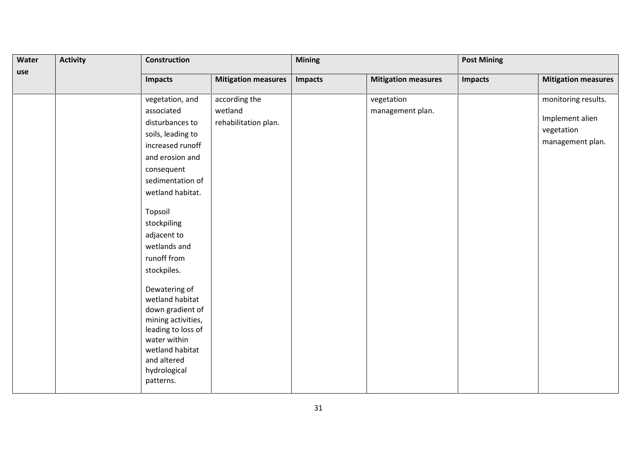| Water | <b>Activity</b> | <b>Construction</b>                                                                                                                                                                                                                                                                                                                                                                                                                          |                                                  | <b>Mining</b> |                                | <b>Post Mining</b> |                                                                          |
|-------|-----------------|----------------------------------------------------------------------------------------------------------------------------------------------------------------------------------------------------------------------------------------------------------------------------------------------------------------------------------------------------------------------------------------------------------------------------------------------|--------------------------------------------------|---------------|--------------------------------|--------------------|--------------------------------------------------------------------------|
| use   |                 | <b>Impacts</b>                                                                                                                                                                                                                                                                                                                                                                                                                               | <b>Mitigation measures</b>                       | Impacts       | <b>Mitigation measures</b>     | <b>Impacts</b>     | <b>Mitigation measures</b>                                               |
|       |                 | vegetation, and<br>associated<br>disturbances to<br>soils, leading to<br>increased runoff<br>and erosion and<br>consequent<br>sedimentation of<br>wetland habitat.<br>Topsoil<br>stockpiling<br>adjacent to<br>wetlands and<br>runoff from<br>stockpiles.<br>Dewatering of<br>wetland habitat<br>down gradient of<br>mining activities,<br>leading to loss of<br>water within<br>wetland habitat<br>and altered<br>hydrological<br>patterns. | according the<br>wetland<br>rehabilitation plan. |               | vegetation<br>management plan. |                    | monitoring results.<br>Implement alien<br>vegetation<br>management plan. |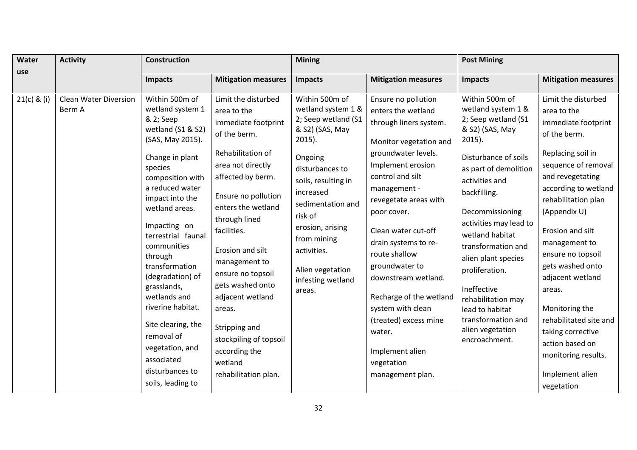| Water<br>use  | <b>Activity</b>                        | <b>Construction</b>                                                                                                                                                                                                                                                                                                                                                                                                                                  |                                                                                                                                                                                                                                                                                                                                                                                                                                  | <b>Mining</b>                                                                                                                                                                                                                                                                                      |                                                                                                                                                                                                                                                                                                                                                                                                                                                                        | <b>Post Mining</b>                                                                                                                                                                                                                                                                                                                                                                                                               |                                                                                                                                                                                                                                                                                                                                                                                                                                                    |  |
|---------------|----------------------------------------|------------------------------------------------------------------------------------------------------------------------------------------------------------------------------------------------------------------------------------------------------------------------------------------------------------------------------------------------------------------------------------------------------------------------------------------------------|----------------------------------------------------------------------------------------------------------------------------------------------------------------------------------------------------------------------------------------------------------------------------------------------------------------------------------------------------------------------------------------------------------------------------------|----------------------------------------------------------------------------------------------------------------------------------------------------------------------------------------------------------------------------------------------------------------------------------------------------|------------------------------------------------------------------------------------------------------------------------------------------------------------------------------------------------------------------------------------------------------------------------------------------------------------------------------------------------------------------------------------------------------------------------------------------------------------------------|----------------------------------------------------------------------------------------------------------------------------------------------------------------------------------------------------------------------------------------------------------------------------------------------------------------------------------------------------------------------------------------------------------------------------------|----------------------------------------------------------------------------------------------------------------------------------------------------------------------------------------------------------------------------------------------------------------------------------------------------------------------------------------------------------------------------------------------------------------------------------------------------|--|
|               |                                        | <b>Impacts</b>                                                                                                                                                                                                                                                                                                                                                                                                                                       | <b>Mitigation measures</b>                                                                                                                                                                                                                                                                                                                                                                                                       | <b>Impacts</b>                                                                                                                                                                                                                                                                                     | <b>Mitigation measures</b>                                                                                                                                                                                                                                                                                                                                                                                                                                             | <b>Impacts</b>                                                                                                                                                                                                                                                                                                                                                                                                                   | <b>Mitigation measures</b>                                                                                                                                                                                                                                                                                                                                                                                                                         |  |
| $21(c)$ & (i) | <b>Clean Water Diversion</b><br>Berm A | Within 500m of<br>wetland system 1<br>& 2; Seep<br>wetland (S1 & S2)<br>(SAS, May 2015).<br>Change in plant<br>species<br>composition with<br>a reduced water<br>impact into the<br>wetland areas.<br>Impacting on<br>terrestrial faunal<br>communities<br>through<br>transformation<br>(degradation) of<br>grasslands,<br>wetlands and<br>riverine habitat.<br>Site clearing, the<br>removal of<br>vegetation, and<br>associated<br>disturbances to | Limit the disturbed<br>area to the<br>immediate footprint<br>of the berm.<br>Rehabilitation of<br>area not directly<br>affected by berm.<br>Ensure no pollution<br>enters the wetland<br>through lined<br>facilities.<br>Erosion and silt<br>management to<br>ensure no topsoil<br>gets washed onto<br>adjacent wetland<br>areas.<br>Stripping and<br>stockpiling of topsoil<br>according the<br>wetland<br>rehabilitation plan. | Within 500m of<br>wetland system 1 &<br>2; Seep wetland (S1<br>& S2) (SAS, May<br>$2015$ ).<br>Ongoing<br>disturbances to<br>soils, resulting in<br>increased<br>sedimentation and<br>risk of<br>erosion, arising<br>from mining<br>activities.<br>Alien vegetation<br>infesting wetland<br>areas. | Ensure no pollution<br>enters the wetland<br>through liners system.<br>Monitor vegetation and<br>groundwater levels.<br>Implement erosion<br>control and silt<br>management -<br>revegetate areas with<br>poor cover.<br>Clean water cut-off<br>drain systems to re-<br>route shallow<br>groundwater to<br>downstream wetland.<br>Recharge of the wetland<br>system with clean<br>(treated) excess mine<br>water.<br>Implement alien<br>vegetation<br>management plan. | Within 500m of<br>wetland system 1 &<br>2; Seep wetland (S1<br>& S2) (SAS, May<br>$2015$ ).<br>Disturbance of soils<br>as part of demolition<br>activities and<br>backfilling.<br>Decommissioning<br>activities may lead to<br>wetland habitat<br>transformation and<br>alien plant species<br>proliferation.<br>Ineffective<br>rehabilitation may<br>lead to habitat<br>transformation and<br>alien vegetation<br>encroachment. | Limit the disturbed<br>area to the<br>immediate footprint<br>of the berm.<br>Replacing soil in<br>sequence of removal<br>and revegetating<br>according to wetland<br>rehabilitation plan<br>(Appendix U)<br>Erosion and silt<br>management to<br>ensure no topsoil<br>gets washed onto<br>adjacent wetland<br>areas.<br>Monitoring the<br>rehabilitated site and<br>taking corrective<br>action based on<br>monitoring results.<br>Implement alien |  |
|               |                                        | soils, leading to                                                                                                                                                                                                                                                                                                                                                                                                                                    |                                                                                                                                                                                                                                                                                                                                                                                                                                  |                                                                                                                                                                                                                                                                                                    |                                                                                                                                                                                                                                                                                                                                                                                                                                                                        |                                                                                                                                                                                                                                                                                                                                                                                                                                  | vegetation                                                                                                                                                                                                                                                                                                                                                                                                                                         |  |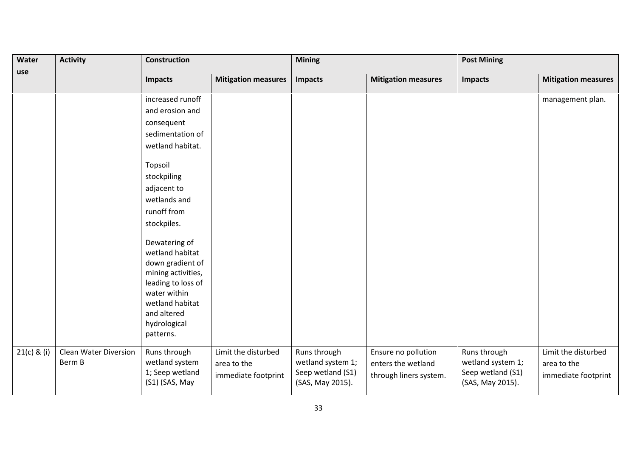| <b>Activity</b><br>Water |                                        | <b>Construction</b>                                                                                                                                                             |                                                           | <b>Mining</b>                                                              |                                                                     | <b>Post Mining</b>                                                         |                                                           |
|--------------------------|----------------------------------------|---------------------------------------------------------------------------------------------------------------------------------------------------------------------------------|-----------------------------------------------------------|----------------------------------------------------------------------------|---------------------------------------------------------------------|----------------------------------------------------------------------------|-----------------------------------------------------------|
| use                      |                                        | <b>Impacts</b>                                                                                                                                                                  | <b>Mitigation measures</b>                                | <b>Impacts</b>                                                             | <b>Mitigation measures</b>                                          | <b>Impacts</b>                                                             | <b>Mitigation measures</b>                                |
|                          |                                        | increased runoff                                                                                                                                                                |                                                           |                                                                            |                                                                     |                                                                            | management plan.                                          |
|                          |                                        | and erosion and                                                                                                                                                                 |                                                           |                                                                            |                                                                     |                                                                            |                                                           |
|                          |                                        | consequent                                                                                                                                                                      |                                                           |                                                                            |                                                                     |                                                                            |                                                           |
|                          |                                        | sedimentation of                                                                                                                                                                |                                                           |                                                                            |                                                                     |                                                                            |                                                           |
|                          |                                        | wetland habitat.                                                                                                                                                                |                                                           |                                                                            |                                                                     |                                                                            |                                                           |
|                          |                                        | Topsoil                                                                                                                                                                         |                                                           |                                                                            |                                                                     |                                                                            |                                                           |
|                          |                                        | stockpiling                                                                                                                                                                     |                                                           |                                                                            |                                                                     |                                                                            |                                                           |
|                          |                                        | adjacent to                                                                                                                                                                     |                                                           |                                                                            |                                                                     |                                                                            |                                                           |
|                          |                                        | wetlands and                                                                                                                                                                    |                                                           |                                                                            |                                                                     |                                                                            |                                                           |
|                          |                                        | runoff from                                                                                                                                                                     |                                                           |                                                                            |                                                                     |                                                                            |                                                           |
|                          |                                        | stockpiles.                                                                                                                                                                     |                                                           |                                                                            |                                                                     |                                                                            |                                                           |
|                          |                                        | Dewatering of<br>wetland habitat<br>down gradient of<br>mining activities,<br>leading to loss of<br>water within<br>wetland habitat<br>and altered<br>hydrological<br>patterns. |                                                           |                                                                            |                                                                     |                                                                            |                                                           |
| 21(c) & (i)              | <b>Clean Water Diversion</b><br>Berm B | Runs through<br>wetland system<br>1; Seep wetland<br>(S1) (SAS, May                                                                                                             | Limit the disturbed<br>area to the<br>immediate footprint | Runs through<br>wetland system 1;<br>Seep wetland (S1)<br>(SAS, May 2015). | Ensure no pollution<br>enters the wetland<br>through liners system. | Runs through<br>wetland system 1;<br>Seep wetland (S1)<br>(SAS, May 2015). | Limit the disturbed<br>area to the<br>immediate footprint |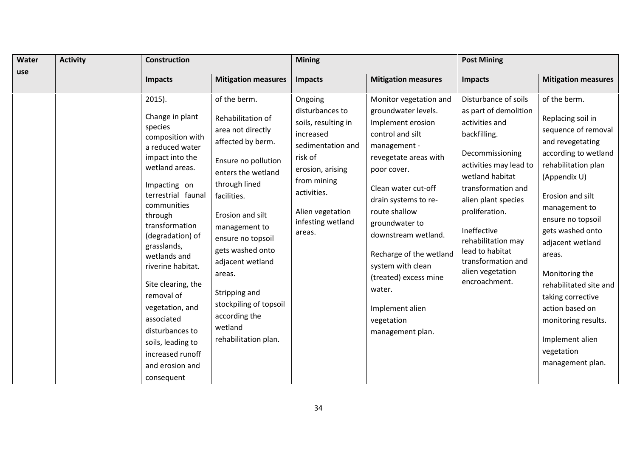| Water | <b>Activity</b> | <b>Construction</b>                                                                                                                                                                                                                                                                                                                                                                                                                             |                                                                                                                                                                                                                                                                                                                                                                     | <b>Mining</b>                                                                                                                                                                                       |                                                                                                                                                                                                                                                                                                                                                                                                 | <b>Post Mining</b>                                                                                                                                                                                                                                                                                                                |                                                                                                                                                                                                                                                                                                                                                                                                                         |  |
|-------|-----------------|-------------------------------------------------------------------------------------------------------------------------------------------------------------------------------------------------------------------------------------------------------------------------------------------------------------------------------------------------------------------------------------------------------------------------------------------------|---------------------------------------------------------------------------------------------------------------------------------------------------------------------------------------------------------------------------------------------------------------------------------------------------------------------------------------------------------------------|-----------------------------------------------------------------------------------------------------------------------------------------------------------------------------------------------------|-------------------------------------------------------------------------------------------------------------------------------------------------------------------------------------------------------------------------------------------------------------------------------------------------------------------------------------------------------------------------------------------------|-----------------------------------------------------------------------------------------------------------------------------------------------------------------------------------------------------------------------------------------------------------------------------------------------------------------------------------|-------------------------------------------------------------------------------------------------------------------------------------------------------------------------------------------------------------------------------------------------------------------------------------------------------------------------------------------------------------------------------------------------------------------------|--|
| use   |                 | <b>Impacts</b>                                                                                                                                                                                                                                                                                                                                                                                                                                  | <b>Mitigation measures</b>                                                                                                                                                                                                                                                                                                                                          | <b>Impacts</b>                                                                                                                                                                                      | <b>Mitigation measures</b>                                                                                                                                                                                                                                                                                                                                                                      | Impacts                                                                                                                                                                                                                                                                                                                           | <b>Mitigation measures</b>                                                                                                                                                                                                                                                                                                                                                                                              |  |
|       |                 | $2015$ ).<br>Change in plant<br>species<br>composition with<br>a reduced water<br>impact into the<br>wetland areas.<br>Impacting on<br>terrestrial faunal<br>communities<br>through<br>transformation<br>(degradation) of<br>grasslands,<br>wetlands and<br>riverine habitat.<br>Site clearing, the<br>removal of<br>vegetation, and<br>associated<br>disturbances to<br>soils, leading to<br>increased runoff<br>and erosion and<br>consequent | of the berm.<br>Rehabilitation of<br>area not directly<br>affected by berm.<br>Ensure no pollution<br>enters the wetland<br>through lined<br>facilities.<br>Erosion and silt<br>management to<br>ensure no topsoil<br>gets washed onto<br>adjacent wetland<br>areas.<br>Stripping and<br>stockpiling of topsoil<br>according the<br>wetland<br>rehabilitation plan. | Ongoing<br>disturbances to<br>soils, resulting in<br>increased<br>sedimentation and<br>risk of<br>erosion, arising<br>from mining<br>activities.<br>Alien vegetation<br>infesting wetland<br>areas. | Monitor vegetation and<br>groundwater levels.<br>Implement erosion<br>control and silt<br>management -<br>revegetate areas with<br>poor cover.<br>Clean water cut-off<br>drain systems to re-<br>route shallow<br>groundwater to<br>downstream wetland.<br>Recharge of the wetland<br>system with clean<br>(treated) excess mine<br>water.<br>Implement alien<br>vegetation<br>management plan. | Disturbance of soils<br>as part of demolition<br>activities and<br>backfilling.<br>Decommissioning<br>activities may lead to<br>wetland habitat<br>transformation and<br>alien plant species<br>proliferation.<br>Ineffective<br>rehabilitation may<br>lead to habitat<br>transformation and<br>alien vegetation<br>encroachment. | of the berm.<br>Replacing soil in<br>sequence of removal<br>and revegetating<br>according to wetland<br>rehabilitation plan<br>(Appendix U)<br>Erosion and silt<br>management to<br>ensure no topsoil<br>gets washed onto<br>adjacent wetland<br>areas.<br>Monitoring the<br>rehabilitated site and<br>taking corrective<br>action based on<br>monitoring results.<br>Implement alien<br>vegetation<br>management plan. |  |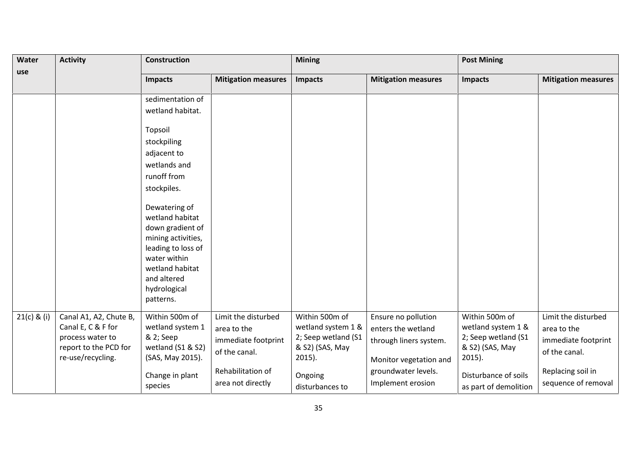| <b>Activity</b><br>Water |                                                                                                                | <b>Construction</b>                                                                                                                                                                                                                                                                                            |                                                                                                                      | <b>Mining</b>                                                                                                             |                                                                                                                                           | <b>Post Mining</b>                                                                                                                           |                                                                                                                        |
|--------------------------|----------------------------------------------------------------------------------------------------------------|----------------------------------------------------------------------------------------------------------------------------------------------------------------------------------------------------------------------------------------------------------------------------------------------------------------|----------------------------------------------------------------------------------------------------------------------|---------------------------------------------------------------------------------------------------------------------------|-------------------------------------------------------------------------------------------------------------------------------------------|----------------------------------------------------------------------------------------------------------------------------------------------|------------------------------------------------------------------------------------------------------------------------|
| use                      |                                                                                                                | <b>Impacts</b>                                                                                                                                                                                                                                                                                                 | <b>Mitigation measures</b>                                                                                           | <b>Impacts</b>                                                                                                            | <b>Mitigation measures</b>                                                                                                                | <b>Impacts</b>                                                                                                                               | <b>Mitigation measures</b>                                                                                             |
|                          |                                                                                                                | sedimentation of<br>wetland habitat.<br>Topsoil<br>stockpiling<br>adjacent to<br>wetlands and<br>runoff from<br>stockpiles.<br>Dewatering of<br>wetland habitat<br>down gradient of<br>mining activities,<br>leading to loss of<br>water within<br>wetland habitat<br>and altered<br>hydrological<br>patterns. |                                                                                                                      |                                                                                                                           |                                                                                                                                           |                                                                                                                                              |                                                                                                                        |
| $21(c)$ & (i)            | Canal A1, A2, Chute B,<br>Canal E, C & F for<br>process water to<br>report to the PCD for<br>re-use/recycling. | Within 500m of<br>wetland system 1<br>& 2; Seep<br>wetland (S1 & S2)<br>(SAS, May 2015).<br>Change in plant<br>species                                                                                                                                                                                         | Limit the disturbed<br>area to the<br>immediate footprint<br>of the canal.<br>Rehabilitation of<br>area not directly | Within 500m of<br>wetland system 1 &<br>2; Seep wetland (S1<br>& S2) (SAS, May<br>$2015$ ).<br>Ongoing<br>disturbances to | Ensure no pollution<br>enters the wetland<br>through liners system.<br>Monitor vegetation and<br>groundwater levels.<br>Implement erosion | Within 500m of<br>wetland system 1 &<br>2; Seep wetland (S1<br>& S2) (SAS, May<br>$2015$ ).<br>Disturbance of soils<br>as part of demolition | Limit the disturbed<br>area to the<br>immediate footprint<br>of the canal.<br>Replacing soil in<br>sequence of removal |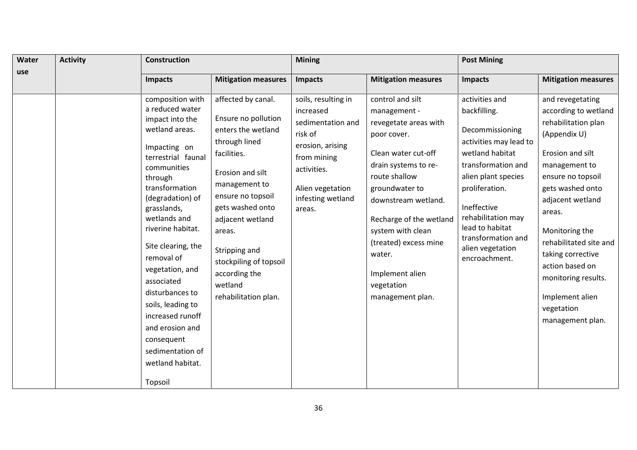| Water | <b>Activity</b> | Construction                                                                                                                                                                                                                                                                                                                                                                                                                                            |                                                                                                                                                                                                                                                                                                            | <b>Mining</b>                                                                                                                                                         |                                                                                                                                                                                                                                                                                                                           | <b>Post Mining</b>                                                                                                                                                                                                                                                               |                                                                                                                                                                                                                                                                                                                                                             |  |
|-------|-----------------|---------------------------------------------------------------------------------------------------------------------------------------------------------------------------------------------------------------------------------------------------------------------------------------------------------------------------------------------------------------------------------------------------------------------------------------------------------|------------------------------------------------------------------------------------------------------------------------------------------------------------------------------------------------------------------------------------------------------------------------------------------------------------|-----------------------------------------------------------------------------------------------------------------------------------------------------------------------|---------------------------------------------------------------------------------------------------------------------------------------------------------------------------------------------------------------------------------------------------------------------------------------------------------------------------|----------------------------------------------------------------------------------------------------------------------------------------------------------------------------------------------------------------------------------------------------------------------------------|-------------------------------------------------------------------------------------------------------------------------------------------------------------------------------------------------------------------------------------------------------------------------------------------------------------------------------------------------------------|--|
| use   |                 | <b>Impacts</b>                                                                                                                                                                                                                                                                                                                                                                                                                                          | <b>Mitigation measures</b>                                                                                                                                                                                                                                                                                 | <b>Impacts</b>                                                                                                                                                        | <b>Mitigation measures</b>                                                                                                                                                                                                                                                                                                | <b>Impacts</b>                                                                                                                                                                                                                                                                   | <b>Mitigation measures</b>                                                                                                                                                                                                                                                                                                                                  |  |
|       |                 | composition with<br>a reduced water<br>impact into the<br>wetland areas.<br>Impacting on<br>terrestrial faunal<br>communities<br>through<br>transformation<br>(degradation) of<br>grasslands,<br>wetlands and<br>riverine habitat.<br>Site clearing, the<br>removal of<br>vegetation, and<br>associated<br>disturbances to<br>soils, leading to<br>increased runoff<br>and erosion and<br>consequent<br>sedimentation of<br>wetland habitat.<br>Topsoil | affected by canal.<br>Ensure no pollution<br>enters the wetland<br>through lined<br>facilities.<br>Erosion and silt<br>management to<br>ensure no topsoil<br>gets washed onto<br>adjacent wetland<br>areas.<br>Stripping and<br>stockpiling of topsoil<br>according the<br>wetland<br>rehabilitation plan. | soils, resulting in<br>increased<br>sedimentation and<br>risk of<br>erosion, arising<br>from mining<br>activities.<br>Alien vegetation<br>infesting wetland<br>areas. | control and silt<br>management -<br>revegetate areas with<br>poor cover.<br>Clean water cut-off<br>drain systems to re-<br>route shallow<br>groundwater to<br>downstream wetland.<br>Recharge of the wetland<br>system with clean<br>(treated) excess mine<br>water.<br>Implement alien<br>vegetation<br>management plan. | activities and<br>backfilling.<br>Decommissioning<br>activities may lead to<br>wetland habitat<br>transformation and<br>alien plant species<br>proliferation.<br>Ineffective<br>rehabilitation may<br>lead to habitat<br>transformation and<br>alien vegetation<br>encroachment. | and revegetating<br>according to wetland<br>rehabilitation plan<br>(Appendix U)<br>Erosion and silt<br>management to<br>ensure no topsoil<br>gets washed onto<br>adjacent wetland<br>areas.<br>Monitoring the<br>rehabilitated site and<br>taking corrective<br>action based on<br>monitoring results.<br>Implement alien<br>vegetation<br>management plan. |  |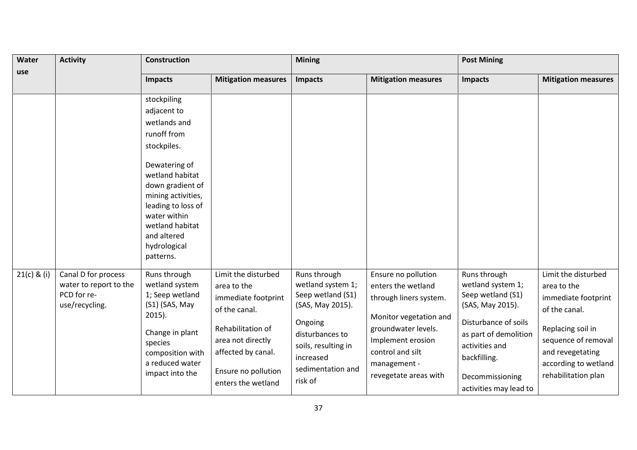| Water         | <b>Activity</b>                                                                | <b>Construction</b>                                                                                                                                                      |                                                                                                                                                                                         | <b>Mining</b>                                                                                                                                                                |                                                                                                                                                                                                        | <b>Post Mining</b>                                                                                                                                                                                         |                                                                                                                                                                                           |
|---------------|--------------------------------------------------------------------------------|--------------------------------------------------------------------------------------------------------------------------------------------------------------------------|-----------------------------------------------------------------------------------------------------------------------------------------------------------------------------------------|------------------------------------------------------------------------------------------------------------------------------------------------------------------------------|--------------------------------------------------------------------------------------------------------------------------------------------------------------------------------------------------------|------------------------------------------------------------------------------------------------------------------------------------------------------------------------------------------------------------|-------------------------------------------------------------------------------------------------------------------------------------------------------------------------------------------|
| use           |                                                                                | <b>Impacts</b>                                                                                                                                                           | <b>Mitigation measures</b>                                                                                                                                                              | <b>Impacts</b>                                                                                                                                                               | <b>Mitigation measures</b>                                                                                                                                                                             | <b>Impacts</b>                                                                                                                                                                                             | <b>Mitigation measures</b>                                                                                                                                                                |
|               |                                                                                | stockpiling<br>adjacent to<br>wetlands and<br>runoff from<br>stockpiles.<br>Dewatering of<br>wetland habitat<br>down gradient of<br>mining activities,                   |                                                                                                                                                                                         |                                                                                                                                                                              |                                                                                                                                                                                                        |                                                                                                                                                                                                            |                                                                                                                                                                                           |
|               |                                                                                | leading to loss of<br>water within<br>wetland habitat<br>and altered<br>hydrological<br>patterns.                                                                        |                                                                                                                                                                                         |                                                                                                                                                                              |                                                                                                                                                                                                        |                                                                                                                                                                                                            |                                                                                                                                                                                           |
| $21(c)$ & (i) | Canal D for process<br>water to report to the<br>PCD for re-<br>use/recycling. | Runs through<br>wetland system<br>1; Seep wetland<br>(S1) (SAS, May<br>$2015$ ).<br>Change in plant<br>species<br>composition with<br>a reduced water<br>impact into the | Limit the disturbed<br>area to the<br>immediate footprint<br>of the canal.<br>Rehabilitation of<br>area not directly<br>affected by canal.<br>Ensure no pollution<br>enters the wetland | Runs through<br>wetland system 1;<br>Seep wetland (S1)<br>(SAS, May 2015).<br>Ongoing<br>disturbances to<br>soils, resulting in<br>increased<br>sedimentation and<br>risk of | Ensure no pollution<br>enters the wetland<br>through liners system.<br>Monitor vegetation and<br>groundwater levels.<br>Implement erosion<br>control and silt<br>management -<br>revegetate areas with | Runs through<br>wetland system 1;<br>Seep wetland (S1)<br>(SAS, May 2015).<br>Disturbance of soils<br>as part of demolition<br>activities and<br>backfilling.<br>Decommissioning<br>activities may lead to | Limit the disturbed<br>area to the<br>immediate footprint<br>of the canal.<br>Replacing soil in<br>sequence of removal<br>and revegetating<br>according to wetland<br>rehabilitation plan |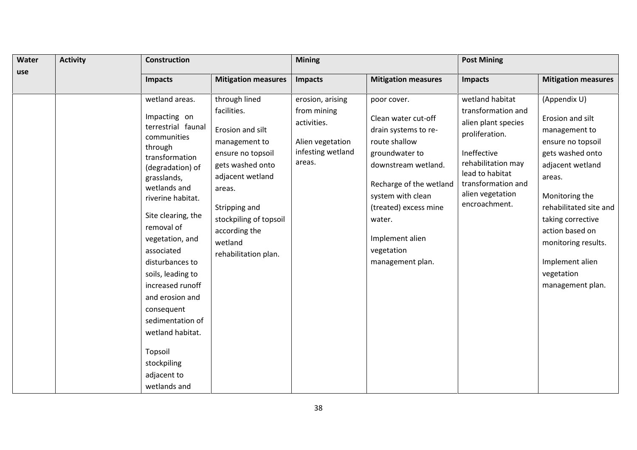| Water | <b>Activity</b> | <b>Construction</b>                                                                                                                                                                                                                                                                                                                                                                                                                         |                                                                                                                                                                                                                                         | <b>Mining</b>                                                                                     |                                                                                                                                                                                                                                                              | <b>Post Mining</b>                                                                                                                                                                                |                                                                                                                                                                                                                                                                                          |  |
|-------|-----------------|---------------------------------------------------------------------------------------------------------------------------------------------------------------------------------------------------------------------------------------------------------------------------------------------------------------------------------------------------------------------------------------------------------------------------------------------|-----------------------------------------------------------------------------------------------------------------------------------------------------------------------------------------------------------------------------------------|---------------------------------------------------------------------------------------------------|--------------------------------------------------------------------------------------------------------------------------------------------------------------------------------------------------------------------------------------------------------------|---------------------------------------------------------------------------------------------------------------------------------------------------------------------------------------------------|------------------------------------------------------------------------------------------------------------------------------------------------------------------------------------------------------------------------------------------------------------------------------------------|--|
| use   |                 | <b>Impacts</b>                                                                                                                                                                                                                                                                                                                                                                                                                              | <b>Mitigation measures</b>                                                                                                                                                                                                              | <b>Impacts</b>                                                                                    | <b>Mitigation measures</b>                                                                                                                                                                                                                                   | <b>Impacts</b>                                                                                                                                                                                    | <b>Mitigation measures</b>                                                                                                                                                                                                                                                               |  |
|       |                 | wetland areas.<br>Impacting on<br>terrestrial faunal<br>communities<br>through<br>transformation<br>(degradation) of<br>grasslands,<br>wetlands and<br>riverine habitat.<br>Site clearing, the<br>removal of<br>vegetation, and<br>associated<br>disturbances to<br>soils, leading to<br>increased runoff<br>and erosion and<br>consequent<br>sedimentation of<br>wetland habitat.<br>Topsoil<br>stockpiling<br>adjacent to<br>wetlands and | through lined<br>facilities.<br>Erosion and silt<br>management to<br>ensure no topsoil<br>gets washed onto<br>adjacent wetland<br>areas.<br>Stripping and<br>stockpiling of topsoil<br>according the<br>wetland<br>rehabilitation plan. | erosion, arising<br>from mining<br>activities.<br>Alien vegetation<br>infesting wetland<br>areas. | poor cover.<br>Clean water cut-off<br>drain systems to re-<br>route shallow<br>groundwater to<br>downstream wetland.<br>Recharge of the wetland<br>system with clean<br>(treated) excess mine<br>water.<br>Implement alien<br>vegetation<br>management plan. | wetland habitat<br>transformation and<br>alien plant species<br>proliferation.<br>Ineffective<br>rehabilitation may<br>lead to habitat<br>transformation and<br>alien vegetation<br>encroachment. | (Appendix U)<br>Erosion and silt<br>management to<br>ensure no topsoil<br>gets washed onto<br>adjacent wetland<br>areas.<br>Monitoring the<br>rehabilitated site and<br>taking corrective<br>action based on<br>monitoring results.<br>Implement alien<br>vegetation<br>management plan. |  |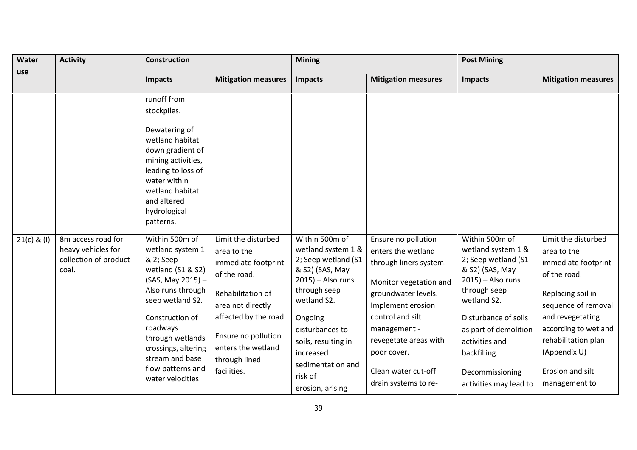| Water         | <b>Activity</b>                                                            | <b>Construction</b>                                                                                                                                                                                                                                                                   |                                                                                                                                                                                                                           | <b>Mining</b>                                                                                                                                                                                                                                               |                                                                                                                                                                                                                                                                      | <b>Post Mining</b>                                                                                                                                                                                                                                                    |                                                                                                                                                                                                                                               |
|---------------|----------------------------------------------------------------------------|---------------------------------------------------------------------------------------------------------------------------------------------------------------------------------------------------------------------------------------------------------------------------------------|---------------------------------------------------------------------------------------------------------------------------------------------------------------------------------------------------------------------------|-------------------------------------------------------------------------------------------------------------------------------------------------------------------------------------------------------------------------------------------------------------|----------------------------------------------------------------------------------------------------------------------------------------------------------------------------------------------------------------------------------------------------------------------|-----------------------------------------------------------------------------------------------------------------------------------------------------------------------------------------------------------------------------------------------------------------------|-----------------------------------------------------------------------------------------------------------------------------------------------------------------------------------------------------------------------------------------------|
| use           |                                                                            | <b>Impacts</b>                                                                                                                                                                                                                                                                        | <b>Mitigation measures</b>                                                                                                                                                                                                | <b>Impacts</b>                                                                                                                                                                                                                                              | <b>Mitigation measures</b>                                                                                                                                                                                                                                           | <b>Impacts</b>                                                                                                                                                                                                                                                        | <b>Mitigation measures</b>                                                                                                                                                                                                                    |
|               |                                                                            | runoff from<br>stockpiles.<br>Dewatering of<br>wetland habitat<br>down gradient of<br>mining activities,<br>leading to loss of<br>water within<br>wetland habitat<br>and altered<br>hydrological                                                                                      |                                                                                                                                                                                                                           |                                                                                                                                                                                                                                                             |                                                                                                                                                                                                                                                                      |                                                                                                                                                                                                                                                                       |                                                                                                                                                                                                                                               |
| $21(c)$ & (i) | 8m access road for<br>heavy vehicles for<br>collection of product<br>coal. | patterns.<br>Within 500m of<br>wetland system 1<br>& 2; Seep<br>wetland (S1 & S2)<br>(SAS, May 2015) -<br>Also runs through<br>seep wetland S2.<br>Construction of<br>roadways<br>through wetlands<br>crossings, altering<br>stream and base<br>flow patterns and<br>water velocities | Limit the disturbed<br>area to the<br>immediate footprint<br>of the road.<br>Rehabilitation of<br>area not directly<br>affected by the road.<br>Ensure no pollution<br>enters the wetland<br>through lined<br>facilities. | Within 500m of<br>wetland system 1 &<br>2; Seep wetland (S1<br>& S2) (SAS, May<br>$2015$ ) – Also runs<br>through seep<br>wetland S2.<br>Ongoing<br>disturbances to<br>soils, resulting in<br>increased<br>sedimentation and<br>risk of<br>erosion, arising | Ensure no pollution<br>enters the wetland<br>through liners system.<br>Monitor vegetation and<br>groundwater levels.<br>Implement erosion<br>control and silt<br>management -<br>revegetate areas with<br>poor cover.<br>Clean water cut-off<br>drain systems to re- | Within 500m of<br>wetland system 1 &<br>2; Seep wetland (S1<br>& S2) (SAS, May<br>$2015$ ) – Also runs<br>through seep<br>wetland S2.<br>Disturbance of soils<br>as part of demolition<br>activities and<br>backfilling.<br>Decommissioning<br>activities may lead to | Limit the disturbed<br>area to the<br>immediate footprint<br>of the road.<br>Replacing soil in<br>sequence of removal<br>and revegetating<br>according to wetland<br>rehabilitation plan<br>(Appendix U)<br>Erosion and silt<br>management to |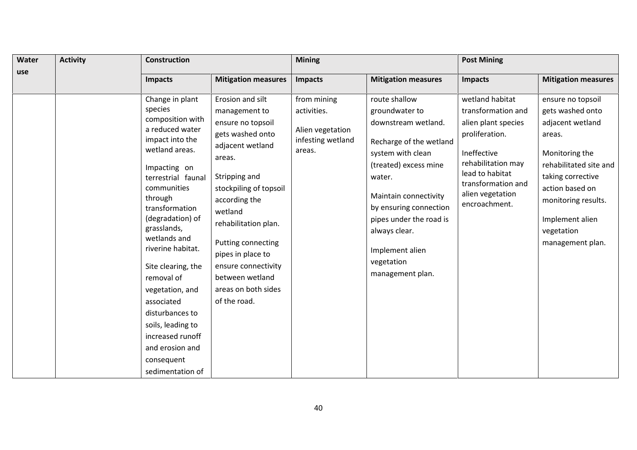| Water | <b>Activity</b> | <b>Construction</b>                                                                                                                                                                                                                                                                                                                                                                                                                                    |                                                                                                                                                                                                                                                                                                                                     | <b>Mining</b>                                                                 |                                                                                                                                                                                                                                                                                               | <b>Post Mining</b>                                                                                                                                                                                |                                                                                                                                                                                                                                     |  |
|-------|-----------------|--------------------------------------------------------------------------------------------------------------------------------------------------------------------------------------------------------------------------------------------------------------------------------------------------------------------------------------------------------------------------------------------------------------------------------------------------------|-------------------------------------------------------------------------------------------------------------------------------------------------------------------------------------------------------------------------------------------------------------------------------------------------------------------------------------|-------------------------------------------------------------------------------|-----------------------------------------------------------------------------------------------------------------------------------------------------------------------------------------------------------------------------------------------------------------------------------------------|---------------------------------------------------------------------------------------------------------------------------------------------------------------------------------------------------|-------------------------------------------------------------------------------------------------------------------------------------------------------------------------------------------------------------------------------------|--|
| use   |                 | <b>Impacts</b>                                                                                                                                                                                                                                                                                                                                                                                                                                         | <b>Mitigation measures</b>                                                                                                                                                                                                                                                                                                          | Impacts                                                                       | <b>Mitigation measures</b>                                                                                                                                                                                                                                                                    | Impacts                                                                                                                                                                                           | <b>Mitigation measures</b>                                                                                                                                                                                                          |  |
|       |                 | Change in plant<br>species<br>composition with<br>a reduced water<br>impact into the<br>wetland areas.<br>Impacting on<br>terrestrial faunal<br>communities<br>through<br>transformation<br>(degradation) of<br>grasslands,<br>wetlands and<br>riverine habitat.<br>Site clearing, the<br>removal of<br>vegetation, and<br>associated<br>disturbances to<br>soils, leading to<br>increased runoff<br>and erosion and<br>consequent<br>sedimentation of | Erosion and silt<br>management to<br>ensure no topsoil<br>gets washed onto<br>adjacent wetland<br>areas.<br>Stripping and<br>stockpiling of topsoil<br>according the<br>wetland<br>rehabilitation plan.<br>Putting connecting<br>pipes in place to<br>ensure connectivity<br>between wetland<br>areas on both sides<br>of the road. | from mining<br>activities.<br>Alien vegetation<br>infesting wetland<br>areas. | route shallow<br>groundwater to<br>downstream wetland.<br>Recharge of the wetland<br>system with clean<br>(treated) excess mine<br>water.<br>Maintain connectivity<br>by ensuring connection<br>pipes under the road is<br>always clear.<br>Implement alien<br>vegetation<br>management plan. | wetland habitat<br>transformation and<br>alien plant species<br>proliferation.<br>Ineffective<br>rehabilitation may<br>lead to habitat<br>transformation and<br>alien vegetation<br>encroachment. | ensure no topsoil<br>gets washed onto<br>adjacent wetland<br>areas.<br>Monitoring the<br>rehabilitated site and<br>taking corrective<br>action based on<br>monitoring results.<br>Implement alien<br>vegetation<br>management plan. |  |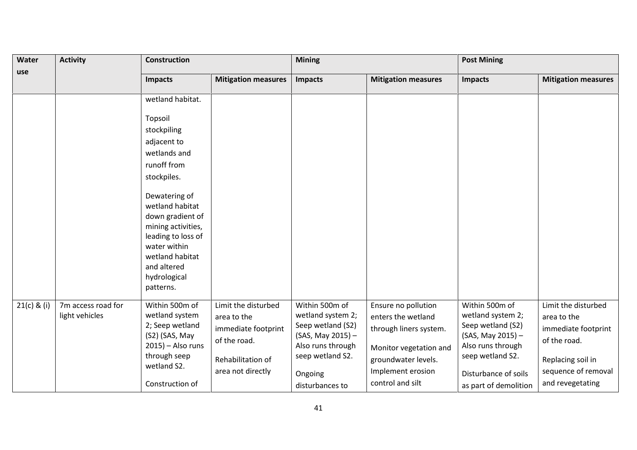| <b>Activity</b><br>Water |                                      | Construction                                                                                                                                                                    |                                                                           | <b>Mining</b>                                                                 |                                                                     | <b>Post Mining</b>                                                            |                                                                           |
|--------------------------|--------------------------------------|---------------------------------------------------------------------------------------------------------------------------------------------------------------------------------|---------------------------------------------------------------------------|-------------------------------------------------------------------------------|---------------------------------------------------------------------|-------------------------------------------------------------------------------|---------------------------------------------------------------------------|
| use                      |                                      | <b>Impacts</b>                                                                                                                                                                  | <b>Mitigation measures</b>                                                | <b>Impacts</b>                                                                | <b>Mitigation measures</b>                                          | <b>Impacts</b>                                                                | <b>Mitigation measures</b>                                                |
|                          |                                      | wetland habitat.                                                                                                                                                                |                                                                           |                                                                               |                                                                     |                                                                               |                                                                           |
|                          |                                      | Topsoil                                                                                                                                                                         |                                                                           |                                                                               |                                                                     |                                                                               |                                                                           |
|                          |                                      | stockpiling                                                                                                                                                                     |                                                                           |                                                                               |                                                                     |                                                                               |                                                                           |
|                          |                                      | adjacent to                                                                                                                                                                     |                                                                           |                                                                               |                                                                     |                                                                               |                                                                           |
|                          |                                      | wetlands and                                                                                                                                                                    |                                                                           |                                                                               |                                                                     |                                                                               |                                                                           |
|                          |                                      | runoff from                                                                                                                                                                     |                                                                           |                                                                               |                                                                     |                                                                               |                                                                           |
|                          |                                      | stockpiles.                                                                                                                                                                     |                                                                           |                                                                               |                                                                     |                                                                               |                                                                           |
|                          |                                      | Dewatering of<br>wetland habitat<br>down gradient of<br>mining activities,<br>leading to loss of<br>water within<br>wetland habitat<br>and altered<br>hydrological<br>patterns. |                                                                           |                                                                               |                                                                     |                                                                               |                                                                           |
| $21(c)$ & (i)            | 7m access road for<br>light vehicles | Within 500m of<br>wetland system<br>2; Seep wetland<br>(S2) (SAS, May                                                                                                           | Limit the disturbed<br>area to the<br>immediate footprint<br>of the road. | Within 500m of<br>wetland system 2;<br>Seep wetland (S2)<br>(SAS, May 2015) - | Ensure no pollution<br>enters the wetland<br>through liners system. | Within 500m of<br>wetland system 2;<br>Seep wetland (S2)<br>(SAS, May 2015) - | Limit the disturbed<br>area to the<br>immediate footprint<br>of the road. |
|                          |                                      | $2015$ ) – Also runs                                                                                                                                                            |                                                                           | Also runs through                                                             | Monitor vegetation and                                              | Also runs through                                                             |                                                                           |
|                          |                                      | through seep                                                                                                                                                                    | Rehabilitation of                                                         | seep wetland S2.                                                              | groundwater levels.                                                 | seep wetland S2.                                                              | Replacing soil in                                                         |
|                          |                                      | wetland S2.                                                                                                                                                                     | area not directly                                                         | Ongoing                                                                       | Implement erosion                                                   | Disturbance of soils                                                          | sequence of removal                                                       |
|                          |                                      | Construction of                                                                                                                                                                 |                                                                           | disturbances to                                                               | control and silt                                                    | as part of demolition                                                         | and revegetating                                                          |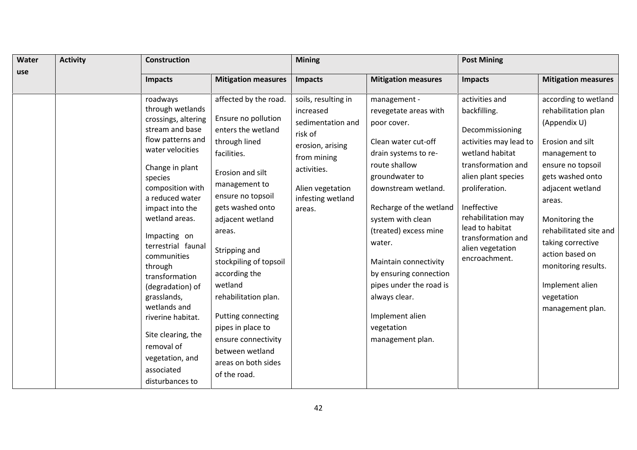| Water | <b>Activity</b> | Construction                                                                                                                                                                                                                                                                                                                                                                                                                                                                |                                                                                                                                                                                                                                                                                                                                                                                                                                           | <b>Mining</b>                                                                                                                                                         |                                                                                                                                                                                                                                                                                                                                                                                                      | <b>Post Mining</b>                                                                                                                                                                                                                                                               |                                                                                                                                                                                                                                                                                                                                         |  |
|-------|-----------------|-----------------------------------------------------------------------------------------------------------------------------------------------------------------------------------------------------------------------------------------------------------------------------------------------------------------------------------------------------------------------------------------------------------------------------------------------------------------------------|-------------------------------------------------------------------------------------------------------------------------------------------------------------------------------------------------------------------------------------------------------------------------------------------------------------------------------------------------------------------------------------------------------------------------------------------|-----------------------------------------------------------------------------------------------------------------------------------------------------------------------|------------------------------------------------------------------------------------------------------------------------------------------------------------------------------------------------------------------------------------------------------------------------------------------------------------------------------------------------------------------------------------------------------|----------------------------------------------------------------------------------------------------------------------------------------------------------------------------------------------------------------------------------------------------------------------------------|-----------------------------------------------------------------------------------------------------------------------------------------------------------------------------------------------------------------------------------------------------------------------------------------------------------------------------------------|--|
| use   |                 | <b>Impacts</b>                                                                                                                                                                                                                                                                                                                                                                                                                                                              | <b>Mitigation measures</b>                                                                                                                                                                                                                                                                                                                                                                                                                | Impacts                                                                                                                                                               | <b>Mitigation measures</b>                                                                                                                                                                                                                                                                                                                                                                           | Impacts                                                                                                                                                                                                                                                                          | <b>Mitigation measures</b>                                                                                                                                                                                                                                                                                                              |  |
|       |                 | roadways<br>through wetlands<br>crossings, altering<br>stream and base<br>flow patterns and<br>water velocities<br>Change in plant<br>species<br>composition with<br>a reduced water<br>impact into the<br>wetland areas.<br>Impacting on<br>terrestrial faunal<br>communities<br>through<br>transformation<br>(degradation) of<br>grasslands,<br>wetlands and<br>riverine habitat.<br>Site clearing, the<br>removal of<br>vegetation, and<br>associated<br>disturbances to | affected by the road.<br>Ensure no pollution<br>enters the wetland<br>through lined<br>facilities.<br>Erosion and silt<br>management to<br>ensure no topsoil<br>gets washed onto<br>adjacent wetland<br>areas.<br>Stripping and<br>stockpiling of topsoil<br>according the<br>wetland<br>rehabilitation plan.<br>Putting connecting<br>pipes in place to<br>ensure connectivity<br>between wetland<br>areas on both sides<br>of the road. | soils, resulting in<br>increased<br>sedimentation and<br>risk of<br>erosion, arising<br>from mining<br>activities.<br>Alien vegetation<br>infesting wetland<br>areas. | management -<br>revegetate areas with<br>poor cover.<br>Clean water cut-off<br>drain systems to re-<br>route shallow<br>groundwater to<br>downstream wetland.<br>Recharge of the wetland<br>system with clean<br>(treated) excess mine<br>water.<br>Maintain connectivity<br>by ensuring connection<br>pipes under the road is<br>always clear.<br>Implement alien<br>vegetation<br>management plan. | activities and<br>backfilling.<br>Decommissioning<br>activities may lead to<br>wetland habitat<br>transformation and<br>alien plant species<br>proliferation.<br>Ineffective<br>rehabilitation may<br>lead to habitat<br>transformation and<br>alien vegetation<br>encroachment. | according to wetland<br>rehabilitation plan<br>(Appendix U)<br>Erosion and silt<br>management to<br>ensure no topsoil<br>gets washed onto<br>adjacent wetland<br>areas.<br>Monitoring the<br>rehabilitated site and<br>taking corrective<br>action based on<br>monitoring results.<br>Implement alien<br>vegetation<br>management plan. |  |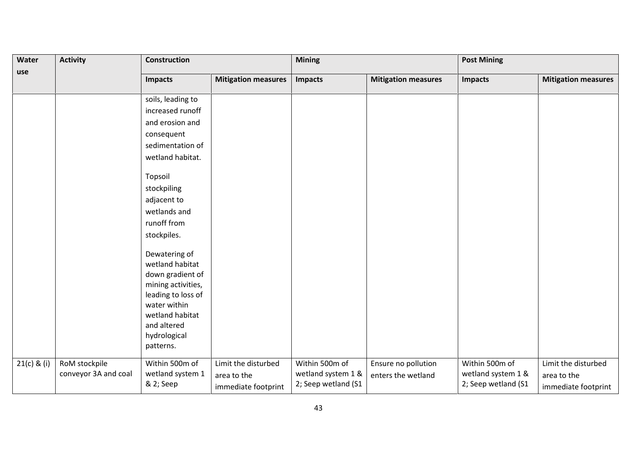| Water         | <b>Activity</b><br><b>Construction</b> |                           |                            | <b>Mining</b>       |                            | <b>Post Mining</b>  |                            |
|---------------|----------------------------------------|---------------------------|----------------------------|---------------------|----------------------------|---------------------|----------------------------|
| use           |                                        | <b>Impacts</b>            | <b>Mitigation measures</b> | <b>Impacts</b>      | <b>Mitigation measures</b> | <b>Impacts</b>      | <b>Mitigation measures</b> |
|               |                                        |                           |                            |                     |                            |                     |                            |
|               |                                        | soils, leading to         |                            |                     |                            |                     |                            |
|               |                                        | increased runoff          |                            |                     |                            |                     |                            |
|               |                                        | and erosion and           |                            |                     |                            |                     |                            |
|               |                                        | consequent                |                            |                     |                            |                     |                            |
|               |                                        | sedimentation of          |                            |                     |                            |                     |                            |
|               |                                        | wetland habitat.          |                            |                     |                            |                     |                            |
|               |                                        | Topsoil                   |                            |                     |                            |                     |                            |
|               |                                        | stockpiling               |                            |                     |                            |                     |                            |
|               |                                        | adjacent to               |                            |                     |                            |                     |                            |
|               |                                        | wetlands and              |                            |                     |                            |                     |                            |
|               |                                        | runoff from               |                            |                     |                            |                     |                            |
|               |                                        | stockpiles.               |                            |                     |                            |                     |                            |
|               |                                        | Dewatering of             |                            |                     |                            |                     |                            |
|               |                                        | wetland habitat           |                            |                     |                            |                     |                            |
|               |                                        | down gradient of          |                            |                     |                            |                     |                            |
|               |                                        | mining activities,        |                            |                     |                            |                     |                            |
|               |                                        | leading to loss of        |                            |                     |                            |                     |                            |
|               |                                        | water within              |                            |                     |                            |                     |                            |
|               |                                        | wetland habitat           |                            |                     |                            |                     |                            |
|               |                                        | and altered               |                            |                     |                            |                     |                            |
|               |                                        | hydrological<br>patterns. |                            |                     |                            |                     |                            |
|               |                                        |                           |                            |                     |                            |                     |                            |
| $21(c)$ & (i) | RoM stockpile                          | Within 500m of            | Limit the disturbed        | Within 500m of      | Ensure no pollution        | Within 500m of      | Limit the disturbed        |
|               | conveyor 3A and coal                   | wetland system 1          | area to the                | wetland system 1 &  | enters the wetland         | wetland system 1 &  | area to the                |
|               |                                        | & 2; Seep                 | immediate footprint        | 2; Seep wetland (S1 |                            | 2; Seep wetland (S1 | immediate footprint        |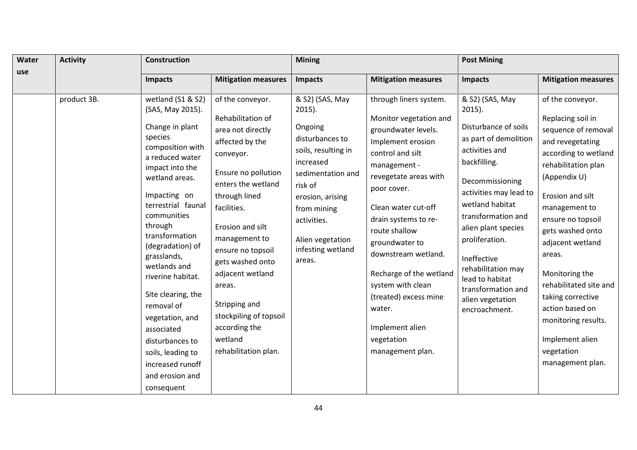| Water<br>use | <b>Activity</b> | Construction                                                                                                                                                                                                                                                                                                                                                                                                                                                                |                                                                                                                                                                                                                                                                                                                                                                                    | <b>Mining</b>                                                                                                                                                                                                                       |                                                                                                                                                                                                                                                                                                                                                                                                                           | <b>Post Mining</b>                                                                                                                                                                                                                                                                                                                                                |                                                                                                                                                                                                                                                                                                                                                                                                                             |
|--------------|-----------------|-----------------------------------------------------------------------------------------------------------------------------------------------------------------------------------------------------------------------------------------------------------------------------------------------------------------------------------------------------------------------------------------------------------------------------------------------------------------------------|------------------------------------------------------------------------------------------------------------------------------------------------------------------------------------------------------------------------------------------------------------------------------------------------------------------------------------------------------------------------------------|-------------------------------------------------------------------------------------------------------------------------------------------------------------------------------------------------------------------------------------|---------------------------------------------------------------------------------------------------------------------------------------------------------------------------------------------------------------------------------------------------------------------------------------------------------------------------------------------------------------------------------------------------------------------------|-------------------------------------------------------------------------------------------------------------------------------------------------------------------------------------------------------------------------------------------------------------------------------------------------------------------------------------------------------------------|-----------------------------------------------------------------------------------------------------------------------------------------------------------------------------------------------------------------------------------------------------------------------------------------------------------------------------------------------------------------------------------------------------------------------------|
|              |                 | <b>Impacts</b>                                                                                                                                                                                                                                                                                                                                                                                                                                                              | <b>Mitigation measures</b>                                                                                                                                                                                                                                                                                                                                                         | <b>Impacts</b>                                                                                                                                                                                                                      | <b>Mitigation measures</b>                                                                                                                                                                                                                                                                                                                                                                                                | Impacts                                                                                                                                                                                                                                                                                                                                                           | <b>Mitigation measures</b>                                                                                                                                                                                                                                                                                                                                                                                                  |
|              | product 3B.     | wetland (S1 & S2)<br>(SAS, May 2015).<br>Change in plant<br>species<br>composition with<br>a reduced water<br>impact into the<br>wetland areas.<br>Impacting on<br>terrestrial faunal<br>communities<br>through<br>transformation<br>(degradation) of<br>grasslands,<br>wetlands and<br>riverine habitat.<br>Site clearing, the<br>removal of<br>vegetation, and<br>associated<br>disturbances to<br>soils, leading to<br>increased runoff<br>and erosion and<br>consequent | of the conveyor.<br>Rehabilitation of<br>area not directly<br>affected by the<br>conveyor.<br>Ensure no pollution<br>enters the wetland<br>through lined<br>facilities.<br>Erosion and silt<br>management to<br>ensure no topsoil<br>gets washed onto<br>adjacent wetland<br>areas.<br>Stripping and<br>stockpiling of topsoil<br>according the<br>wetland<br>rehabilitation plan. | & S2) (SAS, May<br>$2015$ ).<br>Ongoing<br>disturbances to<br>soils, resulting in<br>increased<br>sedimentation and<br>risk of<br>erosion, arising<br>from mining<br>activities.<br>Alien vegetation<br>infesting wetland<br>areas. | through liners system.<br>Monitor vegetation and<br>groundwater levels.<br>Implement erosion<br>control and silt<br>management -<br>revegetate areas with<br>poor cover.<br>Clean water cut-off<br>drain systems to re-<br>route shallow<br>groundwater to<br>downstream wetland.<br>Recharge of the wetland<br>system with clean<br>(treated) excess mine<br>water.<br>Implement alien<br>vegetation<br>management plan. | & S2) (SAS, May<br>$2015$ ).<br>Disturbance of soils<br>as part of demolition<br>activities and<br>backfilling.<br>Decommissioning<br>activities may lead to<br>wetland habitat<br>transformation and<br>alien plant species<br>proliferation.<br>Ineffective<br>rehabilitation may<br>lead to habitat<br>transformation and<br>alien vegetation<br>encroachment. | of the conveyor.<br>Replacing soil in<br>sequence of removal<br>and revegetating<br>according to wetland<br>rehabilitation plan<br>(Appendix U)<br>Erosion and silt<br>management to<br>ensure no topsoil<br>gets washed onto<br>adjacent wetland<br>areas.<br>Monitoring the<br>rehabilitated site and<br>taking corrective<br>action based on<br>monitoring results.<br>Implement alien<br>vegetation<br>management plan. |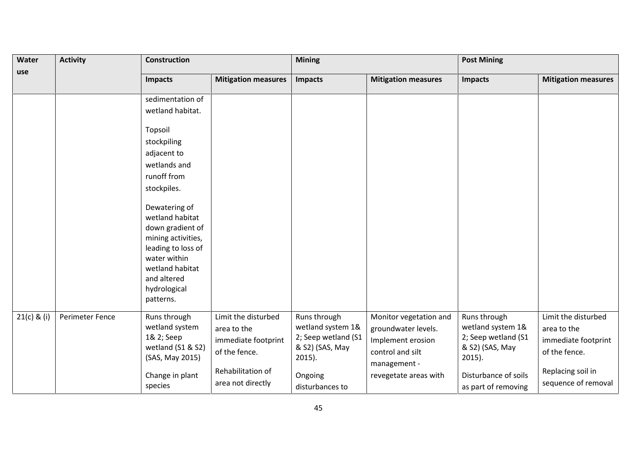| Water         | <b>Activity</b> | <b>Construction</b>                                                                                                                                                                                                                                                                                            |                                                                                                                      | <b>Mining</b>                                                                                                          |                                                                                                                                 | <b>Post Mining</b>                                                                                                                      |                                                                                                                        |
|---------------|-----------------|----------------------------------------------------------------------------------------------------------------------------------------------------------------------------------------------------------------------------------------------------------------------------------------------------------------|----------------------------------------------------------------------------------------------------------------------|------------------------------------------------------------------------------------------------------------------------|---------------------------------------------------------------------------------------------------------------------------------|-----------------------------------------------------------------------------------------------------------------------------------------|------------------------------------------------------------------------------------------------------------------------|
| use           |                 | <b>Impacts</b>                                                                                                                                                                                                                                                                                                 | <b>Mitigation measures</b>                                                                                           | <b>Impacts</b>                                                                                                         | <b>Mitigation measures</b>                                                                                                      | <b>Impacts</b>                                                                                                                          | <b>Mitigation measures</b>                                                                                             |
|               |                 | sedimentation of<br>wetland habitat.<br>Topsoil<br>stockpiling<br>adjacent to<br>wetlands and<br>runoff from<br>stockpiles.<br>Dewatering of<br>wetland habitat<br>down gradient of<br>mining activities,<br>leading to loss of<br>water within<br>wetland habitat<br>and altered<br>hydrological<br>patterns. |                                                                                                                      |                                                                                                                        |                                                                                                                                 |                                                                                                                                         |                                                                                                                        |
| $21(c)$ & (i) | Perimeter Fence | Runs through<br>wetland system<br>1& 2; Seep<br>wetland (S1 & S2)<br>(SAS, May 2015)<br>Change in plant<br>species                                                                                                                                                                                             | Limit the disturbed<br>area to the<br>immediate footprint<br>of the fence.<br>Rehabilitation of<br>area not directly | Runs through<br>wetland system 1&<br>2; Seep wetland (S1<br>& S2) (SAS, May<br>$2015$ ).<br>Ongoing<br>disturbances to | Monitor vegetation and<br>groundwater levels.<br>Implement erosion<br>control and silt<br>management -<br>revegetate areas with | Runs through<br>wetland system 1&<br>2; Seep wetland (S1<br>& S2) (SAS, May<br>$2015$ ).<br>Disturbance of soils<br>as part of removing | Limit the disturbed<br>area to the<br>immediate footprint<br>of the fence.<br>Replacing soil in<br>sequence of removal |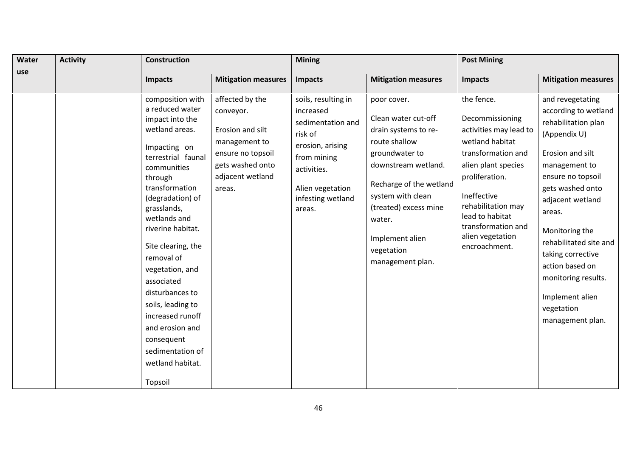| Water | <b>Activity</b> | Construction                                                                                                                                                                                                                                                                                                                                                                                                                                            |                                                                                                                                          | <b>Mining</b>                                                                                                                                                         |                                                                                                                                                                                                                                                              | <b>Post Mining</b>                                                                                                                                                                                                                                           |                                                                                                                                                                                                                                                                                                                                                             |  |
|-------|-----------------|---------------------------------------------------------------------------------------------------------------------------------------------------------------------------------------------------------------------------------------------------------------------------------------------------------------------------------------------------------------------------------------------------------------------------------------------------------|------------------------------------------------------------------------------------------------------------------------------------------|-----------------------------------------------------------------------------------------------------------------------------------------------------------------------|--------------------------------------------------------------------------------------------------------------------------------------------------------------------------------------------------------------------------------------------------------------|--------------------------------------------------------------------------------------------------------------------------------------------------------------------------------------------------------------------------------------------------------------|-------------------------------------------------------------------------------------------------------------------------------------------------------------------------------------------------------------------------------------------------------------------------------------------------------------------------------------------------------------|--|
| use   |                 | <b>Impacts</b>                                                                                                                                                                                                                                                                                                                                                                                                                                          | <b>Mitigation measures</b>                                                                                                               | <b>Impacts</b>                                                                                                                                                        | <b>Mitigation measures</b>                                                                                                                                                                                                                                   | <b>Impacts</b>                                                                                                                                                                                                                                               | <b>Mitigation measures</b>                                                                                                                                                                                                                                                                                                                                  |  |
|       |                 | composition with<br>a reduced water<br>impact into the<br>wetland areas.<br>Impacting on<br>terrestrial faunal<br>communities<br>through<br>transformation<br>(degradation) of<br>grasslands,<br>wetlands and<br>riverine habitat.<br>Site clearing, the<br>removal of<br>vegetation, and<br>associated<br>disturbances to<br>soils, leading to<br>increased runoff<br>and erosion and<br>consequent<br>sedimentation of<br>wetland habitat.<br>Topsoil | affected by the<br>conveyor.<br>Erosion and silt<br>management to<br>ensure no topsoil<br>gets washed onto<br>adjacent wetland<br>areas. | soils, resulting in<br>increased<br>sedimentation and<br>risk of<br>erosion, arising<br>from mining<br>activities.<br>Alien vegetation<br>infesting wetland<br>areas. | poor cover.<br>Clean water cut-off<br>drain systems to re-<br>route shallow<br>groundwater to<br>downstream wetland.<br>Recharge of the wetland<br>system with clean<br>(treated) excess mine<br>water.<br>Implement alien<br>vegetation<br>management plan. | the fence.<br>Decommissioning<br>activities may lead to<br>wetland habitat<br>transformation and<br>alien plant species<br>proliferation.<br>Ineffective<br>rehabilitation may<br>lead to habitat<br>transformation and<br>alien vegetation<br>encroachment. | and revegetating<br>according to wetland<br>rehabilitation plan<br>(Appendix U)<br>Erosion and silt<br>management to<br>ensure no topsoil<br>gets washed onto<br>adjacent wetland<br>areas.<br>Monitoring the<br>rehabilitated site and<br>taking corrective<br>action based on<br>monitoring results.<br>Implement alien<br>vegetation<br>management plan. |  |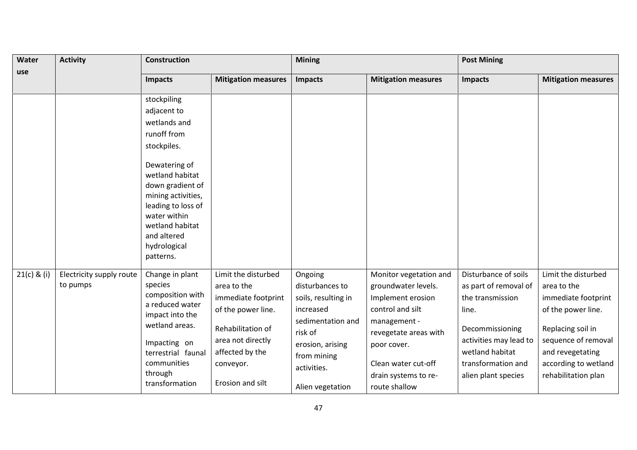| Water<br>use  | <b>Activity</b>                      | <b>Construction</b>                                                                                                                                                                                                                            |                                                                                                                                                                               | <b>Mining</b>                                                                                                                                                        |                                                                                                                                                                                                                | <b>Post Mining</b>                                                                                                                                                                      |                                                                                                                                                                                                |
|---------------|--------------------------------------|------------------------------------------------------------------------------------------------------------------------------------------------------------------------------------------------------------------------------------------------|-------------------------------------------------------------------------------------------------------------------------------------------------------------------------------|----------------------------------------------------------------------------------------------------------------------------------------------------------------------|----------------------------------------------------------------------------------------------------------------------------------------------------------------------------------------------------------------|-----------------------------------------------------------------------------------------------------------------------------------------------------------------------------------------|------------------------------------------------------------------------------------------------------------------------------------------------------------------------------------------------|
|               |                                      | <b>Impacts</b>                                                                                                                                                                                                                                 | <b>Mitigation measures</b>                                                                                                                                                    | <b>Impacts</b>                                                                                                                                                       | <b>Mitigation measures</b>                                                                                                                                                                                     | <b>Impacts</b>                                                                                                                                                                          | <b>Mitigation measures</b>                                                                                                                                                                     |
|               |                                      | stockpiling<br>adjacent to<br>wetlands and<br>runoff from<br>stockpiles.<br>Dewatering of<br>wetland habitat<br>down gradient of<br>mining activities,<br>leading to loss of<br>water within<br>wetland habitat<br>and altered<br>hydrological |                                                                                                                                                                               |                                                                                                                                                                      |                                                                                                                                                                                                                |                                                                                                                                                                                         |                                                                                                                                                                                                |
| $21(c)$ & (i) | Electricity supply route<br>to pumps | patterns.<br>Change in plant<br>species<br>composition with<br>a reduced water<br>impact into the<br>wetland areas.<br>Impacting on<br>terrestrial faunal<br>communities<br>through<br>transformation                                          | Limit the disturbed<br>area to the<br>immediate footprint<br>of the power line.<br>Rehabilitation of<br>area not directly<br>affected by the<br>conveyor.<br>Erosion and silt | Ongoing<br>disturbances to<br>soils, resulting in<br>increased<br>sedimentation and<br>risk of<br>erosion, arising<br>from mining<br>activities.<br>Alien vegetation | Monitor vegetation and<br>groundwater levels.<br>Implement erosion<br>control and silt<br>management -<br>revegetate areas with<br>poor cover.<br>Clean water cut-off<br>drain systems to re-<br>route shallow | Disturbance of soils<br>as part of removal of<br>the transmission<br>line.<br>Decommissioning<br>activities may lead to<br>wetland habitat<br>transformation and<br>alien plant species | Limit the disturbed<br>area to the<br>immediate footprint<br>of the power line.<br>Replacing soil in<br>sequence of removal<br>and revegetating<br>according to wetland<br>rehabilitation plan |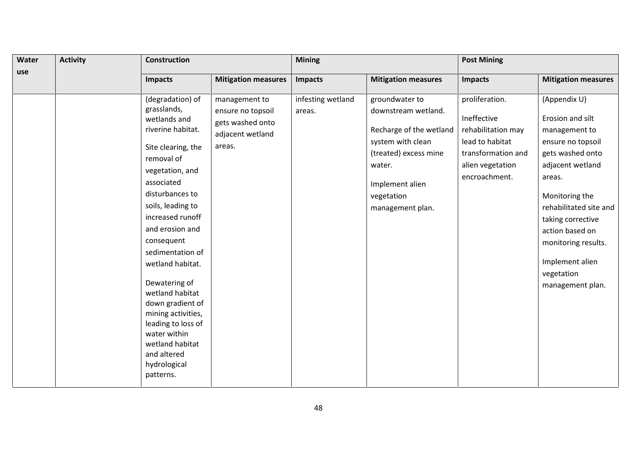| Water | <b>Activity</b> | <b>Construction</b>                                                                                                                                                                                                                                                                                                                                                                                                                                               |                                                                                      | <b>Mining</b>               |                                                                                                                                                                               | <b>Post Mining</b>                                                                                                                |                                                                                                                                                                                                                                                                                          |  |
|-------|-----------------|-------------------------------------------------------------------------------------------------------------------------------------------------------------------------------------------------------------------------------------------------------------------------------------------------------------------------------------------------------------------------------------------------------------------------------------------------------------------|--------------------------------------------------------------------------------------|-----------------------------|-------------------------------------------------------------------------------------------------------------------------------------------------------------------------------|-----------------------------------------------------------------------------------------------------------------------------------|------------------------------------------------------------------------------------------------------------------------------------------------------------------------------------------------------------------------------------------------------------------------------------------|--|
| use   |                 | <b>Impacts</b>                                                                                                                                                                                                                                                                                                                                                                                                                                                    | <b>Mitigation measures</b>                                                           | <b>Impacts</b>              | <b>Mitigation measures</b>                                                                                                                                                    | Impacts                                                                                                                           | <b>Mitigation measures</b>                                                                                                                                                                                                                                                               |  |
|       |                 | (degradation) of<br>grasslands,<br>wetlands and<br>riverine habitat.<br>Site clearing, the<br>removal of<br>vegetation, and<br>associated<br>disturbances to<br>soils, leading to<br>increased runoff<br>and erosion and<br>consequent<br>sedimentation of<br>wetland habitat.<br>Dewatering of<br>wetland habitat<br>down gradient of<br>mining activities,<br>leading to loss of<br>water within<br>wetland habitat<br>and altered<br>hydrological<br>patterns. | management to<br>ensure no topsoil<br>gets washed onto<br>adjacent wetland<br>areas. | infesting wetland<br>areas. | groundwater to<br>downstream wetland.<br>Recharge of the wetland<br>system with clean<br>(treated) excess mine<br>water.<br>Implement alien<br>vegetation<br>management plan. | proliferation.<br>Ineffective<br>rehabilitation may<br>lead to habitat<br>transformation and<br>alien vegetation<br>encroachment. | (Appendix U)<br>Erosion and silt<br>management to<br>ensure no topsoil<br>gets washed onto<br>adjacent wetland<br>areas.<br>Monitoring the<br>rehabilitated site and<br>taking corrective<br>action based on<br>monitoring results.<br>Implement alien<br>vegetation<br>management plan. |  |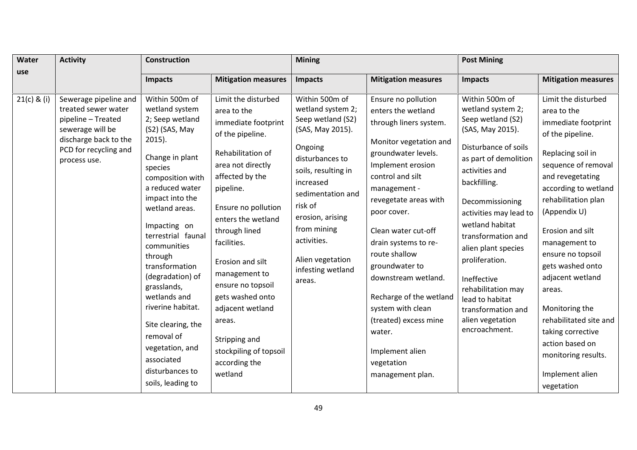| <b>Water</b>  | <b>Activity</b>                                                                                                                                          | <b>Construction</b>                                                                                                                                                                                                                                                                                                                                                                                                                                                 |                                                                                                                                                                                                                                                                                                                                                                                                                         | <b>Mining</b>                                                                                                                                                                                                                                                                       |                                                                                                                                                                                                                                                                                                                                                                                                                                                                        | <b>Post Mining</b>                                                                                                                                                                                                                                                                                                                                                                                                |                                                                                                                                                                                                                                                                                                                                                                                                                                                                      |  |
|---------------|----------------------------------------------------------------------------------------------------------------------------------------------------------|---------------------------------------------------------------------------------------------------------------------------------------------------------------------------------------------------------------------------------------------------------------------------------------------------------------------------------------------------------------------------------------------------------------------------------------------------------------------|-------------------------------------------------------------------------------------------------------------------------------------------------------------------------------------------------------------------------------------------------------------------------------------------------------------------------------------------------------------------------------------------------------------------------|-------------------------------------------------------------------------------------------------------------------------------------------------------------------------------------------------------------------------------------------------------------------------------------|------------------------------------------------------------------------------------------------------------------------------------------------------------------------------------------------------------------------------------------------------------------------------------------------------------------------------------------------------------------------------------------------------------------------------------------------------------------------|-------------------------------------------------------------------------------------------------------------------------------------------------------------------------------------------------------------------------------------------------------------------------------------------------------------------------------------------------------------------------------------------------------------------|----------------------------------------------------------------------------------------------------------------------------------------------------------------------------------------------------------------------------------------------------------------------------------------------------------------------------------------------------------------------------------------------------------------------------------------------------------------------|--|
| use           |                                                                                                                                                          | <b>Impacts</b>                                                                                                                                                                                                                                                                                                                                                                                                                                                      | <b>Mitigation measures</b>                                                                                                                                                                                                                                                                                                                                                                                              | <b>Impacts</b>                                                                                                                                                                                                                                                                      | <b>Mitigation measures</b>                                                                                                                                                                                                                                                                                                                                                                                                                                             | <b>Impacts</b>                                                                                                                                                                                                                                                                                                                                                                                                    | <b>Mitigation measures</b>                                                                                                                                                                                                                                                                                                                                                                                                                                           |  |
| $21(c)$ & (i) | Sewerage pipeline and<br>treated sewer water<br>pipeline - Treated<br>sewerage will be<br>discharge back to the<br>PCD for recycling and<br>process use. | Within 500m of<br>wetland system<br>2; Seep wetland<br>(S2) (SAS, May<br>$2015$ ).<br>Change in plant<br>species<br>composition with<br>a reduced water<br>impact into the<br>wetland areas.<br>Impacting on<br>terrestrial faunal<br>communities<br>through<br>transformation<br>(degradation) of<br>grasslands,<br>wetlands and<br>riverine habitat.<br>Site clearing, the<br>removal of<br>vegetation, and<br>associated<br>disturbances to<br>soils, leading to | Limit the disturbed<br>area to the<br>immediate footprint<br>of the pipeline.<br>Rehabilitation of<br>area not directly<br>affected by the<br>pipeline.<br>Ensure no pollution<br>enters the wetland<br>through lined<br>facilities.<br>Erosion and silt<br>management to<br>ensure no topsoil<br>gets washed onto<br>adjacent wetland<br>areas.<br>Stripping and<br>stockpiling of topsoil<br>according the<br>wetland | Within 500m of<br>wetland system 2;<br>Seep wetland (S2)<br>(SAS, May 2015).<br>Ongoing<br>disturbances to<br>soils, resulting in<br>increased<br>sedimentation and<br>risk of<br>erosion, arising<br>from mining<br>activities.<br>Alien vegetation<br>infesting wetland<br>areas. | Ensure no pollution<br>enters the wetland<br>through liners system.<br>Monitor vegetation and<br>groundwater levels.<br>Implement erosion<br>control and silt<br>management -<br>revegetate areas with<br>poor cover.<br>Clean water cut-off<br>drain systems to re-<br>route shallow<br>groundwater to<br>downstream wetland.<br>Recharge of the wetland<br>system with clean<br>(treated) excess mine<br>water.<br>Implement alien<br>vegetation<br>management plan. | Within 500m of<br>wetland system 2;<br>Seep wetland (S2)<br>(SAS, May 2015).<br>Disturbance of soils<br>as part of demolition<br>activities and<br>backfilling.<br>Decommissioning<br>activities may lead to<br>wetland habitat<br>transformation and<br>alien plant species<br>proliferation.<br>Ineffective<br>rehabilitation may<br>lead to habitat<br>transformation and<br>alien vegetation<br>encroachment. | Limit the disturbed<br>area to the<br>immediate footprint<br>of the pipeline.<br>Replacing soil in<br>sequence of removal<br>and revegetating<br>according to wetland<br>rehabilitation plan<br>(Appendix U)<br>Erosion and silt<br>management to<br>ensure no topsoil<br>gets washed onto<br>adjacent wetland<br>areas.<br>Monitoring the<br>rehabilitated site and<br>taking corrective<br>action based on<br>monitoring results.<br>Implement alien<br>vegetation |  |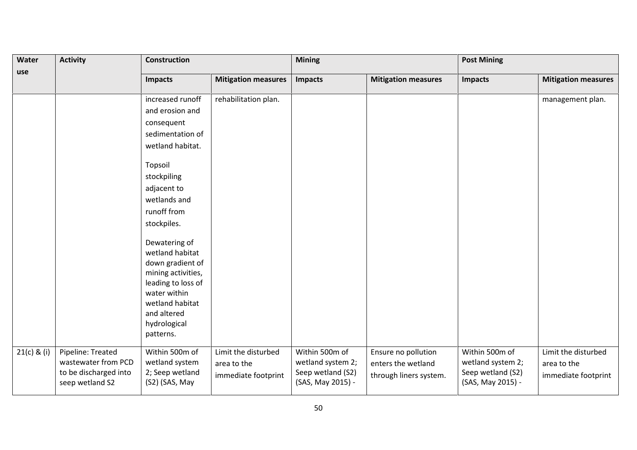| <b>Activity</b><br>Water |                                                                                      | Construction                                                                                                                                                                    |                                                           | <b>Mining</b>                                                                 |                                                                     | <b>Post Mining</b>                                                            |                                                           |
|--------------------------|--------------------------------------------------------------------------------------|---------------------------------------------------------------------------------------------------------------------------------------------------------------------------------|-----------------------------------------------------------|-------------------------------------------------------------------------------|---------------------------------------------------------------------|-------------------------------------------------------------------------------|-----------------------------------------------------------|
| use                      |                                                                                      | <b>Impacts</b>                                                                                                                                                                  | <b>Mitigation measures</b>                                | <b>Impacts</b>                                                                | <b>Mitigation measures</b>                                          | <b>Impacts</b>                                                                | <b>Mitigation measures</b>                                |
|                          |                                                                                      | increased runoff                                                                                                                                                                | rehabilitation plan.                                      |                                                                               |                                                                     |                                                                               | management plan.                                          |
|                          |                                                                                      | and erosion and                                                                                                                                                                 |                                                           |                                                                               |                                                                     |                                                                               |                                                           |
|                          |                                                                                      | consequent                                                                                                                                                                      |                                                           |                                                                               |                                                                     |                                                                               |                                                           |
|                          |                                                                                      | sedimentation of                                                                                                                                                                |                                                           |                                                                               |                                                                     |                                                                               |                                                           |
|                          |                                                                                      | wetland habitat.                                                                                                                                                                |                                                           |                                                                               |                                                                     |                                                                               |                                                           |
|                          |                                                                                      | Topsoil                                                                                                                                                                         |                                                           |                                                                               |                                                                     |                                                                               |                                                           |
|                          |                                                                                      | stockpiling                                                                                                                                                                     |                                                           |                                                                               |                                                                     |                                                                               |                                                           |
|                          |                                                                                      | adjacent to                                                                                                                                                                     |                                                           |                                                                               |                                                                     |                                                                               |                                                           |
|                          |                                                                                      | wetlands and                                                                                                                                                                    |                                                           |                                                                               |                                                                     |                                                                               |                                                           |
|                          |                                                                                      | runoff from                                                                                                                                                                     |                                                           |                                                                               |                                                                     |                                                                               |                                                           |
|                          |                                                                                      | stockpiles.                                                                                                                                                                     |                                                           |                                                                               |                                                                     |                                                                               |                                                           |
|                          |                                                                                      | Dewatering of<br>wetland habitat<br>down gradient of<br>mining activities,<br>leading to loss of<br>water within<br>wetland habitat<br>and altered<br>hydrological<br>patterns. |                                                           |                                                                               |                                                                     |                                                                               |                                                           |
| $21(c)$ & (i)            | Pipeline: Treated<br>wastewater from PCD<br>to be discharged into<br>seep wetland S2 | Within 500m of<br>wetland system<br>2; Seep wetland<br>(S2) (SAS, May                                                                                                           | Limit the disturbed<br>area to the<br>immediate footprint | Within 500m of<br>wetland system 2;<br>Seep wetland (S2)<br>(SAS, May 2015) - | Ensure no pollution<br>enters the wetland<br>through liners system. | Within 500m of<br>wetland system 2;<br>Seep wetland (S2)<br>(SAS, May 2015) - | Limit the disturbed<br>area to the<br>immediate footprint |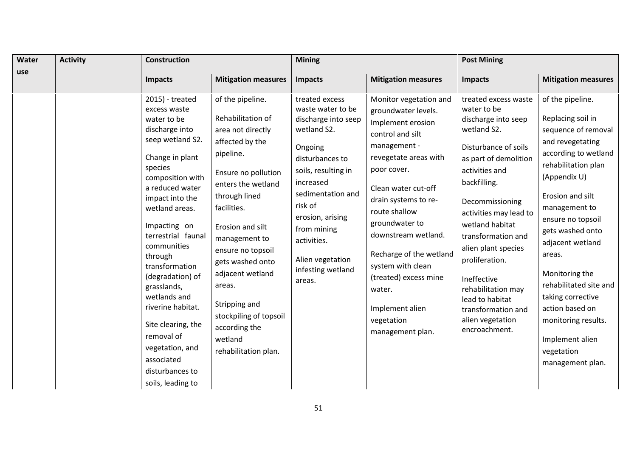| Water | <b>Activity</b> | <b>Construction</b>                                                                                                                                                                                                                                                                                                                                                                                                                                                   |                                                                                                                                                                                                                                                                                                                                                                                    | <b>Mining</b>                                                                                                                                                                                                                                                                    |                                                                                                                                                                                                                                                                                                                                                                                                 | <b>Post Mining</b>                                                                                                                                                                                                                                                                                                                                                                                             |                                                                                                                                                                                                                                                                                                                                                                                                                             |  |
|-------|-----------------|-----------------------------------------------------------------------------------------------------------------------------------------------------------------------------------------------------------------------------------------------------------------------------------------------------------------------------------------------------------------------------------------------------------------------------------------------------------------------|------------------------------------------------------------------------------------------------------------------------------------------------------------------------------------------------------------------------------------------------------------------------------------------------------------------------------------------------------------------------------------|----------------------------------------------------------------------------------------------------------------------------------------------------------------------------------------------------------------------------------------------------------------------------------|-------------------------------------------------------------------------------------------------------------------------------------------------------------------------------------------------------------------------------------------------------------------------------------------------------------------------------------------------------------------------------------------------|----------------------------------------------------------------------------------------------------------------------------------------------------------------------------------------------------------------------------------------------------------------------------------------------------------------------------------------------------------------------------------------------------------------|-----------------------------------------------------------------------------------------------------------------------------------------------------------------------------------------------------------------------------------------------------------------------------------------------------------------------------------------------------------------------------------------------------------------------------|--|
| use   |                 | <b>Impacts</b>                                                                                                                                                                                                                                                                                                                                                                                                                                                        | <b>Mitigation measures</b>                                                                                                                                                                                                                                                                                                                                                         | <b>Impacts</b>                                                                                                                                                                                                                                                                   | <b>Mitigation measures</b>                                                                                                                                                                                                                                                                                                                                                                      | <b>Impacts</b>                                                                                                                                                                                                                                                                                                                                                                                                 | <b>Mitigation measures</b>                                                                                                                                                                                                                                                                                                                                                                                                  |  |
|       |                 | 2015) - treated<br>excess waste<br>water to be<br>discharge into<br>seep wetland S2.<br>Change in plant<br>species<br>composition with<br>a reduced water<br>impact into the<br>wetland areas.<br>Impacting on<br>terrestrial faunal<br>communities<br>through<br>transformation<br>(degradation) of<br>grasslands,<br>wetlands and<br>riverine habitat.<br>Site clearing, the<br>removal of<br>vegetation, and<br>associated<br>disturbances to<br>soils, leading to | of the pipeline.<br>Rehabilitation of<br>area not directly<br>affected by the<br>pipeline.<br>Ensure no pollution<br>enters the wetland<br>through lined<br>facilities.<br>Erosion and silt<br>management to<br>ensure no topsoil<br>gets washed onto<br>adjacent wetland<br>areas.<br>Stripping and<br>stockpiling of topsoil<br>according the<br>wetland<br>rehabilitation plan. | treated excess<br>waste water to be<br>discharge into seep<br>wetland S2.<br>Ongoing<br>disturbances to<br>soils, resulting in<br>increased<br>sedimentation and<br>risk of<br>erosion, arising<br>from mining<br>activities.<br>Alien vegetation<br>infesting wetland<br>areas. | Monitor vegetation and<br>groundwater levels.<br>Implement erosion<br>control and silt<br>management -<br>revegetate areas with<br>poor cover.<br>Clean water cut-off<br>drain systems to re-<br>route shallow<br>groundwater to<br>downstream wetland.<br>Recharge of the wetland<br>system with clean<br>(treated) excess mine<br>water.<br>Implement alien<br>vegetation<br>management plan. | treated excess waste<br>water to be<br>discharge into seep<br>wetland S2.<br>Disturbance of soils<br>as part of demolition<br>activities and<br>backfilling.<br>Decommissioning<br>activities may lead to<br>wetland habitat<br>transformation and<br>alien plant species<br>proliferation.<br>Ineffective<br>rehabilitation may<br>lead to habitat<br>transformation and<br>alien vegetation<br>encroachment. | of the pipeline.<br>Replacing soil in<br>sequence of removal<br>and revegetating<br>according to wetland<br>rehabilitation plan<br>(Appendix U)<br>Erosion and silt<br>management to<br>ensure no topsoil<br>gets washed onto<br>adjacent wetland<br>areas.<br>Monitoring the<br>rehabilitated site and<br>taking corrective<br>action based on<br>monitoring results.<br>Implement alien<br>vegetation<br>management plan. |  |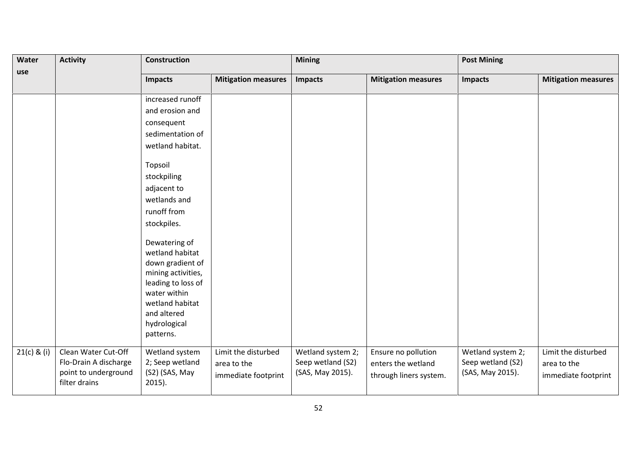| Water       | <b>Activity</b>                                                                       | Construction                                                                                                                                                                    | <b>Mining</b>                                             |                                                            |                                                                     | <b>Post Mining</b>                                         |                                                           |
|-------------|---------------------------------------------------------------------------------------|---------------------------------------------------------------------------------------------------------------------------------------------------------------------------------|-----------------------------------------------------------|------------------------------------------------------------|---------------------------------------------------------------------|------------------------------------------------------------|-----------------------------------------------------------|
| use         |                                                                                       | <b>Impacts</b>                                                                                                                                                                  | <b>Mitigation measures</b>                                | <b>Impacts</b>                                             | <b>Mitigation measures</b>                                          | <b>Impacts</b>                                             | <b>Mitigation measures</b>                                |
|             |                                                                                       | increased runoff                                                                                                                                                                |                                                           |                                                            |                                                                     |                                                            |                                                           |
|             |                                                                                       | and erosion and                                                                                                                                                                 |                                                           |                                                            |                                                                     |                                                            |                                                           |
|             |                                                                                       | consequent                                                                                                                                                                      |                                                           |                                                            |                                                                     |                                                            |                                                           |
|             |                                                                                       | sedimentation of                                                                                                                                                                |                                                           |                                                            |                                                                     |                                                            |                                                           |
|             |                                                                                       | wetland habitat.                                                                                                                                                                |                                                           |                                                            |                                                                     |                                                            |                                                           |
|             |                                                                                       | Topsoil                                                                                                                                                                         |                                                           |                                                            |                                                                     |                                                            |                                                           |
|             |                                                                                       | stockpiling                                                                                                                                                                     |                                                           |                                                            |                                                                     |                                                            |                                                           |
|             |                                                                                       | adjacent to                                                                                                                                                                     |                                                           |                                                            |                                                                     |                                                            |                                                           |
|             |                                                                                       | wetlands and                                                                                                                                                                    |                                                           |                                                            |                                                                     |                                                            |                                                           |
|             |                                                                                       | runoff from                                                                                                                                                                     |                                                           |                                                            |                                                                     |                                                            |                                                           |
|             |                                                                                       | stockpiles.                                                                                                                                                                     |                                                           |                                                            |                                                                     |                                                            |                                                           |
|             |                                                                                       | Dewatering of<br>wetland habitat<br>down gradient of<br>mining activities,<br>leading to loss of<br>water within<br>wetland habitat<br>and altered<br>hydrological<br>patterns. |                                                           |                                                            |                                                                     |                                                            |                                                           |
| 21(c) & (i) | Clean Water Cut-Off<br>Flo-Drain A discharge<br>point to underground<br>filter drains | Wetland system<br>2; Seep wetland<br>(S2) (SAS, May<br>$2015$ ).                                                                                                                | Limit the disturbed<br>area to the<br>immediate footprint | Wetland system 2;<br>Seep wetland (S2)<br>(SAS, May 2015). | Ensure no pollution<br>enters the wetland<br>through liners system. | Wetland system 2;<br>Seep wetland (S2)<br>(SAS, May 2015). | Limit the disturbed<br>area to the<br>immediate footprint |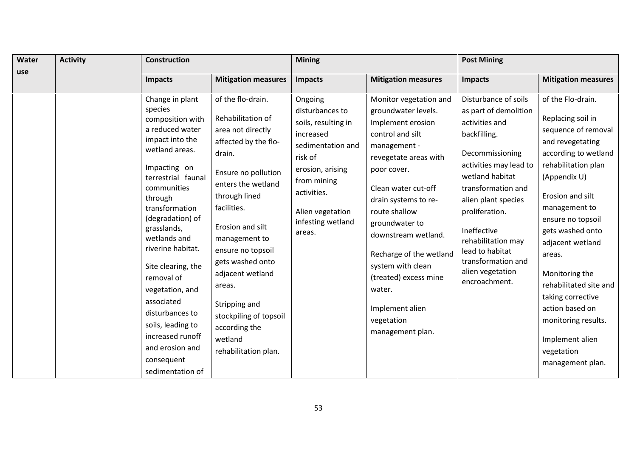| Water | <b>Activity</b> | <b>Construction</b>                                                                                                                                                                                                                                                                                                                                                                                                                                    |                                                                                                                                                                                                                                                                                                                                                                                       | <b>Mining</b>                                                                                                                                                                                       |                                                                                                                                                                                                                                                                                                                                                                                                 | <b>Post Mining</b>                                                                                                                                                                                                                                                                                                                |                                                                                                                                                                                                                                                                                                                                                                                                                              |  |
|-------|-----------------|--------------------------------------------------------------------------------------------------------------------------------------------------------------------------------------------------------------------------------------------------------------------------------------------------------------------------------------------------------------------------------------------------------------------------------------------------------|---------------------------------------------------------------------------------------------------------------------------------------------------------------------------------------------------------------------------------------------------------------------------------------------------------------------------------------------------------------------------------------|-----------------------------------------------------------------------------------------------------------------------------------------------------------------------------------------------------|-------------------------------------------------------------------------------------------------------------------------------------------------------------------------------------------------------------------------------------------------------------------------------------------------------------------------------------------------------------------------------------------------|-----------------------------------------------------------------------------------------------------------------------------------------------------------------------------------------------------------------------------------------------------------------------------------------------------------------------------------|------------------------------------------------------------------------------------------------------------------------------------------------------------------------------------------------------------------------------------------------------------------------------------------------------------------------------------------------------------------------------------------------------------------------------|--|
| use   |                 | Impacts                                                                                                                                                                                                                                                                                                                                                                                                                                                | <b>Mitigation measures</b>                                                                                                                                                                                                                                                                                                                                                            | <b>Impacts</b>                                                                                                                                                                                      | <b>Mitigation measures</b>                                                                                                                                                                                                                                                                                                                                                                      | Impacts                                                                                                                                                                                                                                                                                                                           | <b>Mitigation measures</b>                                                                                                                                                                                                                                                                                                                                                                                                   |  |
|       |                 | Change in plant<br>species<br>composition with<br>a reduced water<br>impact into the<br>wetland areas.<br>Impacting on<br>terrestrial faunal<br>communities<br>through<br>transformation<br>(degradation) of<br>grasslands,<br>wetlands and<br>riverine habitat.<br>Site clearing, the<br>removal of<br>vegetation, and<br>associated<br>disturbances to<br>soils, leading to<br>increased runoff<br>and erosion and<br>consequent<br>sedimentation of | of the flo-drain.<br>Rehabilitation of<br>area not directly<br>affected by the flo-<br>drain.<br>Ensure no pollution<br>enters the wetland<br>through lined<br>facilities.<br>Erosion and silt<br>management to<br>ensure no topsoil<br>gets washed onto<br>adjacent wetland<br>areas.<br>Stripping and<br>stockpiling of topsoil<br>according the<br>wetland<br>rehabilitation plan. | Ongoing<br>disturbances to<br>soils, resulting in<br>increased<br>sedimentation and<br>risk of<br>erosion, arising<br>from mining<br>activities.<br>Alien vegetation<br>infesting wetland<br>areas. | Monitor vegetation and<br>groundwater levels.<br>Implement erosion<br>control and silt<br>management -<br>revegetate areas with<br>poor cover.<br>Clean water cut-off<br>drain systems to re-<br>route shallow<br>groundwater to<br>downstream wetland.<br>Recharge of the wetland<br>system with clean<br>(treated) excess mine<br>water.<br>Implement alien<br>vegetation<br>management plan. | Disturbance of soils<br>as part of demolition<br>activities and<br>backfilling.<br>Decommissioning<br>activities may lead to<br>wetland habitat<br>transformation and<br>alien plant species<br>proliferation.<br>Ineffective<br>rehabilitation may<br>lead to habitat<br>transformation and<br>alien vegetation<br>encroachment. | of the Flo-drain.<br>Replacing soil in<br>sequence of removal<br>and revegetating<br>according to wetland<br>rehabilitation plan<br>(Appendix U)<br>Erosion and silt<br>management to<br>ensure no topsoil<br>gets washed onto<br>adjacent wetland<br>areas.<br>Monitoring the<br>rehabilitated site and<br>taking corrective<br>action based on<br>monitoring results.<br>Implement alien<br>vegetation<br>management plan. |  |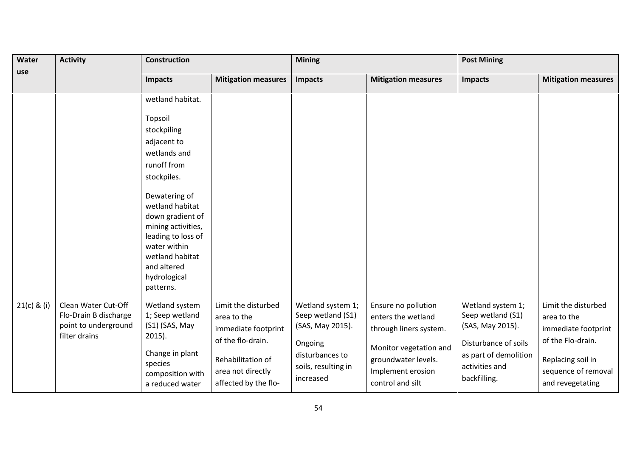| <b>Activity</b><br>Water |                                                                                       | <b>Construction</b>                                                                                                                                                             |                                                                                | <b>Mining</b>                                                         |                                                                                        | <b>Post Mining</b>                                                                 |                                                                                |
|--------------------------|---------------------------------------------------------------------------------------|---------------------------------------------------------------------------------------------------------------------------------------------------------------------------------|--------------------------------------------------------------------------------|-----------------------------------------------------------------------|----------------------------------------------------------------------------------------|------------------------------------------------------------------------------------|--------------------------------------------------------------------------------|
| use                      |                                                                                       | <b>Impacts</b>                                                                                                                                                                  | <b>Mitigation measures</b>                                                     | <b>Impacts</b>                                                        | <b>Mitigation measures</b>                                                             | <b>Impacts</b>                                                                     | <b>Mitigation measures</b>                                                     |
|                          |                                                                                       | wetland habitat.                                                                                                                                                                |                                                                                |                                                                       |                                                                                        |                                                                                    |                                                                                |
|                          |                                                                                       | Topsoil<br>stockpiling<br>adjacent to                                                                                                                                           |                                                                                |                                                                       |                                                                                        |                                                                                    |                                                                                |
|                          |                                                                                       | wetlands and<br>runoff from<br>stockpiles.                                                                                                                                      |                                                                                |                                                                       |                                                                                        |                                                                                    |                                                                                |
|                          |                                                                                       | Dewatering of<br>wetland habitat<br>down gradient of<br>mining activities,<br>leading to loss of<br>water within<br>wetland habitat<br>and altered<br>hydrological<br>patterns. |                                                                                |                                                                       |                                                                                        |                                                                                    |                                                                                |
| 21(c) & (i)              | Clean Water Cut-Off<br>Flo-Drain B discharge<br>point to underground<br>filter drains | Wetland system<br>1; Seep wetland<br>(S1) (SAS, May<br>$2015$ ).                                                                                                                | Limit the disturbed<br>area to the<br>immediate footprint<br>of the flo-drain. | Wetland system 1;<br>Seep wetland (S1)<br>(SAS, May 2015).<br>Ongoing | Ensure no pollution<br>enters the wetland<br>through liners system.                    | Wetland system 1;<br>Seep wetland (S1)<br>(SAS, May 2015).<br>Disturbance of soils | Limit the disturbed<br>area to the<br>immediate footprint<br>of the Flo-drain. |
|                          |                                                                                       | Change in plant<br>species<br>composition with<br>a reduced water                                                                                                               | Rehabilitation of<br>area not directly<br>affected by the flo-                 | disturbances to<br>soils, resulting in<br>increased                   | Monitor vegetation and<br>groundwater levels.<br>Implement erosion<br>control and silt | as part of demolition<br>activities and<br>backfilling.                            | Replacing soil in<br>sequence of removal<br>and revegetating                   |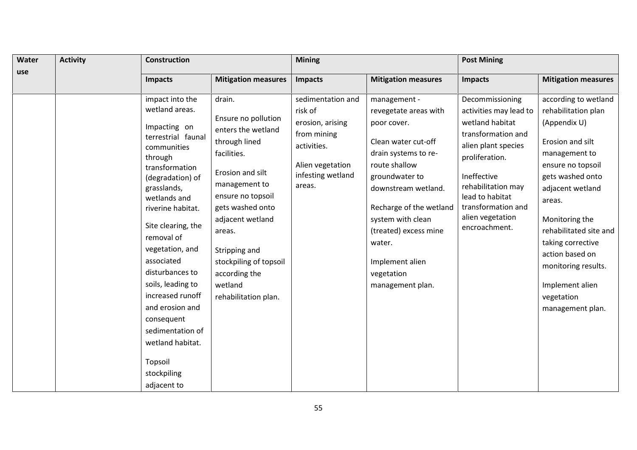| <b>Activity</b><br>Water |  | <b>Construction</b>                                                                                                                                                                                                                                                                                                                                                                                                                            |                                                                                                                                                                                                                                                                                                | <b>Mining</b>                                                                                                                     |                                                                                                                                                                                                                                                                                                       | <b>Post Mining</b>                                                                                                                                                                                                                             |                                                                                                                                                                                                                                                                                                                                         |  |
|--------------------------|--|------------------------------------------------------------------------------------------------------------------------------------------------------------------------------------------------------------------------------------------------------------------------------------------------------------------------------------------------------------------------------------------------------------------------------------------------|------------------------------------------------------------------------------------------------------------------------------------------------------------------------------------------------------------------------------------------------------------------------------------------------|-----------------------------------------------------------------------------------------------------------------------------------|-------------------------------------------------------------------------------------------------------------------------------------------------------------------------------------------------------------------------------------------------------------------------------------------------------|------------------------------------------------------------------------------------------------------------------------------------------------------------------------------------------------------------------------------------------------|-----------------------------------------------------------------------------------------------------------------------------------------------------------------------------------------------------------------------------------------------------------------------------------------------------------------------------------------|--|
| use                      |  | <b>Impacts</b>                                                                                                                                                                                                                                                                                                                                                                                                                                 | <b>Mitigation measures</b>                                                                                                                                                                                                                                                                     | <b>Impacts</b>                                                                                                                    | <b>Mitigation measures</b>                                                                                                                                                                                                                                                                            | Impacts                                                                                                                                                                                                                                        | <b>Mitigation measures</b>                                                                                                                                                                                                                                                                                                              |  |
|                          |  | impact into the<br>wetland areas.<br>Impacting on<br>terrestrial faunal<br>communities<br>through<br>transformation<br>(degradation) of<br>grasslands,<br>wetlands and<br>riverine habitat.<br>Site clearing, the<br>removal of<br>vegetation, and<br>associated<br>disturbances to<br>soils, leading to<br>increased runoff<br>and erosion and<br>consequent<br>sedimentation of<br>wetland habitat.<br>Topsoil<br>stockpiling<br>adjacent to | drain.<br>Ensure no pollution<br>enters the wetland<br>through lined<br>facilities.<br>Erosion and silt<br>management to<br>ensure no topsoil<br>gets washed onto<br>adjacent wetland<br>areas.<br>Stripping and<br>stockpiling of topsoil<br>according the<br>wetland<br>rehabilitation plan. | sedimentation and<br>risk of<br>erosion, arising<br>from mining<br>activities.<br>Alien vegetation<br>infesting wetland<br>areas. | management -<br>revegetate areas with<br>poor cover.<br>Clean water cut-off<br>drain systems to re-<br>route shallow<br>groundwater to<br>downstream wetland.<br>Recharge of the wetland<br>system with clean<br>(treated) excess mine<br>water.<br>Implement alien<br>vegetation<br>management plan. | Decommissioning<br>activities may lead to<br>wetland habitat<br>transformation and<br>alien plant species<br>proliferation.<br>Ineffective<br>rehabilitation may<br>lead to habitat<br>transformation and<br>alien vegetation<br>encroachment. | according to wetland<br>rehabilitation plan<br>(Appendix U)<br>Erosion and silt<br>management to<br>ensure no topsoil<br>gets washed onto<br>adjacent wetland<br>areas.<br>Monitoring the<br>rehabilitated site and<br>taking corrective<br>action based on<br>monitoring results.<br>Implement alien<br>vegetation<br>management plan. |  |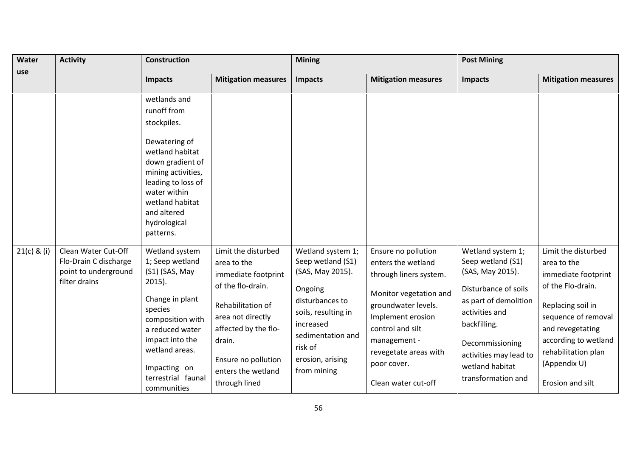| Water         | <b>Activity</b>                                                                       | <b>Construction</b>                                                                                                                                                                                                             |                                                                                                                                                                                                                          | <b>Mining</b>                                                                                                                                                                                   |                                                                                                                                                                                                                                              | <b>Post Mining</b>                                                                                                                                                                                                                  |                                                                                                                                                                                                                                   |
|---------------|---------------------------------------------------------------------------------------|---------------------------------------------------------------------------------------------------------------------------------------------------------------------------------------------------------------------------------|--------------------------------------------------------------------------------------------------------------------------------------------------------------------------------------------------------------------------|-------------------------------------------------------------------------------------------------------------------------------------------------------------------------------------------------|----------------------------------------------------------------------------------------------------------------------------------------------------------------------------------------------------------------------------------------------|-------------------------------------------------------------------------------------------------------------------------------------------------------------------------------------------------------------------------------------|-----------------------------------------------------------------------------------------------------------------------------------------------------------------------------------------------------------------------------------|
| use           |                                                                                       | <b>Impacts</b>                                                                                                                                                                                                                  | <b>Mitigation measures</b>                                                                                                                                                                                               | <b>Impacts</b>                                                                                                                                                                                  | <b>Mitigation measures</b>                                                                                                                                                                                                                   | <b>Impacts</b>                                                                                                                                                                                                                      | <b>Mitigation measures</b>                                                                                                                                                                                                        |
|               |                                                                                       | wetlands and<br>runoff from<br>stockpiles.<br>Dewatering of<br>wetland habitat<br>down gradient of<br>mining activities,<br>leading to loss of<br>water within<br>wetland habitat<br>and altered<br>hydrological<br>patterns.   |                                                                                                                                                                                                                          |                                                                                                                                                                                                 |                                                                                                                                                                                                                                              |                                                                                                                                                                                                                                     |                                                                                                                                                                                                                                   |
| $21(c)$ & (i) | Clean Water Cut-Off<br>Flo-Drain C discharge<br>point to underground<br>filter drains | Wetland system<br>1; Seep wetland<br>(S1) (SAS, May<br>$2015$ ).<br>Change in plant<br>species<br>composition with<br>a reduced water<br>impact into the<br>wetland areas.<br>Impacting on<br>terrestrial faunal<br>communities | Limit the disturbed<br>area to the<br>immediate footprint<br>of the flo-drain.<br>Rehabilitation of<br>area not directly<br>affected by the flo-<br>drain.<br>Ensure no pollution<br>enters the wetland<br>through lined | Wetland system 1;<br>Seep wetland (S1)<br>(SAS, May 2015).<br>Ongoing<br>disturbances to<br>soils, resulting in<br>increased<br>sedimentation and<br>risk of<br>erosion, arising<br>from mining | Ensure no pollution<br>enters the wetland<br>through liners system.<br>Monitor vegetation and<br>groundwater levels.<br>Implement erosion<br>control and silt<br>management -<br>revegetate areas with<br>poor cover.<br>Clean water cut-off | Wetland system 1;<br>Seep wetland (S1)<br>(SAS, May 2015).<br>Disturbance of soils<br>as part of demolition<br>activities and<br>backfilling.<br>Decommissioning<br>activities may lead to<br>wetland habitat<br>transformation and | Limit the disturbed<br>area to the<br>immediate footprint<br>of the Flo-drain.<br>Replacing soil in<br>sequence of removal<br>and revegetating<br>according to wetland<br>rehabilitation plan<br>(Appendix U)<br>Erosion and silt |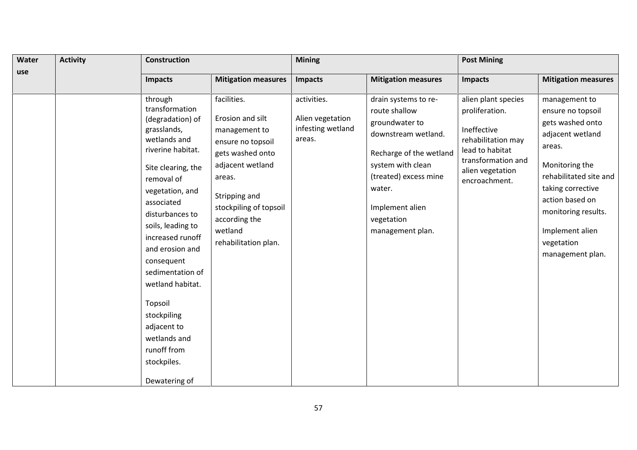| Water | <b>Activity</b> | Construction                                                                                                                                                                                                                                                                                                                                                                                       |                                                                                                                                                                                                                        |                                                                | <b>Mining</b>                                                                                                                                                                                                          |                                                                                                                                                          | <b>Post Mining</b>                                                                                                                                                                                                                                   |  |  |
|-------|-----------------|----------------------------------------------------------------------------------------------------------------------------------------------------------------------------------------------------------------------------------------------------------------------------------------------------------------------------------------------------------------------------------------------------|------------------------------------------------------------------------------------------------------------------------------------------------------------------------------------------------------------------------|----------------------------------------------------------------|------------------------------------------------------------------------------------------------------------------------------------------------------------------------------------------------------------------------|----------------------------------------------------------------------------------------------------------------------------------------------------------|------------------------------------------------------------------------------------------------------------------------------------------------------------------------------------------------------------------------------------------------------|--|--|
| use   |                 | <b>Impacts</b>                                                                                                                                                                                                                                                                                                                                                                                     | <b>Mitigation measures</b>                                                                                                                                                                                             | Impacts                                                        | <b>Mitigation measures</b>                                                                                                                                                                                             | Impacts                                                                                                                                                  | <b>Mitigation measures</b>                                                                                                                                                                                                                           |  |  |
|       |                 | through<br>transformation<br>(degradation) of<br>grasslands,<br>wetlands and<br>riverine habitat.<br>Site clearing, the<br>removal of<br>vegetation, and<br>associated<br>disturbances to<br>soils, leading to<br>increased runoff<br>and erosion and<br>consequent<br>sedimentation of<br>wetland habitat.<br>Topsoil<br>stockpiling<br>adjacent to<br>wetlands and<br>runoff from<br>stockpiles. | facilities.<br>Erosion and silt<br>management to<br>ensure no topsoil<br>gets washed onto<br>adjacent wetland<br>areas.<br>Stripping and<br>stockpiling of topsoil<br>according the<br>wetland<br>rehabilitation plan. | activities.<br>Alien vegetation<br>infesting wetland<br>areas. | drain systems to re-<br>route shallow<br>groundwater to<br>downstream wetland.<br>Recharge of the wetland<br>system with clean<br>(treated) excess mine<br>water.<br>Implement alien<br>vegetation<br>management plan. | alien plant species<br>proliferation.<br>Ineffective<br>rehabilitation may<br>lead to habitat<br>transformation and<br>alien vegetation<br>encroachment. | management to<br>ensure no topsoil<br>gets washed onto<br>adjacent wetland<br>areas.<br>Monitoring the<br>rehabilitated site and<br>taking corrective<br>action based on<br>monitoring results.<br>Implement alien<br>vegetation<br>management plan. |  |  |
|       |                 | Dewatering of                                                                                                                                                                                                                                                                                                                                                                                      |                                                                                                                                                                                                                        |                                                                |                                                                                                                                                                                                                        |                                                                                                                                                          |                                                                                                                                                                                                                                                      |  |  |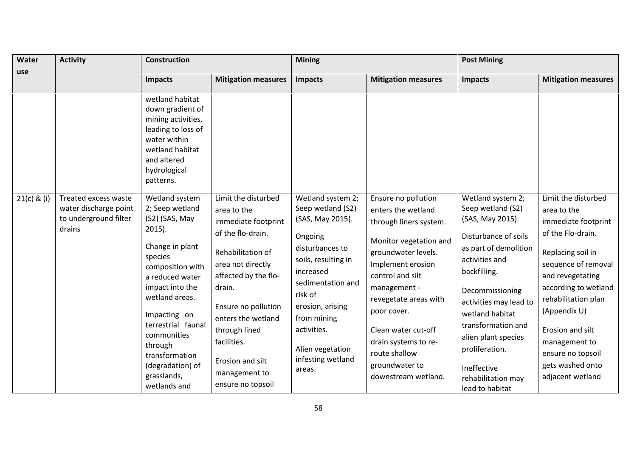| Water         | <b>Activity</b>                                                                  | <b>Construction</b>                                                                                                                                                                                                                                                                                             |                                                                                                                                                                                                                                                                                                   | <b>Mining</b>                                                                                                                                                                                                                                                     |                                                                                                                                                                                                                                                                                                                                | <b>Post Mining</b>                                                                                                                                                                                                                                                                                                                   |                                                                                                                                                                                                                                                                                                                 |
|---------------|----------------------------------------------------------------------------------|-----------------------------------------------------------------------------------------------------------------------------------------------------------------------------------------------------------------------------------------------------------------------------------------------------------------|---------------------------------------------------------------------------------------------------------------------------------------------------------------------------------------------------------------------------------------------------------------------------------------------------|-------------------------------------------------------------------------------------------------------------------------------------------------------------------------------------------------------------------------------------------------------------------|--------------------------------------------------------------------------------------------------------------------------------------------------------------------------------------------------------------------------------------------------------------------------------------------------------------------------------|--------------------------------------------------------------------------------------------------------------------------------------------------------------------------------------------------------------------------------------------------------------------------------------------------------------------------------------|-----------------------------------------------------------------------------------------------------------------------------------------------------------------------------------------------------------------------------------------------------------------------------------------------------------------|
| use           |                                                                                  | <b>Impacts</b>                                                                                                                                                                                                                                                                                                  | <b>Mitigation measures</b>                                                                                                                                                                                                                                                                        | <b>Impacts</b>                                                                                                                                                                                                                                                    | <b>Mitigation measures</b>                                                                                                                                                                                                                                                                                                     | <b>Impacts</b>                                                                                                                                                                                                                                                                                                                       | <b>Mitigation measures</b>                                                                                                                                                                                                                                                                                      |
|               |                                                                                  | wetland habitat<br>down gradient of<br>mining activities,<br>leading to loss of<br>water within<br>wetland habitat<br>and altered<br>hydrological<br>patterns.                                                                                                                                                  |                                                                                                                                                                                                                                                                                                   |                                                                                                                                                                                                                                                                   |                                                                                                                                                                                                                                                                                                                                |                                                                                                                                                                                                                                                                                                                                      |                                                                                                                                                                                                                                                                                                                 |
| $21(c)$ & (i) | Treated excess waste<br>water discharge point<br>to underground filter<br>drains | Wetland system<br>2; Seep wetland<br>(S2) (SAS, May<br>$2015$ ).<br>Change in plant<br>species<br>composition with<br>a reduced water<br>impact into the<br>wetland areas.<br>Impacting on<br>terrestrial faunal<br>communities<br>through<br>transformation<br>(degradation) of<br>grasslands,<br>wetlands and | Limit the disturbed<br>area to the<br>immediate footprint<br>of the flo-drain.<br>Rehabilitation of<br>area not directly<br>affected by the flo-<br>drain.<br>Ensure no pollution<br>enters the wetland<br>through lined<br>facilities.<br>Erosion and silt<br>management to<br>ensure no topsoil | Wetland system 2;<br>Seep wetland (S2)<br>(SAS, May 2015).<br>Ongoing<br>disturbances to<br>soils, resulting in<br>increased<br>sedimentation and<br>risk of<br>erosion, arising<br>from mining<br>activities.<br>Alien vegetation<br>infesting wetland<br>areas. | Ensure no pollution<br>enters the wetland<br>through liners system.<br>Monitor vegetation and<br>groundwater levels.<br>Implement erosion<br>control and silt<br>management -<br>revegetate areas with<br>poor cover.<br>Clean water cut-off<br>drain systems to re-<br>route shallow<br>groundwater to<br>downstream wetland. | Wetland system 2;<br>Seep wetland (S2)<br>(SAS, May 2015).<br>Disturbance of soils<br>as part of demolition<br>activities and<br>backfilling.<br>Decommissioning<br>activities may lead to<br>wetland habitat<br>transformation and<br>alien plant species<br>proliferation.<br>Ineffective<br>rehabilitation may<br>lead to habitat | Limit the disturbed<br>area to the<br>immediate footprint<br>of the Flo-drain.<br>Replacing soil in<br>sequence of removal<br>and revegetating<br>according to wetland<br>rehabilitation plan<br>(Appendix U)<br>Erosion and silt<br>management to<br>ensure no topsoil<br>gets washed onto<br>adjacent wetland |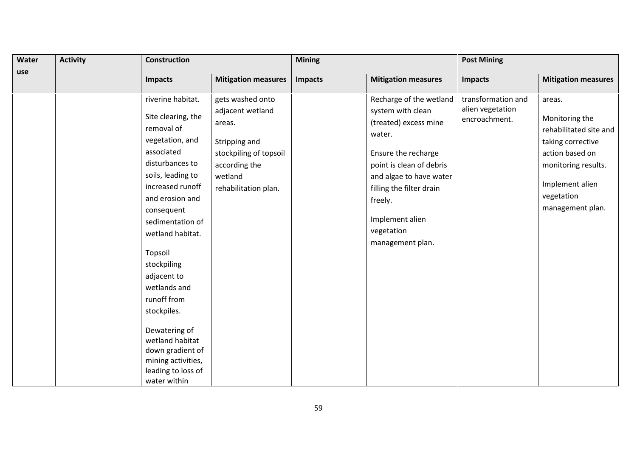| Water | <b>Activity</b> | <b>Construction</b>                                                                                                                                                                                                                                                                                                                                                                                                                    |                                                                                                                                               |                | <b>Mining</b>                                                                                                                                                                                                                                             |                                                         | <b>Post Mining</b>                                                                                                                                                     |  |  |
|-------|-----------------|----------------------------------------------------------------------------------------------------------------------------------------------------------------------------------------------------------------------------------------------------------------------------------------------------------------------------------------------------------------------------------------------------------------------------------------|-----------------------------------------------------------------------------------------------------------------------------------------------|----------------|-----------------------------------------------------------------------------------------------------------------------------------------------------------------------------------------------------------------------------------------------------------|---------------------------------------------------------|------------------------------------------------------------------------------------------------------------------------------------------------------------------------|--|--|
| use   |                 | <b>Impacts</b>                                                                                                                                                                                                                                                                                                                                                                                                                         | <b>Mitigation measures</b>                                                                                                                    | <b>Impacts</b> | <b>Mitigation measures</b>                                                                                                                                                                                                                                | <b>Impacts</b>                                          | <b>Mitigation measures</b>                                                                                                                                             |  |  |
|       |                 | riverine habitat.<br>Site clearing, the<br>removal of<br>vegetation, and<br>associated<br>disturbances to<br>soils, leading to<br>increased runoff<br>and erosion and<br>consequent<br>sedimentation of<br>wetland habitat.<br>Topsoil<br>stockpiling<br>adjacent to<br>wetlands and<br>runoff from<br>stockpiles.<br>Dewatering of<br>wetland habitat<br>down gradient of<br>mining activities,<br>leading to loss of<br>water within | gets washed onto<br>adjacent wetland<br>areas.<br>Stripping and<br>stockpiling of topsoil<br>according the<br>wetland<br>rehabilitation plan. |                | Recharge of the wetland<br>system with clean<br>(treated) excess mine<br>water.<br>Ensure the recharge<br>point is clean of debris<br>and algae to have water<br>filling the filter drain<br>freely.<br>Implement alien<br>vegetation<br>management plan. | transformation and<br>alien vegetation<br>encroachment. | areas.<br>Monitoring the<br>rehabilitated site and<br>taking corrective<br>action based on<br>monitoring results.<br>Implement alien<br>vegetation<br>management plan. |  |  |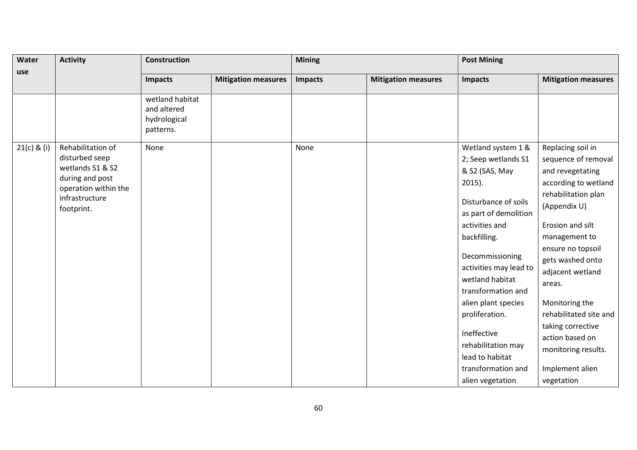| Water         | <b>Activity</b>                                                                                                                    | <b>Construction</b>                                         |                            | <b>Mining</b>  |                            | <b>Post Mining</b>                                                                                                                                                                                                                                                                                                                                                                           |                                                                                                                                                                                                                                                                                                                                                                                     |  |
|---------------|------------------------------------------------------------------------------------------------------------------------------------|-------------------------------------------------------------|----------------------------|----------------|----------------------------|----------------------------------------------------------------------------------------------------------------------------------------------------------------------------------------------------------------------------------------------------------------------------------------------------------------------------------------------------------------------------------------------|-------------------------------------------------------------------------------------------------------------------------------------------------------------------------------------------------------------------------------------------------------------------------------------------------------------------------------------------------------------------------------------|--|
| use           |                                                                                                                                    | <b>Impacts</b>                                              | <b>Mitigation measures</b> | <b>Impacts</b> | <b>Mitigation measures</b> | Impacts                                                                                                                                                                                                                                                                                                                                                                                      | <b>Mitigation measures</b>                                                                                                                                                                                                                                                                                                                                                          |  |
|               |                                                                                                                                    | wetland habitat<br>and altered<br>hydrological<br>patterns. |                            |                |                            |                                                                                                                                                                                                                                                                                                                                                                                              |                                                                                                                                                                                                                                                                                                                                                                                     |  |
| $21(c)$ & (i) | Rehabilitation of<br>disturbed seep<br>wetlands S1 & S2<br>during and post<br>operation within the<br>infrastructure<br>footprint. | None                                                        |                            | None           |                            | Wetland system 1 &<br>2; Seep wetlands S1<br>& S2 (SAS, May<br>$2015$ ).<br>Disturbance of soils<br>as part of demolition<br>activities and<br>backfilling.<br>Decommissioning<br>activities may lead to<br>wetland habitat<br>transformation and<br>alien plant species<br>proliferation.<br>Ineffective<br>rehabilitation may<br>lead to habitat<br>transformation and<br>alien vegetation | Replacing soil in<br>sequence of removal<br>and revegetating<br>according to wetland<br>rehabilitation plan<br>(Appendix U)<br>Erosion and silt<br>management to<br>ensure no topsoil<br>gets washed onto<br>adjacent wetland<br>areas.<br>Monitoring the<br>rehabilitated site and<br>taking corrective<br>action based on<br>monitoring results.<br>Implement alien<br>vegetation |  |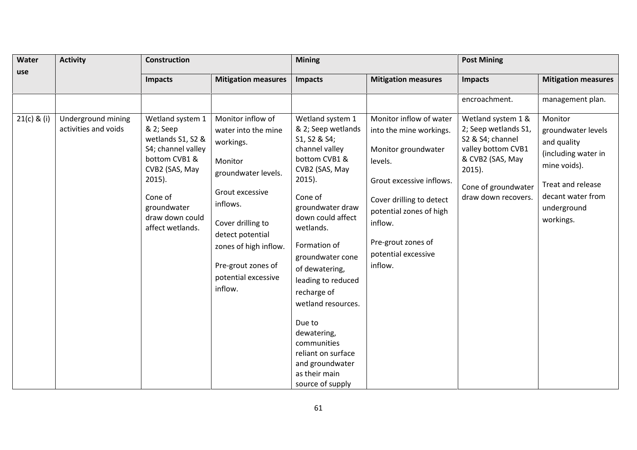| Water         | <b>Activity</b>                            | <b>Construction</b>                                                                                                                                                                       |                                                                                                                                                                                                                                                  | <b>Mining</b>                                                                                                                                                                                                                                                                                                                                                                                                                    |                                                                                                                                                                                                                                            | <b>Post Mining</b>                                                                                                                                                  |                                                                                                                                                           |  |
|---------------|--------------------------------------------|-------------------------------------------------------------------------------------------------------------------------------------------------------------------------------------------|--------------------------------------------------------------------------------------------------------------------------------------------------------------------------------------------------------------------------------------------------|----------------------------------------------------------------------------------------------------------------------------------------------------------------------------------------------------------------------------------------------------------------------------------------------------------------------------------------------------------------------------------------------------------------------------------|--------------------------------------------------------------------------------------------------------------------------------------------------------------------------------------------------------------------------------------------|---------------------------------------------------------------------------------------------------------------------------------------------------------------------|-----------------------------------------------------------------------------------------------------------------------------------------------------------|--|
| use           |                                            | <b>Impacts</b>                                                                                                                                                                            | <b>Mitigation measures</b>                                                                                                                                                                                                                       | <b>Impacts</b>                                                                                                                                                                                                                                                                                                                                                                                                                   | <b>Mitigation measures</b>                                                                                                                                                                                                                 | <b>Impacts</b>                                                                                                                                                      | <b>Mitigation measures</b>                                                                                                                                |  |
|               |                                            |                                                                                                                                                                                           |                                                                                                                                                                                                                                                  |                                                                                                                                                                                                                                                                                                                                                                                                                                  |                                                                                                                                                                                                                                            | encroachment.                                                                                                                                                       | management plan.                                                                                                                                          |  |
| $21(c)$ & (i) | Underground mining<br>activities and voids | Wetland system 1<br>& 2; Seep<br>wetlands S1, S2 &<br>S4; channel valley<br>bottom CVB1 &<br>CVB2 (SAS, May<br>$2015$ ).<br>Cone of<br>groundwater<br>draw down could<br>affect wetlands. | Monitor inflow of<br>water into the mine<br>workings.<br>Monitor<br>groundwater levels.<br>Grout excessive<br>inflows.<br>Cover drilling to<br>detect potential<br>zones of high inflow.<br>Pre-grout zones of<br>potential excessive<br>inflow. | Wetland system 1<br>& 2; Seep wetlands<br>S1, S2 & S4;<br>channel valley<br>bottom CVB1 &<br>CVB2 (SAS, May<br>$2015$ ).<br>Cone of<br>groundwater draw<br>down could affect<br>wetlands.<br>Formation of<br>groundwater cone<br>of dewatering,<br>leading to reduced<br>recharge of<br>wetland resources.<br>Due to<br>dewatering,<br>communities<br>reliant on surface<br>and groundwater<br>as their main<br>source of supply | Monitor inflow of water<br>into the mine workings.<br>Monitor groundwater<br>levels.<br>Grout excessive inflows.<br>Cover drilling to detect<br>potential zones of high<br>inflow.<br>Pre-grout zones of<br>potential excessive<br>inflow. | Wetland system 1 &<br>2; Seep wetlands S1,<br>S2 & S4; channel<br>valley bottom CVB1<br>& CVB2 (SAS, May<br>$2015$ ).<br>Cone of groundwater<br>draw down recovers. | Monitor<br>groundwater levels<br>and quality<br>(including water in<br>mine voids).<br>Treat and release<br>decant water from<br>underground<br>workings. |  |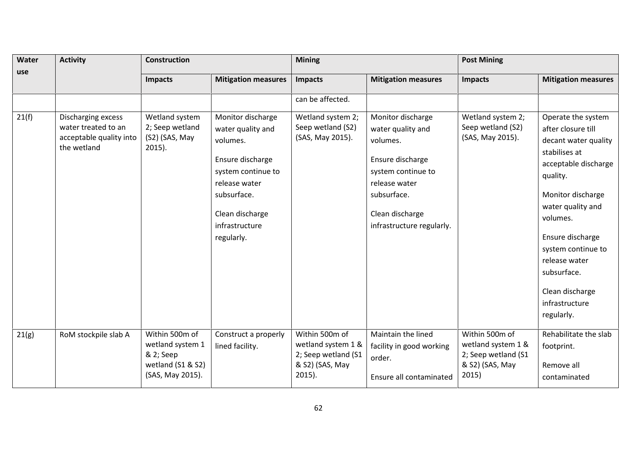| Water | <b>Activity</b>                                                                     | <b>Construction</b>                                                                      |                                                                                                                                                                                 | <b>Mining</b>                                                                               |                                                                                                                                                                              | <b>Post Mining</b>                                                                      |                                                                                                                                                                                                                                                                                                          |  |
|-------|-------------------------------------------------------------------------------------|------------------------------------------------------------------------------------------|---------------------------------------------------------------------------------------------------------------------------------------------------------------------------------|---------------------------------------------------------------------------------------------|------------------------------------------------------------------------------------------------------------------------------------------------------------------------------|-----------------------------------------------------------------------------------------|----------------------------------------------------------------------------------------------------------------------------------------------------------------------------------------------------------------------------------------------------------------------------------------------------------|--|
| use   |                                                                                     | <b>Impacts</b>                                                                           | <b>Mitigation measures</b>                                                                                                                                                      | Impacts                                                                                     | <b>Mitigation measures</b>                                                                                                                                                   | <b>Impacts</b>                                                                          | <b>Mitigation measures</b>                                                                                                                                                                                                                                                                               |  |
|       |                                                                                     |                                                                                          |                                                                                                                                                                                 | can be affected.                                                                            |                                                                                                                                                                              |                                                                                         |                                                                                                                                                                                                                                                                                                          |  |
| 21(f) | Discharging excess<br>water treated to an<br>acceptable quality into<br>the wetland | Wetland system<br>2; Seep wetland<br>(S2) (SAS, May<br>$2015$ ).                         | Monitor discharge<br>water quality and<br>volumes.<br>Ensure discharge<br>system continue to<br>release water<br>subsurface.<br>Clean discharge<br>infrastructure<br>regularly. | Wetland system 2;<br>Seep wetland (S2)<br>(SAS, May 2015).                                  | Monitor discharge<br>water quality and<br>volumes.<br>Ensure discharge<br>system continue to<br>release water<br>subsurface.<br>Clean discharge<br>infrastructure regularly. | Wetland system 2;<br>Seep wetland (S2)<br>(SAS, May 2015).                              | Operate the system<br>after closure till<br>decant water quality<br>stabilises at<br>acceptable discharge<br>quality.<br>Monitor discharge<br>water quality and<br>volumes.<br>Ensure discharge<br>system continue to<br>release water<br>subsurface.<br>Clean discharge<br>infrastructure<br>regularly. |  |
| 21(g) | RoM stockpile slab A                                                                | Within 500m of<br>wetland system 1<br>& 2; Seep<br>wetland (S1 & S2)<br>(SAS, May 2015). | Construct a properly<br>lined facility.                                                                                                                                         | Within 500m of<br>wetland system 1 &<br>2; Seep wetland (S1<br>& S2) (SAS, May<br>$2015$ ). | Maintain the lined<br>facility in good working<br>order.<br>Ensure all contaminated                                                                                          | Within 500m of<br>wetland system 1 &<br>2; Seep wetland (S1<br>& S2) (SAS, May<br>2015) | Rehabilitate the slab<br>footprint.<br>Remove all<br>contaminated                                                                                                                                                                                                                                        |  |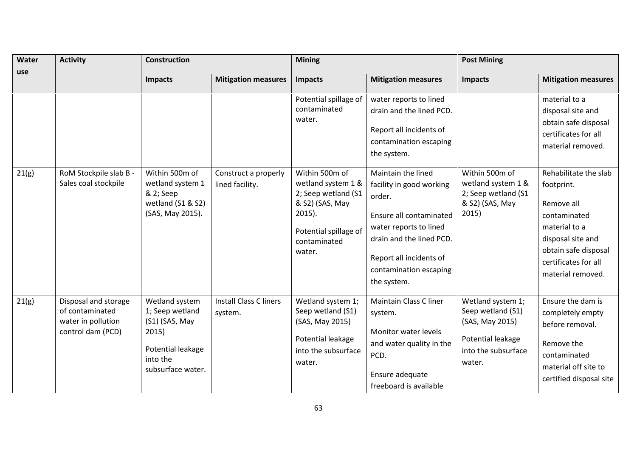| Water<br>use | <b>Activity</b>                                                                    | <b>Construction</b>                                                                                                |                                          | <b>Mining</b>                                                                                                                                  |                                                                                                                                                                                                               | <b>Post Mining</b>                                                                                              |                                                                                                                                                                              |
|--------------|------------------------------------------------------------------------------------|--------------------------------------------------------------------------------------------------------------------|------------------------------------------|------------------------------------------------------------------------------------------------------------------------------------------------|---------------------------------------------------------------------------------------------------------------------------------------------------------------------------------------------------------------|-----------------------------------------------------------------------------------------------------------------|------------------------------------------------------------------------------------------------------------------------------------------------------------------------------|
|              |                                                                                    | <b>Impacts</b>                                                                                                     | <b>Mitigation measures</b>               | <b>Impacts</b>                                                                                                                                 | <b>Mitigation measures</b>                                                                                                                                                                                    | <b>Impacts</b>                                                                                                  | <b>Mitigation measures</b>                                                                                                                                                   |
|              |                                                                                    |                                                                                                                    |                                          | Potential spillage of<br>contaminated<br>water.                                                                                                | water reports to lined<br>drain and the lined PCD.<br>Report all incidents of<br>contamination escaping<br>the system.                                                                                        |                                                                                                                 | material to a<br>disposal site and<br>obtain safe disposal<br>certificates for all<br>material removed.                                                                      |
| 21(g)        | RoM Stockpile slab B -<br>Sales coal stockpile                                     | Within 500m of<br>wetland system 1<br>& 2; Seep<br>wetland (S1 & S2)<br>(SAS, May 2015).                           | Construct a properly<br>lined facility.  | Within 500m of<br>wetland system 1 &<br>2; Seep wetland (S1<br>& S2) (SAS, May<br>$2015$ ).<br>Potential spillage of<br>contaminated<br>water. | Maintain the lined<br>facility in good working<br>order.<br>Ensure all contaminated<br>water reports to lined<br>drain and the lined PCD.<br>Report all incidents of<br>contamination escaping<br>the system. | Within 500m of<br>wetland system 1 &<br>2; Seep wetland (S1<br>& S2) (SAS, May<br>2015)                         | Rehabilitate the slab<br>footprint.<br>Remove all<br>contaminated<br>material to a<br>disposal site and<br>obtain safe disposal<br>certificates for all<br>material removed. |
| 21(g)        | Disposal and storage<br>of contaminated<br>water in pollution<br>control dam (PCD) | Wetland system<br>1; Seep wetland<br>(S1) (SAS, May<br>2015)<br>Potential leakage<br>into the<br>subsurface water. | <b>Install Class C liners</b><br>system. | Wetland system 1;<br>Seep wetland (S1)<br>(SAS, May 2015)<br>Potential leakage<br>into the subsurface<br>water.                                | Maintain Class C liner<br>system.<br>Monitor water levels<br>and water quality in the<br>PCD.<br>Ensure adequate<br>freeboard is available                                                                    | Wetland system 1;<br>Seep wetland (S1)<br>(SAS, May 2015)<br>Potential leakage<br>into the subsurface<br>water. | Ensure the dam is<br>completely empty<br>before removal.<br>Remove the<br>contaminated<br>material off site to<br>certified disposal site                                    |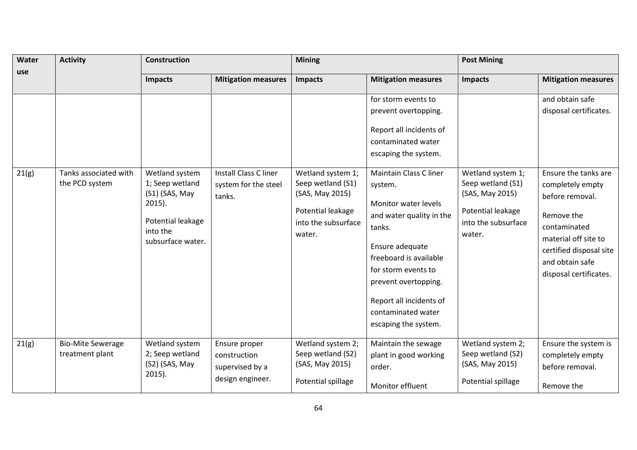| Water | <b>Activity</b>                             | <b>Construction</b>                                                                                                    |                                                                      | <b>Mining</b>                                                                                                   |                                                                                                                                                                                                                                                                                                                                                                                              | <b>Post Mining</b>                                                                                              |                                                                                                                                                                                                                                        |  |
|-------|---------------------------------------------|------------------------------------------------------------------------------------------------------------------------|----------------------------------------------------------------------|-----------------------------------------------------------------------------------------------------------------|----------------------------------------------------------------------------------------------------------------------------------------------------------------------------------------------------------------------------------------------------------------------------------------------------------------------------------------------------------------------------------------------|-----------------------------------------------------------------------------------------------------------------|----------------------------------------------------------------------------------------------------------------------------------------------------------------------------------------------------------------------------------------|--|
| use   |                                             | <b>Impacts</b>                                                                                                         | <b>Mitigation measures</b>                                           | <b>Impacts</b>                                                                                                  | <b>Mitigation measures</b>                                                                                                                                                                                                                                                                                                                                                                   | <b>Impacts</b>                                                                                                  | <b>Mitigation measures</b>                                                                                                                                                                                                             |  |
| 21(g) | Tanks associated with<br>the PCD system     | Wetland system<br>1; Seep wetland<br>(S1) (SAS, May<br>$2015$ ).<br>Potential leakage<br>into the<br>subsurface water. | Install Class C liner<br>system for the steel<br>tanks.              | Wetland system 1;<br>Seep wetland (S1)<br>(SAS, May 2015)<br>Potential leakage<br>into the subsurface<br>water. | for storm events to<br>prevent overtopping.<br>Report all incidents of<br>contaminated water<br>escaping the system.<br>Maintain Class C liner<br>system.<br>Monitor water levels<br>and water quality in the<br>tanks.<br>Ensure adequate<br>freeboard is available<br>for storm events to<br>prevent overtopping.<br>Report all incidents of<br>contaminated water<br>escaping the system. | Wetland system 1;<br>Seep wetland (S1)<br>(SAS, May 2015)<br>Potential leakage<br>into the subsurface<br>water. | and obtain safe<br>disposal certificates.<br>Ensure the tanks are<br>completely empty<br>before removal.<br>Remove the<br>contaminated<br>material off site to<br>certified disposal site<br>and obtain safe<br>disposal certificates. |  |
| 21(g) | <b>Bio-Mite Sewerage</b><br>treatment plant | Wetland system<br>2; Seep wetland<br>(S2) (SAS, May<br>$2015$ ).                                                       | Ensure proper<br>construction<br>supervised by a<br>design engineer. | Wetland system 2;<br>Seep wetland (S2)<br>(SAS, May 2015)<br>Potential spillage                                 | Maintain the sewage<br>plant in good working<br>order.<br>Monitor effluent                                                                                                                                                                                                                                                                                                                   | Wetland system 2;<br>Seep wetland (S2)<br>(SAS, May 2015)<br>Potential spillage                                 | Ensure the system is<br>completely empty<br>before removal.<br>Remove the                                                                                                                                                              |  |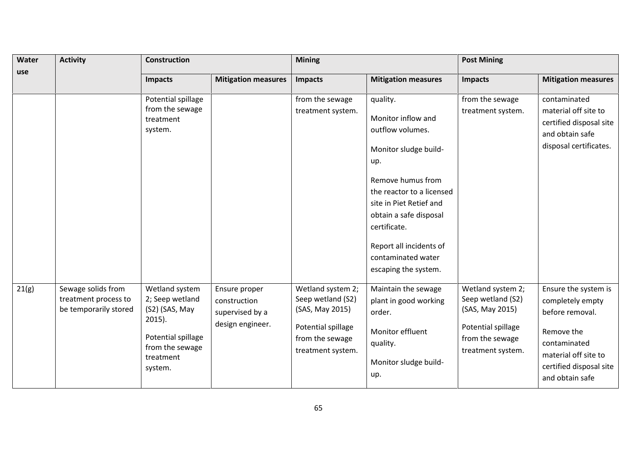| Water<br>use | <b>Activity</b>                                                     | <b>Construction</b>                                                                                                               |                                                                      | <b>Mining</b>                                                                                                           |                                                                                                                                                                                                                                                                                    | <b>Post Mining</b>                                                                                                      |                                                                                                                                                                 |
|--------------|---------------------------------------------------------------------|-----------------------------------------------------------------------------------------------------------------------------------|----------------------------------------------------------------------|-------------------------------------------------------------------------------------------------------------------------|------------------------------------------------------------------------------------------------------------------------------------------------------------------------------------------------------------------------------------------------------------------------------------|-------------------------------------------------------------------------------------------------------------------------|-----------------------------------------------------------------------------------------------------------------------------------------------------------------|
|              |                                                                     | Impacts                                                                                                                           | <b>Mitigation measures</b>                                           | Impacts                                                                                                                 | <b>Mitigation measures</b>                                                                                                                                                                                                                                                         | <b>Impacts</b>                                                                                                          | <b>Mitigation measures</b>                                                                                                                                      |
|              |                                                                     | Potential spillage<br>from the sewage<br>treatment<br>system.                                                                     |                                                                      | from the sewage<br>treatment system.                                                                                    | quality.<br>Monitor inflow and<br>outflow volumes.<br>Monitor sludge build-<br>up.<br>Remove humus from<br>the reactor to a licensed<br>site in Piet Retief and<br>obtain a safe disposal<br>certificate.<br>Report all incidents of<br>contaminated water<br>escaping the system. | from the sewage<br>treatment system.                                                                                    | contaminated<br>material off site to<br>certified disposal site<br>and obtain safe<br>disposal certificates.                                                    |
| 21(g)        | Sewage solids from<br>treatment process to<br>be temporarily stored | Wetland system<br>2; Seep wetland<br>(S2) (SAS, May<br>$2015$ ).<br>Potential spillage<br>from the sewage<br>treatment<br>system. | Ensure proper<br>construction<br>supervised by a<br>design engineer. | Wetland system 2;<br>Seep wetland (S2)<br>(SAS, May 2015)<br>Potential spillage<br>from the sewage<br>treatment system. | Maintain the sewage<br>plant in good working<br>order.<br>Monitor effluent<br>quality.<br>Monitor sludge build-<br>up.                                                                                                                                                             | Wetland system 2;<br>Seep wetland (S2)<br>(SAS, May 2015)<br>Potential spillage<br>from the sewage<br>treatment system. | Ensure the system is<br>completely empty<br>before removal.<br>Remove the<br>contaminated<br>material off site to<br>certified disposal site<br>and obtain safe |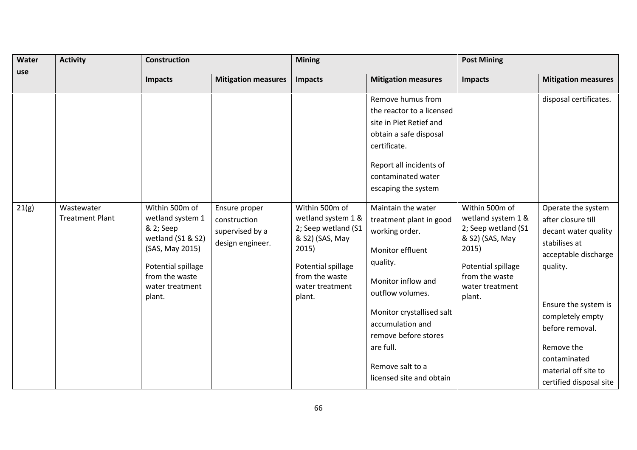| Water | <b>Activity</b>                      | Construction                                                                                                                                                 |                                                                      | <b>Mining</b>                                                                                                                                                |                                                                                                                                                                        | <b>Post Mining</b>                                                                                                                                           |                                                                                                                                               |  |
|-------|--------------------------------------|--------------------------------------------------------------------------------------------------------------------------------------------------------------|----------------------------------------------------------------------|--------------------------------------------------------------------------------------------------------------------------------------------------------------|------------------------------------------------------------------------------------------------------------------------------------------------------------------------|--------------------------------------------------------------------------------------------------------------------------------------------------------------|-----------------------------------------------------------------------------------------------------------------------------------------------|--|
| use   |                                      | Impacts                                                                                                                                                      | <b>Mitigation measures</b>                                           | Impacts                                                                                                                                                      | <b>Mitigation measures</b>                                                                                                                                             | Impacts                                                                                                                                                      | <b>Mitigation measures</b>                                                                                                                    |  |
|       |                                      |                                                                                                                                                              |                                                                      |                                                                                                                                                              | Remove humus from                                                                                                                                                      |                                                                                                                                                              | disposal certificates.                                                                                                                        |  |
|       |                                      |                                                                                                                                                              |                                                                      |                                                                                                                                                              | the reactor to a licensed                                                                                                                                              |                                                                                                                                                              |                                                                                                                                               |  |
|       |                                      |                                                                                                                                                              |                                                                      |                                                                                                                                                              | site in Piet Retief and                                                                                                                                                |                                                                                                                                                              |                                                                                                                                               |  |
|       |                                      |                                                                                                                                                              |                                                                      |                                                                                                                                                              | obtain a safe disposal                                                                                                                                                 |                                                                                                                                                              |                                                                                                                                               |  |
|       |                                      |                                                                                                                                                              |                                                                      |                                                                                                                                                              | certificate.                                                                                                                                                           |                                                                                                                                                              |                                                                                                                                               |  |
|       |                                      |                                                                                                                                                              |                                                                      |                                                                                                                                                              | Report all incidents of                                                                                                                                                |                                                                                                                                                              |                                                                                                                                               |  |
|       |                                      |                                                                                                                                                              |                                                                      |                                                                                                                                                              | contaminated water                                                                                                                                                     |                                                                                                                                                              |                                                                                                                                               |  |
|       |                                      |                                                                                                                                                              |                                                                      |                                                                                                                                                              | escaping the system                                                                                                                                                    |                                                                                                                                                              |                                                                                                                                               |  |
| 21(g) | Wastewater<br><b>Treatment Plant</b> | Within 500m of<br>wetland system 1<br>& 2; Seep<br>wetland (S1 & S2)<br>(SAS, May 2015)<br>Potential spillage<br>from the waste<br>water treatment<br>plant. | Ensure proper<br>construction<br>supervised by a<br>design engineer. | Within 500m of<br>wetland system 1 &<br>2; Seep wetland (S1<br>& S2) (SAS, May<br>2015)<br>Potential spillage<br>from the waste<br>water treatment<br>plant. | Maintain the water<br>treatment plant in good<br>working order.<br>Monitor effluent<br>quality.<br>Monitor inflow and<br>outflow volumes.<br>Monitor crystallised salt | Within 500m of<br>wetland system 1 &<br>2; Seep wetland (S1<br>& S2) (SAS, May<br>2015)<br>Potential spillage<br>from the waste<br>water treatment<br>plant. | Operate the system<br>after closure till<br>decant water quality<br>stabilises at<br>acceptable discharge<br>quality.<br>Ensure the system is |  |
|       |                                      |                                                                                                                                                              |                                                                      |                                                                                                                                                              | accumulation and<br>remove before stores                                                                                                                               |                                                                                                                                                              | completely empty<br>before removal.                                                                                                           |  |
|       |                                      |                                                                                                                                                              |                                                                      | are full.                                                                                                                                                    |                                                                                                                                                                        | Remove the                                                                                                                                                   |                                                                                                                                               |  |
|       |                                      |                                                                                                                                                              |                                                                      |                                                                                                                                                              |                                                                                                                                                                        |                                                                                                                                                              | contaminated                                                                                                                                  |  |
|       |                                      |                                                                                                                                                              |                                                                      |                                                                                                                                                              | Remove salt to a                                                                                                                                                       |                                                                                                                                                              | material off site to                                                                                                                          |  |
|       |                                      |                                                                                                                                                              |                                                                      |                                                                                                                                                              | licensed site and obtain                                                                                                                                               |                                                                                                                                                              | certified disposal site                                                                                                                       |  |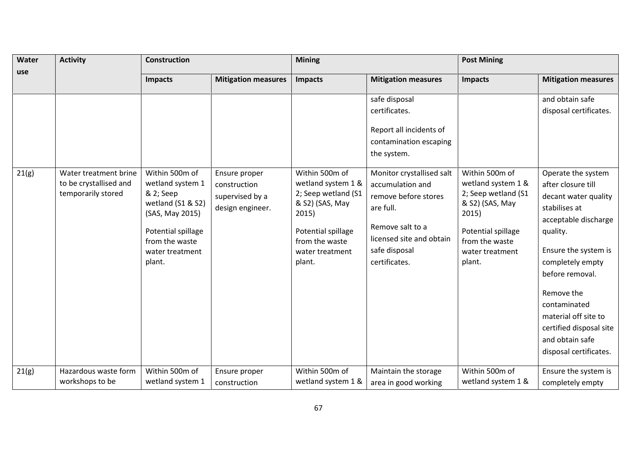| Water<br>use | <b>Activity</b>                                                       | <b>Construction</b>                                                                                                                                          |                                                                      | <b>Mining</b>                                                                                                                                                |                                                                                                                                                                      | <b>Post Mining</b>                                                                                                                                           |                                                                                                                                                                                                                                                                                                                    |  |
|--------------|-----------------------------------------------------------------------|--------------------------------------------------------------------------------------------------------------------------------------------------------------|----------------------------------------------------------------------|--------------------------------------------------------------------------------------------------------------------------------------------------------------|----------------------------------------------------------------------------------------------------------------------------------------------------------------------|--------------------------------------------------------------------------------------------------------------------------------------------------------------|--------------------------------------------------------------------------------------------------------------------------------------------------------------------------------------------------------------------------------------------------------------------------------------------------------------------|--|
|              |                                                                       | <b>Impacts</b>                                                                                                                                               | <b>Mitigation measures</b>                                           | Impacts                                                                                                                                                      | <b>Mitigation measures</b>                                                                                                                                           | <b>Impacts</b>                                                                                                                                               | <b>Mitigation measures</b>                                                                                                                                                                                                                                                                                         |  |
|              |                                                                       |                                                                                                                                                              |                                                                      |                                                                                                                                                              | safe disposal                                                                                                                                                        |                                                                                                                                                              | and obtain safe                                                                                                                                                                                                                                                                                                    |  |
|              |                                                                       |                                                                                                                                                              |                                                                      |                                                                                                                                                              | certificates.                                                                                                                                                        |                                                                                                                                                              | disposal certificates.                                                                                                                                                                                                                                                                                             |  |
|              |                                                                       |                                                                                                                                                              |                                                                      |                                                                                                                                                              | Report all incidents of<br>contamination escaping<br>the system.                                                                                                     |                                                                                                                                                              |                                                                                                                                                                                                                                                                                                                    |  |
| 21(g)        | Water treatment brine<br>to be crystallised and<br>temporarily stored | Within 500m of<br>wetland system 1<br>& 2; Seep<br>wetland (S1 & S2)<br>(SAS, May 2015)<br>Potential spillage<br>from the waste<br>water treatment<br>plant. | Ensure proper<br>construction<br>supervised by a<br>design engineer. | Within 500m of<br>wetland system 1 &<br>2; Seep wetland (S1<br>& S2) (SAS, May<br>2015)<br>Potential spillage<br>from the waste<br>water treatment<br>plant. | Monitor crystallised salt<br>accumulation and<br>remove before stores<br>are full.<br>Remove salt to a<br>licensed site and obtain<br>safe disposal<br>certificates. | Within 500m of<br>wetland system 1 &<br>2; Seep wetland (S1<br>& S2) (SAS, May<br>2015)<br>Potential spillage<br>from the waste<br>water treatment<br>plant. | Operate the system<br>after closure till<br>decant water quality<br>stabilises at<br>acceptable discharge<br>quality.<br>Ensure the system is<br>completely empty<br>before removal.<br>Remove the<br>contaminated<br>material off site to<br>certified disposal site<br>and obtain safe<br>disposal certificates. |  |
| 21(g)        | Hazardous waste form<br>workshops to be                               | Within 500m of<br>wetland system 1                                                                                                                           | Ensure proper<br>construction                                        | Within 500m of<br>wetland system 1 &                                                                                                                         | Maintain the storage<br>area in good working                                                                                                                         | Within 500m of<br>wetland system 1 &                                                                                                                         | Ensure the system is<br>completely empty                                                                                                                                                                                                                                                                           |  |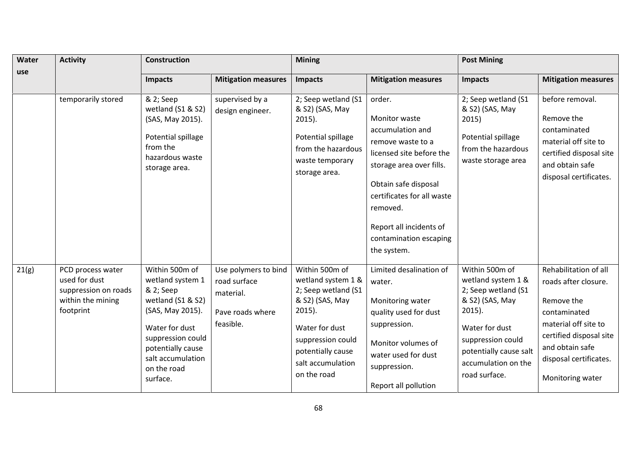| Water<br>use | <b>Activity</b>                                                                              | <b>Construction</b>                                                                                                                                                                                  |                                                                                    | <b>Mining</b>                                                                                                                                                                               |                                                                                                                                                                                                                                                                       | <b>Post Mining</b>                                                                                                                                                                                   |                                                                                                                                                                                                 |
|--------------|----------------------------------------------------------------------------------------------|------------------------------------------------------------------------------------------------------------------------------------------------------------------------------------------------------|------------------------------------------------------------------------------------|---------------------------------------------------------------------------------------------------------------------------------------------------------------------------------------------|-----------------------------------------------------------------------------------------------------------------------------------------------------------------------------------------------------------------------------------------------------------------------|------------------------------------------------------------------------------------------------------------------------------------------------------------------------------------------------------|-------------------------------------------------------------------------------------------------------------------------------------------------------------------------------------------------|
|              |                                                                                              | Impacts                                                                                                                                                                                              | <b>Mitigation measures</b>                                                         | <b>Impacts</b>                                                                                                                                                                              | <b>Mitigation measures</b>                                                                                                                                                                                                                                            | <b>Impacts</b>                                                                                                                                                                                       | <b>Mitigation measures</b>                                                                                                                                                                      |
|              | temporarily stored                                                                           | & 2; Seep<br>wetland (S1 & S2)<br>(SAS, May 2015).<br>Potential spillage<br>from the<br>hazardous waste<br>storage area.                                                                             | supervised by a<br>design engineer.                                                | 2; Seep wetland (S1<br>& S2) (SAS, May<br>$2015$ ).<br>Potential spillage<br>from the hazardous<br>waste temporary<br>storage area.                                                         | order.<br><b>Monitor waste</b><br>accumulation and<br>remove waste to a<br>licensed site before the<br>storage area over fills.<br>Obtain safe disposal<br>certificates for all waste<br>removed.<br>Report all incidents of<br>contamination escaping<br>the system. | 2; Seep wetland (S1<br>& S2) (SAS, May<br>2015)<br>Potential spillage<br>from the hazardous<br>waste storage area                                                                                    | before removal.<br>Remove the<br>contaminated<br>material off site to<br>certified disposal site<br>and obtain safe<br>disposal certificates.                                                   |
| 21(g)        | PCD process water<br>used for dust<br>suppression on roads<br>within the mining<br>footprint | Within 500m of<br>wetland system 1<br>& 2; Seep<br>wetland (S1 & S2)<br>(SAS, May 2015).<br>Water for dust<br>suppression could<br>potentially cause<br>salt accumulation<br>on the road<br>surface. | Use polymers to bind<br>road surface<br>material.<br>Pave roads where<br>feasible. | Within 500m of<br>wetland system 1 &<br>2; Seep wetland (S1<br>& S2) (SAS, May<br>$2015$ ).<br>Water for dust<br>suppression could<br>potentially cause<br>salt accumulation<br>on the road | Limited desalination of<br>water.<br>Monitoring water<br>quality used for dust<br>suppression.<br>Monitor volumes of<br>water used for dust<br>suppression.<br>Report all pollution                                                                                   | Within 500m of<br>wetland system 1 &<br>2; Seep wetland (S1<br>& S2) (SAS, May<br>$2015$ ).<br>Water for dust<br>suppression could<br>potentially cause salt<br>accumulation on the<br>road surface. | Rehabilitation of all<br>roads after closure.<br>Remove the<br>contaminated<br>material off site to<br>certified disposal site<br>and obtain safe<br>disposal certificates.<br>Monitoring water |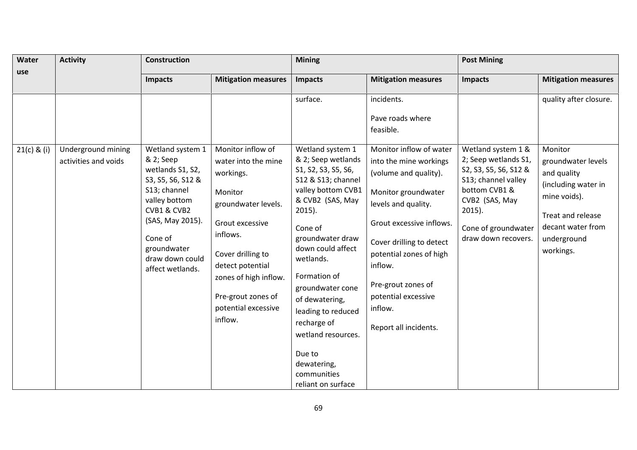| Water         | <b>Activity</b>                            | <b>Construction</b>                                                                                                                                                                                         |                                                                                                                                                                                                                                                  | <b>Mining</b>                                                                                                                                                                                                                                                                                                                                                                              |                                                                                                                                                                                                                                                                                                         | <b>Post Mining</b>                                                                                                                                                                       |                                                                                                                                                           |  |
|---------------|--------------------------------------------|-------------------------------------------------------------------------------------------------------------------------------------------------------------------------------------------------------------|--------------------------------------------------------------------------------------------------------------------------------------------------------------------------------------------------------------------------------------------------|--------------------------------------------------------------------------------------------------------------------------------------------------------------------------------------------------------------------------------------------------------------------------------------------------------------------------------------------------------------------------------------------|---------------------------------------------------------------------------------------------------------------------------------------------------------------------------------------------------------------------------------------------------------------------------------------------------------|------------------------------------------------------------------------------------------------------------------------------------------------------------------------------------------|-----------------------------------------------------------------------------------------------------------------------------------------------------------|--|
| use           |                                            | <b>Impacts</b>                                                                                                                                                                                              | <b>Mitigation measures</b>                                                                                                                                                                                                                       | Impacts                                                                                                                                                                                                                                                                                                                                                                                    | <b>Mitigation measures</b>                                                                                                                                                                                                                                                                              | <b>Impacts</b>                                                                                                                                                                           | <b>Mitigation measures</b>                                                                                                                                |  |
|               |                                            |                                                                                                                                                                                                             |                                                                                                                                                                                                                                                  | surface.                                                                                                                                                                                                                                                                                                                                                                                   | incidents.<br>Pave roads where<br>feasible.                                                                                                                                                                                                                                                             |                                                                                                                                                                                          | quality after closure.                                                                                                                                    |  |
| $21(c)$ & (i) | Underground mining<br>activities and voids | Wetland system 1<br>& 2; Seep<br>wetlands S1, S2,<br>S3, S5, S6, S12 &<br>S13; channel<br>valley bottom<br>CVB1 & CVB2<br>(SAS, May 2015).<br>Cone of<br>groundwater<br>draw down could<br>affect wetlands. | Monitor inflow of<br>water into the mine<br>workings.<br>Monitor<br>groundwater levels.<br>Grout excessive<br>inflows.<br>Cover drilling to<br>detect potential<br>zones of high inflow.<br>Pre-grout zones of<br>potential excessive<br>inflow. | Wetland system 1<br>& 2; Seep wetlands<br>S1, S2, S3, S5, S6,<br>S12 & S13; channel<br>valley bottom CVB1<br>& CVB2 (SAS, May<br>$2015$ ).<br>Cone of<br>groundwater draw<br>down could affect<br>wetlands.<br>Formation of<br>groundwater cone<br>of dewatering,<br>leading to reduced<br>recharge of<br>wetland resources.<br>Due to<br>dewatering,<br>communities<br>reliant on surface | Monitor inflow of water<br>into the mine workings<br>(volume and quality).<br>Monitor groundwater<br>levels and quality.<br>Grout excessive inflows.<br>Cover drilling to detect<br>potential zones of high<br>inflow.<br>Pre-grout zones of<br>potential excessive<br>inflow.<br>Report all incidents. | Wetland system 1 &<br>2; Seep wetlands S1,<br>S2, S3, S5, S6, S12 &<br>S13; channel valley<br>bottom CVB1 &<br>CVB2 (SAS, May<br>$2015$ ).<br>Cone of groundwater<br>draw down recovers. | Monitor<br>groundwater levels<br>and quality<br>(including water in<br>mine voids).<br>Treat and release<br>decant water from<br>underground<br>workings. |  |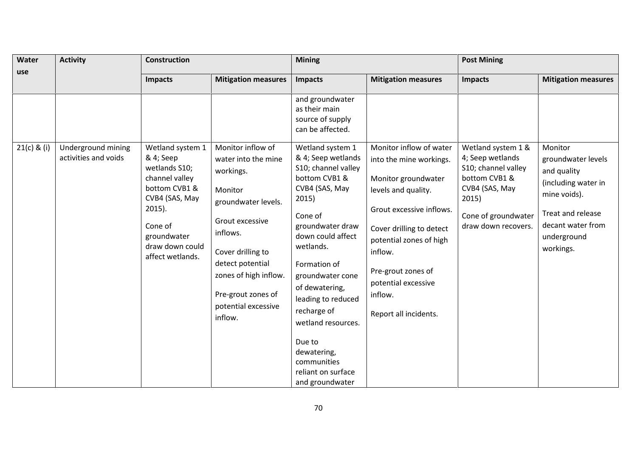| Water         | <b>Activity</b>                            | Construction                                                                                                  |                                                                                                                                                                                         | <b>Mining</b>                                                                                                                                                                                                                                                                              |                                                                                                                                                                                                    | <b>Post Mining</b>                                                             |                                                                                                           |  |
|---------------|--------------------------------------------|---------------------------------------------------------------------------------------------------------------|-----------------------------------------------------------------------------------------------------------------------------------------------------------------------------------------|--------------------------------------------------------------------------------------------------------------------------------------------------------------------------------------------------------------------------------------------------------------------------------------------|----------------------------------------------------------------------------------------------------------------------------------------------------------------------------------------------------|--------------------------------------------------------------------------------|-----------------------------------------------------------------------------------------------------------|--|
| use           |                                            | <b>Impacts</b>                                                                                                | <b>Mitigation measures</b>                                                                                                                                                              | Impacts                                                                                                                                                                                                                                                                                    | <b>Mitigation measures</b>                                                                                                                                                                         | <b>Impacts</b>                                                                 | <b>Mitigation measures</b>                                                                                |  |
| $21(c)$ & (i) | Underground mining<br>activities and voids | Wetland system 1<br>& 4; Seep<br>wetlands S10;<br>channel valley                                              | Monitor inflow of<br>water into the mine<br>workings.                                                                                                                                   | and groundwater<br>as their main<br>source of supply<br>can be affected.<br>Wetland system 1<br>& 4; Seep wetlands<br>S10; channel valley<br>bottom CVB1 &                                                                                                                                 | Monitor inflow of water<br>into the mine workings.<br>Monitor groundwater                                                                                                                          | Wetland system 1 &<br>4; Seep wetlands<br>S10; channel valley<br>bottom CVB1 & | Monitor<br>groundwater levels<br>and quality                                                              |  |
|               |                                            | bottom CVB1 &<br>CVB4 (SAS, May<br>$2015$ ).<br>Cone of<br>groundwater<br>draw down could<br>affect wetlands. | Monitor<br>groundwater levels.<br>Grout excessive<br>inflows.<br>Cover drilling to<br>detect potential<br>zones of high inflow.<br>Pre-grout zones of<br>potential excessive<br>inflow. | CVB4 (SAS, May<br>2015)<br>Cone of<br>groundwater draw<br>down could affect<br>wetlands.<br>Formation of<br>groundwater cone<br>of dewatering,<br>leading to reduced<br>recharge of<br>wetland resources.<br>Due to<br>dewatering,<br>communities<br>reliant on surface<br>and groundwater | levels and quality.<br>Grout excessive inflows.<br>Cover drilling to detect<br>potential zones of high<br>inflow.<br>Pre-grout zones of<br>potential excessive<br>inflow.<br>Report all incidents. | CVB4 (SAS, May<br>2015)<br>Cone of groundwater<br>draw down recovers.          | (including water in<br>mine voids).<br>Treat and release<br>decant water from<br>underground<br>workings. |  |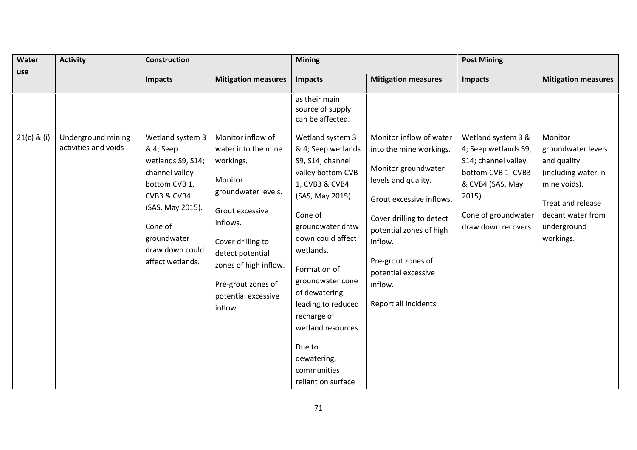| Water         | <b>Activity</b>                            | Construction                                                                                                                                                                              |                                                                                                                                                                                                                                       | <b>Mining</b>                                                                                                                                                                                                                                                                                         |                                                                                                                                                                                                                                                        | <b>Post Mining</b>                                                                                                                                                     |                                                                                                                                                           |  |
|---------------|--------------------------------------------|-------------------------------------------------------------------------------------------------------------------------------------------------------------------------------------------|---------------------------------------------------------------------------------------------------------------------------------------------------------------------------------------------------------------------------------------|-------------------------------------------------------------------------------------------------------------------------------------------------------------------------------------------------------------------------------------------------------------------------------------------------------|--------------------------------------------------------------------------------------------------------------------------------------------------------------------------------------------------------------------------------------------------------|------------------------------------------------------------------------------------------------------------------------------------------------------------------------|-----------------------------------------------------------------------------------------------------------------------------------------------------------|--|
| use           |                                            | <b>Impacts</b>                                                                                                                                                                            | <b>Mitigation measures</b>                                                                                                                                                                                                            | Impacts                                                                                                                                                                                                                                                                                               | <b>Mitigation measures</b>                                                                                                                                                                                                                             | <b>Impacts</b>                                                                                                                                                         | <b>Mitigation measures</b>                                                                                                                                |  |
| $21(c)$ & (i) | Underground mining<br>activities and voids | Wetland system 3<br>& 4; Seep<br>wetlands S9, S14;<br>channel valley<br>bottom CVB 1,<br>CVB3 & CVB4<br>(SAS, May 2015).<br>Cone of<br>groundwater<br>draw down could<br>affect wetlands. | Monitor inflow of<br>water into the mine<br>workings.<br>Monitor<br>groundwater levels.<br>Grout excessive<br>inflows.<br>Cover drilling to<br>detect potential<br>zones of high inflow.<br>Pre-grout zones of<br>potential excessive | as their main<br>source of supply<br>can be affected.<br>Wetland system 3<br>& 4; Seep wetlands<br>S9, S14; channel<br>valley bottom CVB<br>1, CVB3 & CVB4<br>(SAS, May 2015).<br>Cone of<br>groundwater draw<br>down could affect<br>wetlands.<br>Formation of<br>groundwater cone<br>of dewatering, | Monitor inflow of water<br>into the mine workings.<br>Monitor groundwater<br>levels and quality.<br>Grout excessive inflows.<br>Cover drilling to detect<br>potential zones of high<br>inflow.<br>Pre-grout zones of<br>potential excessive<br>inflow. | Wetland system 3 &<br>4; Seep wetlands S9,<br>S14; channel valley<br>bottom CVB 1, CVB3<br>& CVB4 (SAS, May<br>$2015$ ).<br>Cone of groundwater<br>draw down recovers. | Monitor<br>groundwater levels<br>and quality<br>(including water in<br>mine voids).<br>Treat and release<br>decant water from<br>underground<br>workings. |  |
|               |                                            |                                                                                                                                                                                           | inflow.                                                                                                                                                                                                                               | leading to reduced<br>recharge of<br>wetland resources.<br>Due to<br>dewatering,<br>communities<br>reliant on surface                                                                                                                                                                                 | Report all incidents.                                                                                                                                                                                                                                  |                                                                                                                                                                        |                                                                                                                                                           |  |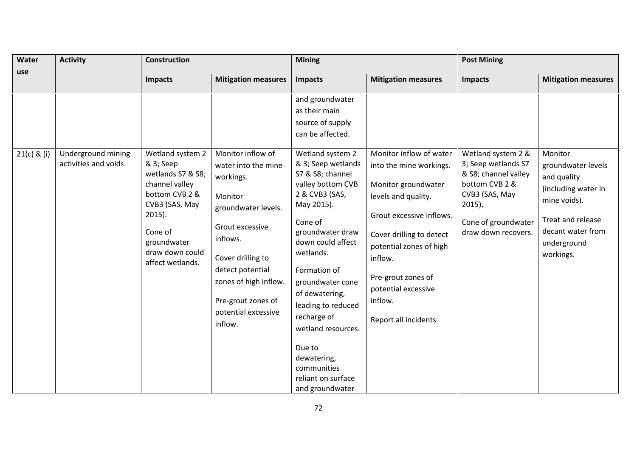| Water         | <b>Activity</b>                            | <b>Construction</b>                                                                                            |                                                                                                                                                                                         | <b>Mining</b>                                                                                                                                                                                                                                                                                   |                                                                                                                                                                                                    | <b>Post Mining</b>                                                                  |                                                                                                           |  |
|---------------|--------------------------------------------|----------------------------------------------------------------------------------------------------------------|-----------------------------------------------------------------------------------------------------------------------------------------------------------------------------------------|-------------------------------------------------------------------------------------------------------------------------------------------------------------------------------------------------------------------------------------------------------------------------------------------------|----------------------------------------------------------------------------------------------------------------------------------------------------------------------------------------------------|-------------------------------------------------------------------------------------|-----------------------------------------------------------------------------------------------------------|--|
| use           |                                            | <b>Impacts</b>                                                                                                 | <b>Mitigation measures</b>                                                                                                                                                              | <b>Impacts</b>                                                                                                                                                                                                                                                                                  | <b>Mitigation measures</b>                                                                                                                                                                         | <b>Impacts</b>                                                                      | <b>Mitigation measures</b>                                                                                |  |
| $21(c)$ & (i) | Underground mining<br>activities and voids | Wetland system 2<br>& 3; Seep<br>wetlands S7 & S8;<br>channel valley                                           | Monitor inflow of<br>water into the mine<br>workings.                                                                                                                                   | and groundwater<br>as their main<br>source of supply<br>can be affected.<br>Wetland system 2<br>& 3; Seep wetlands<br>S7 & S8; channel<br>valley bottom CVB                                                                                                                                     | Monitor inflow of water<br>into the mine workings.<br>Monitor groundwater                                                                                                                          | Wetland system 2 &<br>3; Seep wetlands S7<br>& S8; channel valley<br>bottom CVB 2 & | Monitor<br>groundwater levels<br>and quality                                                              |  |
|               |                                            | bottom CVB 2 &<br>CVB3 (SAS, May<br>$2015$ ).<br>Cone of<br>groundwater<br>draw down could<br>affect wetlands. | Monitor<br>groundwater levels.<br>Grout excessive<br>inflows.<br>Cover drilling to<br>detect potential<br>zones of high inflow.<br>Pre-grout zones of<br>potential excessive<br>inflow. | 2 & CVB3 (SAS,<br>May 2015).<br>Cone of<br>groundwater draw<br>down could affect<br>wetlands.<br>Formation of<br>groundwater cone<br>of dewatering,<br>leading to reduced<br>recharge of<br>wetland resources.<br>Due to<br>dewatering,<br>communities<br>reliant on surface<br>and groundwater | levels and quality.<br>Grout excessive inflows.<br>Cover drilling to detect<br>potential zones of high<br>inflow.<br>Pre-grout zones of<br>potential excessive<br>inflow.<br>Report all incidents. | CVB3 (SAS, May<br>$2015$ ).<br>Cone of groundwater<br>draw down recovers.           | (including water in<br>mine voids).<br>Treat and release<br>decant water from<br>underground<br>workings. |  |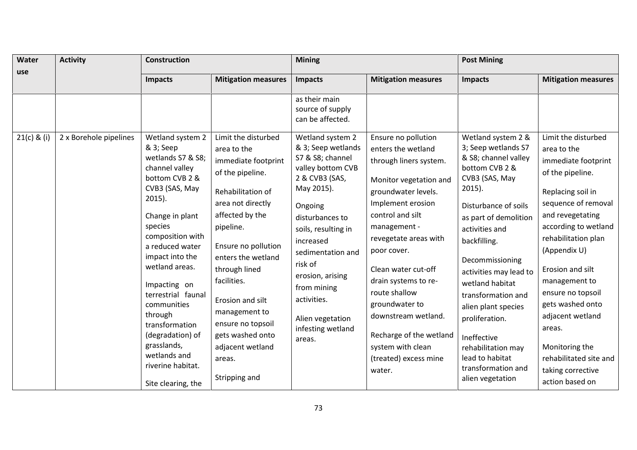| Water<br>use  | <b>Activity</b>        | <b>Construction</b>                                                                                                                                                                                                                                                   |                                                                                                                                                                                                                                                          | <b>Mining</b>                                                                                                                                                                                                                                                                                                                |                                                                                                                                                                                                                                                                                       | <b>Post Mining</b>                                                                                                                                                                                                                                                                          |                                                                                                                                                                                                                                                                        |
|---------------|------------------------|-----------------------------------------------------------------------------------------------------------------------------------------------------------------------------------------------------------------------------------------------------------------------|----------------------------------------------------------------------------------------------------------------------------------------------------------------------------------------------------------------------------------------------------------|------------------------------------------------------------------------------------------------------------------------------------------------------------------------------------------------------------------------------------------------------------------------------------------------------------------------------|---------------------------------------------------------------------------------------------------------------------------------------------------------------------------------------------------------------------------------------------------------------------------------------|---------------------------------------------------------------------------------------------------------------------------------------------------------------------------------------------------------------------------------------------------------------------------------------------|------------------------------------------------------------------------------------------------------------------------------------------------------------------------------------------------------------------------------------------------------------------------|
|               |                        | <b>Impacts</b>                                                                                                                                                                                                                                                        | <b>Mitigation measures</b>                                                                                                                                                                                                                               | <b>Impacts</b>                                                                                                                                                                                                                                                                                                               | <b>Mitigation measures</b>                                                                                                                                                                                                                                                            | <b>Impacts</b>                                                                                                                                                                                                                                                                              | <b>Mitigation measures</b>                                                                                                                                                                                                                                             |
| $21(c)$ & (i) | 2 x Borehole pipelines | Wetland system 2<br>& 3; Seep<br>wetlands S7 & S8;<br>channel valley<br>bottom CVB 2 &<br>CVB3 (SAS, May<br>$2015$ ).<br>Change in plant<br>species<br>composition with<br>a reduced water<br>impact into the<br>wetland areas.<br>Impacting on<br>terrestrial faunal | Limit the disturbed<br>area to the<br>immediate footprint<br>of the pipeline.<br>Rehabilitation of<br>area not directly<br>affected by the<br>pipeline.<br>Ensure no pollution<br>enters the wetland<br>through lined<br>facilities.<br>Erosion and silt | as their main<br>source of supply<br>can be affected.<br>Wetland system 2<br>& 3; Seep wetlands<br>S7 & S8; channel<br>valley bottom CVB<br>2 & CVB3 (SAS,<br>May 2015).<br>Ongoing<br>disturbances to<br>soils, resulting in<br>increased<br>sedimentation and<br>risk of<br>erosion, arising<br>from mining<br>activities. | Ensure no pollution<br>enters the wetland<br>through liners system.<br>Monitor vegetation and<br>groundwater levels.<br>Implement erosion<br>control and silt<br>management -<br>revegetate areas with<br>poor cover.<br>Clean water cut-off<br>drain systems to re-<br>route shallow | Wetland system 2 &<br>3; Seep wetlands S7<br>& S8; channel valley<br>bottom CVB 2 &<br>CVB3 (SAS, May<br>$2015$ ).<br>Disturbance of soils<br>as part of demolition<br>activities and<br>backfilling.<br>Decommissioning<br>activities may lead to<br>wetland habitat<br>transformation and | Limit the disturbed<br>area to the<br>immediate footprint<br>of the pipeline.<br>Replacing soil in<br>sequence of removal<br>and revegetating<br>according to wetland<br>rehabilitation plan<br>(Appendix U)<br>Erosion and silt<br>management to<br>ensure no topsoil |
|               |                        | communities<br>through<br>transformation<br>(degradation) of<br>grasslands,<br>wetlands and<br>riverine habitat.<br>Site clearing, the                                                                                                                                | management to<br>ensure no topsoil<br>gets washed onto<br>adjacent wetland<br>areas.<br>Stripping and                                                                                                                                                    | Alien vegetation<br>infesting wetland<br>areas.                                                                                                                                                                                                                                                                              | groundwater to<br>downstream wetland.<br>Recharge of the wetland<br>system with clean<br>(treated) excess mine<br>water.                                                                                                                                                              | alien plant species<br>proliferation.<br>Ineffective<br>rehabilitation may<br>lead to habitat<br>transformation and<br>alien vegetation                                                                                                                                                     | gets washed onto<br>adjacent wetland<br>areas.<br>Monitoring the<br>rehabilitated site and<br>taking corrective<br>action based on                                                                                                                                     |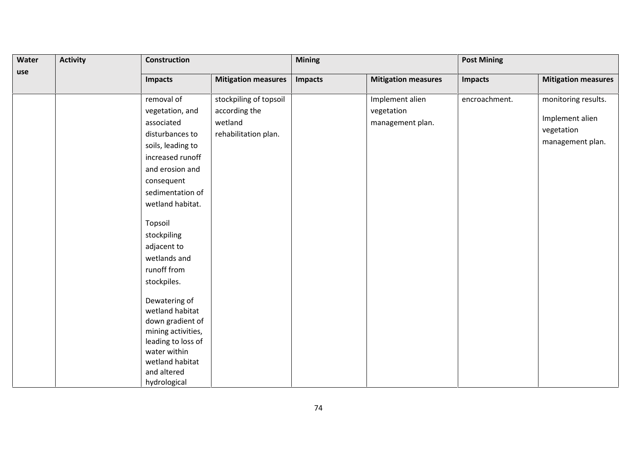| Water<br>use | <b>Activity</b> | <b>Construction</b>                                                                                                                                                                                                                                                                                                                                                                                                             |                                                  | <b>Mining</b>  |                                | <b>Post Mining</b> |                                                   |
|--------------|-----------------|---------------------------------------------------------------------------------------------------------------------------------------------------------------------------------------------------------------------------------------------------------------------------------------------------------------------------------------------------------------------------------------------------------------------------------|--------------------------------------------------|----------------|--------------------------------|--------------------|---------------------------------------------------|
|              |                 | <b>Impacts</b>                                                                                                                                                                                                                                                                                                                                                                                                                  | <b>Mitigation measures</b>                       | <b>Impacts</b> | <b>Mitigation measures</b>     | <b>Impacts</b>     | <b>Mitigation measures</b>                        |
|              |                 | removal of                                                                                                                                                                                                                                                                                                                                                                                                                      | stockpiling of topsoil                           |                | Implement alien                | encroachment.      | monitoring results.                               |
|              |                 | vegetation, and<br>associated<br>disturbances to<br>soils, leading to<br>increased runoff<br>and erosion and<br>consequent<br>sedimentation of<br>wetland habitat.<br>Topsoil<br>stockpiling<br>adjacent to<br>wetlands and<br>runoff from<br>stockpiles.<br>Dewatering of<br>wetland habitat<br>down gradient of<br>mining activities,<br>leading to loss of<br>water within<br>wetland habitat<br>and altered<br>hydrological | according the<br>wetland<br>rehabilitation plan. |                | vegetation<br>management plan. |                    | Implement alien<br>vegetation<br>management plan. |